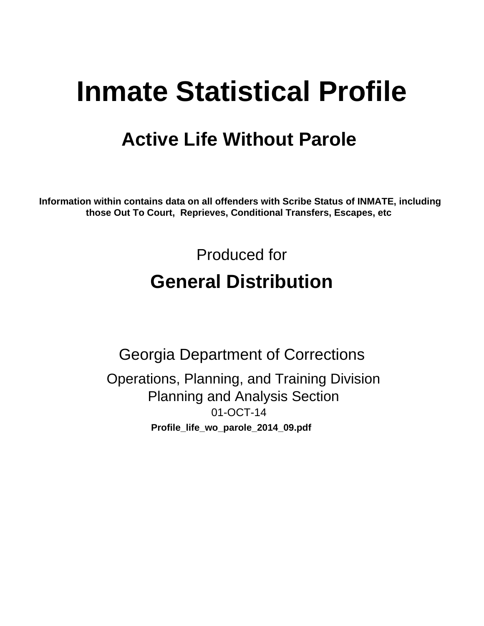# **Inmate Statistical Profile**

# **Active Life Without Parole**

Information within contains data on all offenders with Scribe Status of INMATE, including those Out To Court, Reprieves, Conditional Transfers, Escapes, etc

> Produced for **General Distribution**

**Georgia Department of Corrections** Operations, Planning, and Training Division **Planning and Analysis Section** 01-OCT-14 Profile\_life\_wo\_parole\_2014\_09.pdf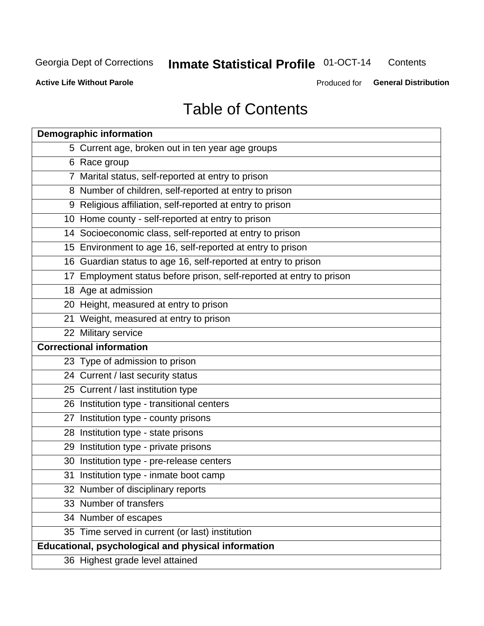#### **Inmate Statistical Profile 01-OCT-14** Contents

**Active Life Without Parole** 

Produced for General Distribution

# **Table of Contents**

| <b>Demographic information</b>                                       |
|----------------------------------------------------------------------|
| 5 Current age, broken out in ten year age groups                     |
| 6 Race group                                                         |
| 7 Marital status, self-reported at entry to prison                   |
| 8 Number of children, self-reported at entry to prison               |
| 9 Religious affiliation, self-reported at entry to prison            |
| 10 Home county - self-reported at entry to prison                    |
| 14 Socioeconomic class, self-reported at entry to prison             |
| 15 Environment to age 16, self-reported at entry to prison           |
| 16 Guardian status to age 16, self-reported at entry to prison       |
| 17 Employment status before prison, self-reported at entry to prison |
| 18 Age at admission                                                  |
| 20 Height, measured at entry to prison                               |
| 21 Weight, measured at entry to prison                               |
| 22 Military service                                                  |
| <b>Correctional information</b>                                      |
| 23 Type of admission to prison                                       |
| 24 Current / last security status                                    |
| 25 Current / last institution type                                   |
| 26 Institution type - transitional centers                           |
| 27 Institution type - county prisons                                 |
| 28 Institution type - state prisons                                  |
| 29 Institution type - private prisons                                |
| 30 Institution type - pre-release centers                            |
| 31 Institution type - inmate boot camp                               |
| 32 Number of disciplinary reports                                    |
| 33 Number of transfers                                               |
| 34 Number of escapes                                                 |
| 35 Time served in current (or last) institution                      |
| Educational, psychological and physical information                  |
| 36 Highest grade level attained                                      |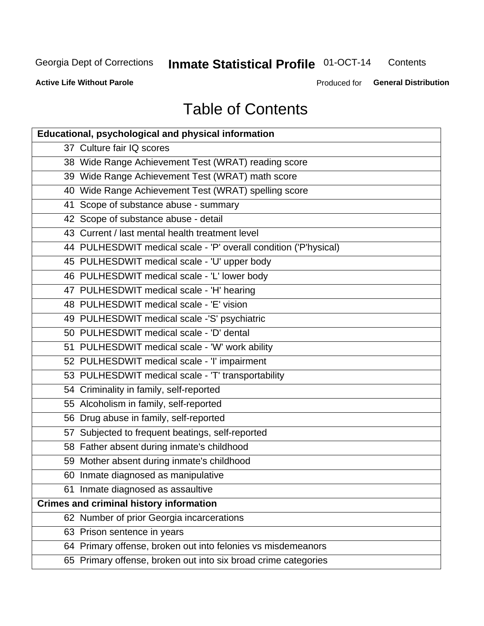# **Inmate Statistical Profile 01-OCT-14**

Contents

**Active Life Without Parole** 

Produced for General Distribution

# **Table of Contents**

| <b>Educational, psychological and physical information</b>       |
|------------------------------------------------------------------|
| 37 Culture fair IQ scores                                        |
| 38 Wide Range Achievement Test (WRAT) reading score              |
| 39 Wide Range Achievement Test (WRAT) math score                 |
| 40 Wide Range Achievement Test (WRAT) spelling score             |
| 41 Scope of substance abuse - summary                            |
| 42 Scope of substance abuse - detail                             |
| 43 Current / last mental health treatment level                  |
| 44 PULHESDWIT medical scale - 'P' overall condition ('P'hysical) |
| 45 PULHESDWIT medical scale - 'U' upper body                     |
| 46 PULHESDWIT medical scale - 'L' lower body                     |
| 47 PULHESDWIT medical scale - 'H' hearing                        |
| 48 PULHESDWIT medical scale - 'E' vision                         |
| 49 PULHESDWIT medical scale -'S' psychiatric                     |
| 50 PULHESDWIT medical scale - 'D' dental                         |
| 51 PULHESDWIT medical scale - 'W' work ability                   |
| 52 PULHESDWIT medical scale - 'I' impairment                     |
| 53 PULHESDWIT medical scale - 'T' transportability               |
| 54 Criminality in family, self-reported                          |
| 55 Alcoholism in family, self-reported                           |
| 56 Drug abuse in family, self-reported                           |
| 57 Subjected to frequent beatings, self-reported                 |
| 58 Father absent during inmate's childhood                       |
| 59 Mother absent during inmate's childhood                       |
| 60 Inmate diagnosed as manipulative                              |
| 61 Inmate diagnosed as assaultive                                |
| <b>Crimes and criminal history information</b>                   |
| 62 Number of prior Georgia incarcerations                        |
| 63 Prison sentence in years                                      |
| 64 Primary offense, broken out into felonies vs misdemeanors     |
| 65 Primary offense, broken out into six broad crime categories   |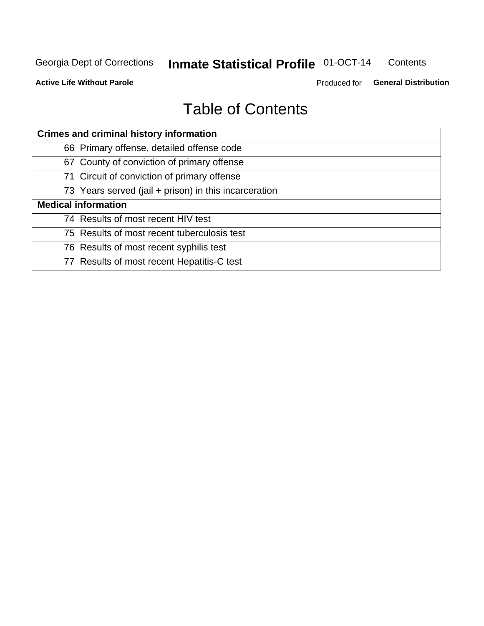#### **Inmate Statistical Profile 01-OCT-14** Contents

**Active Life Without Parole** 

Produced for General Distribution

# **Table of Contents**

| <b>Crimes and criminal history information</b>        |
|-------------------------------------------------------|
| 66 Primary offense, detailed offense code             |
| 67 County of conviction of primary offense            |
| 71 Circuit of conviction of primary offense           |
| 73 Years served (jail + prison) in this incarceration |
| <b>Medical information</b>                            |
| 74 Results of most recent HIV test                    |
| 75 Results of most recent tuberculosis test           |
| 76 Results of most recent syphilis test               |
| 77 Results of most recent Hepatitis-C test            |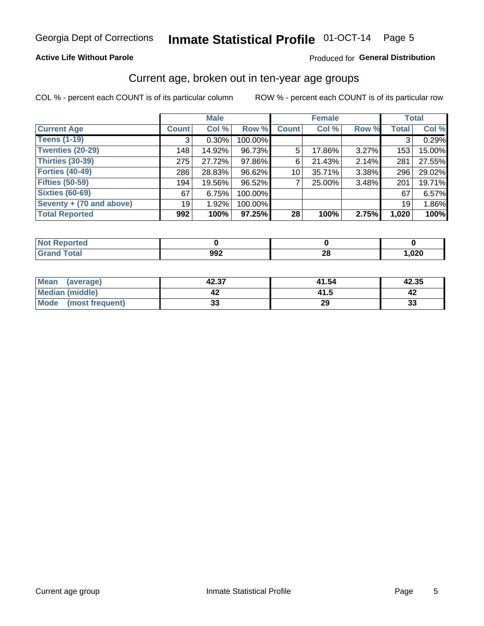# Inmate Statistical Profile 01-OCT-14 Page 5

### **Active Life Without Parole**

### Produced for General Distribution

### Current age, broken out in ten-year age groups

COL % - percent each COUNT is of its particular column

|                          |              | <b>Male</b> |         |              | <b>Female</b> |       |              | <b>Total</b> |
|--------------------------|--------------|-------------|---------|--------------|---------------|-------|--------------|--------------|
| <b>Current Age</b>       | <b>Count</b> | Col %       | Row %   | <b>Count</b> | Col %         | Row % | <b>Total</b> | Col %        |
| <b>Teens (1-19)</b>      | 3            | $0.30\%$    | 100.00% |              |               |       | 3            | 0.29%        |
| <b>Twenties (20-29)</b>  | 148          | 14.92%      | 96.73%  | 5            | 17.86%        | 3.27% | 153          | 15.00%       |
| Thirties (30-39)         | 275          | 27.72%      | 97.86%  | 6            | 21.43%        | 2.14% | 281          | 27.55%       |
| <b>Forties (40-49)</b>   | 286          | 28.83%      | 96.62%  | 10           | 35.71%        | 3.38% | 296          | 29.02%       |
| <b>Fifties (50-59)</b>   | 194          | 19.56%      | 96.52%  |              | 25.00%        | 3.48% | 201          | 19.71%       |
| <b>Sixties (60-69)</b>   | 67           | 6.75%       | 100.00% |              |               |       | 67           | 6.57%        |
| Seventy + (70 and above) | 19           | 1.92%       | 100.00% |              |               |       | 19           | 1.86%        |
| <b>Total Reported</b>    | 992          | 100%        | 97.25%  | 28           | 100%          | 2.75% | 1,020        | 100%         |

| <b><i>A. A. A.</i></b> |             |           |      |
|------------------------|-------------|-----------|------|
| _____                  | nne.<br>99£ | nc.<br>ZU | ,020 |

| Mean<br>(average)       | 42.37    | 41.54 | 42.35 |
|-------------------------|----------|-------|-------|
| Median (middle)         |          | 41.5  |       |
| Mode<br>(most frequent) | n.<br>vu | 29    | 33    |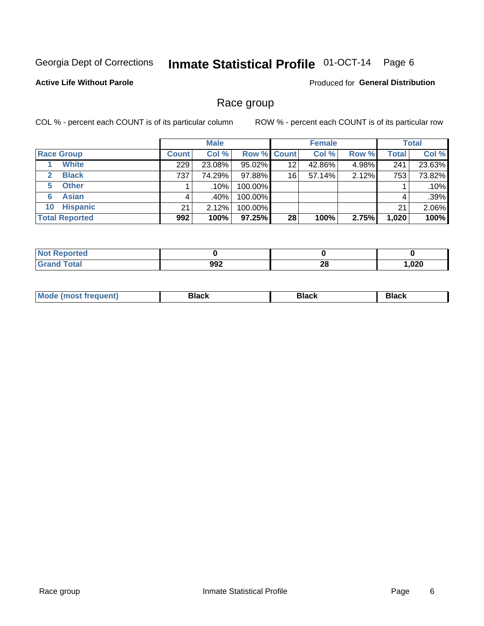#### Inmate Statistical Profile 01-OCT-14 Page 6

### **Active Life Without Parole**

Produced for General Distribution

### Race group

COL % - percent each COUNT is of its particular column

|                              |              | <b>Male</b> |           |                    | <b>Female</b> |       |              | <b>Total</b> |
|------------------------------|--------------|-------------|-----------|--------------------|---------------|-------|--------------|--------------|
| <b>Race Group</b>            | <b>Count</b> | Col %       |           | <b>Row % Count</b> | Col %         | Row % | <b>Total</b> | Col %        |
| <b>White</b>                 | 229          | 23.08%      | $95.02\%$ | 12                 | 42.86%        | 4.98% | 241          | 23.63%       |
| <b>Black</b><br>$\mathbf{2}$ | 737          | 74.29%      | 97.88%    | 16                 | 57.14%        | 2.12% | 753          | 73.82%       |
| <b>Other</b><br>5.           |              | $.10\%$     | 100.00%   |                    |               |       |              | .10%         |
| <b>Asian</b><br>6            | 4            | .40%        | 100.00%   |                    |               |       | 4            | .39%         |
| <b>Hispanic</b><br>10        | 21           | 2.12%       | 100.00%   |                    |               |       | 21           | 2.06%        |
| <b>Total Reported</b>        | 992          | 100%        | $97.25\%$ | 28                 | 100%          | 2.75% | 1,020        | 100%         |

| Reported     |     |           |      |
|--------------|-----|-----------|------|
| <b>Total</b> | 992 | ne.<br>ZU | ,020 |

| M | --- | $-1$ |
|---|-----|------|
|   |     |      |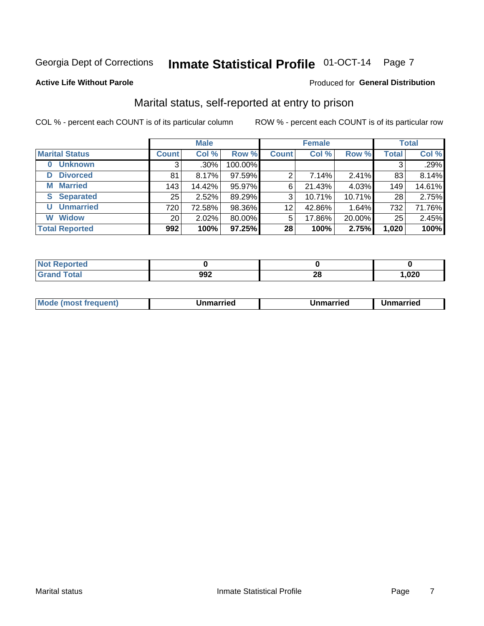# Inmate Statistical Profile 01-OCT-14 Page 7

#### **Active Life Without Parole**

### Produced for General Distribution

### Marital status, self-reported at entry to prison

COL % - percent each COUNT is of its particular column

|                            |                 | <b>Male</b> |         |              | <b>Female</b> |           |              | <b>Total</b> |
|----------------------------|-----------------|-------------|---------|--------------|---------------|-----------|--------------|--------------|
| <b>Marital Status</b>      | <b>Count</b>    | Col %       | Row %   | <b>Count</b> | Col %         | Row %     | <b>Total</b> | Col %        |
| <b>Unknown</b><br>$\bf{0}$ | 3               | $.30\%$     | 100.00% |              |               |           | 3            | .29%         |
| <b>Divorced</b><br>D       | 81              | 8.17%       | 97.59%  | 2            | 7.14%         | 2.41%     | 83           | 8.14%        |
| <b>Married</b><br>М        | 143             | 14.42%      | 95.97%  | 6            | 21.43%        | 4.03%     | 149          | 14.61%       |
| <b>Separated</b><br>S      | 25              | 2.52%       | 89.29%  | 3            | 10.71%        | 10.71%    | 28           | 2.75%        |
| <b>Unmarried</b><br>U      | 720             | 72.58%      | 98.36%  | 12           | 42.86%        | 1.64%     | 732          | 71.76%       |
| <b>Widow</b><br>W          | 20 <sub>1</sub> | 2.02%       | 80.00%  | 5            | 17.86%        | $20.00\%$ | 25           | 2.45%        |
| <b>Total Reported</b>      | 992             | 100%        | 97.25%  | 28           | 100%          | 2.75%     | 1,020        | 100%         |

| prted<br>NOT RADO |               |         |        |
|-------------------|---------------|---------|--------|
| <b>Total</b>      | . ററ∙<br>ັງງ∠ | ጣ<br>__ | 020, ، |

|--|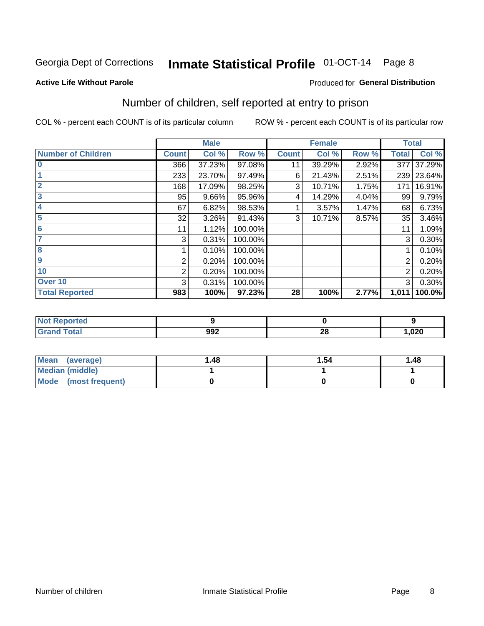# Inmate Statistical Profile 01-OCT-14 Page 8

#### **Active Life Without Parole**

#### Produced for General Distribution

### Number of children, self reported at entry to prison

COL % - percent each COUNT is of its particular column

|                           |                | <b>Male</b> |         |              | <b>Female</b> |       |              | <b>Total</b> |
|---------------------------|----------------|-------------|---------|--------------|---------------|-------|--------------|--------------|
| <b>Number of Children</b> | <b>Count</b>   | Col %       | Row %   | <b>Count</b> | Col %         | Row % | <b>Total</b> | Col %        |
| $\bf{0}$                  | 366            | 37.23%      | 97.08%  | 11           | 39.29%        | 2.92% | 377          | 37.29%       |
|                           | 233            | 23.70%      | 97.49%  | 6            | 21.43%        | 2.51% | 239          | 23.64%       |
| $\overline{2}$            | 168            | 17.09%      | 98.25%  | 3            | 10.71%        | 1.75% | 171          | 16.91%       |
| 3                         | 95             | 9.66%       | 95.96%  | 4            | 14.29%        | 4.04% | 99           | 9.79%        |
| 4                         | 67             | 6.82%       | 98.53%  |              | 3.57%         | 1.47% | 68           | 6.73%        |
| 5                         | 32             | 3.26%       | 91.43%  | 3            | 10.71%        | 8.57% | 35           | 3.46%        |
| 6                         | 11             | 1.12%       | 100.00% |              |               |       | 11           | 1.09%        |
| 7                         | 3              | 0.31%       | 100.00% |              |               |       | 3            | 0.30%        |
| 8                         |                | 0.10%       | 100.00% |              |               |       |              | 0.10%        |
| $\boldsymbol{9}$          | 2              | 0.20%       | 100.00% |              |               |       | 2            | 0.20%        |
| 10                        | $\overline{2}$ | 0.20%       | 100.00% |              |               |       | 2            | 0.20%        |
| Over 10                   | 3              | 0.31%       | 100.00% |              |               |       | 3            | 0.30%        |
| <b>Total Reported</b>     | 983            | 100%        | 97.23%  | 28           | 100%          | 2.77% | 1,011        | 100.0%       |

| псяо |     |           |      |
|------|-----|-----------|------|
| -    | 992 | nc.<br>Ζu | ,020 |

| <b>Mean</b><br>(average) | 1.48 | 1.54 | 1.48 |
|--------------------------|------|------|------|
| <b>Median (middle)</b>   |      |      |      |
| Mode (most frequent)     |      |      |      |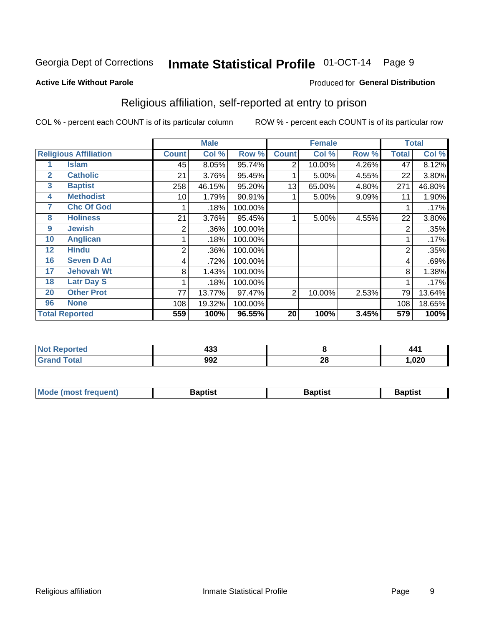#### Inmate Statistical Profile 01-OCT-14 Page 9

#### **Active Life Without Parole**

#### Produced for General Distribution

### Religious affiliation, self-reported at entry to prison

COL % - percent each COUNT is of its particular column

|              |                              |              | <b>Male</b> |         |                | <b>Female</b> |       |                | <b>Total</b> |
|--------------|------------------------------|--------------|-------------|---------|----------------|---------------|-------|----------------|--------------|
|              | <b>Religious Affiliation</b> | <b>Count</b> | Col %       | Row %   | <b>Count</b>   | Col %         | Row % | Total          | Col %        |
|              | <b>Islam</b>                 | 45           | 8.05%       | 95.74%  | $\overline{2}$ | 10.00%        | 4.26% | 47             | 8.12%        |
| $\mathbf{2}$ | <b>Catholic</b>              | 21           | 3.76%       | 95.45%  |                | 5.00%         | 4.55% | 22             | 3.80%        |
| 3            | <b>Baptist</b>               | 258          | 46.15%      | 95.20%  | 13             | 65.00%        | 4.80% | 271            | 46.80%       |
| 4            | <b>Methodist</b>             | 10           | 1.79%       | 90.91%  |                | 5.00%         | 9.09% | 11             | 1.90%        |
| 7            | <b>Chc Of God</b>            |              | .18%        | 100.00% |                |               |       |                | .17%         |
| 8            | <b>Holiness</b>              | 21           | 3.76%       | 95.45%  |                | 5.00%         | 4.55% | 22             | 3.80%        |
| 9            | <b>Jewish</b>                | 2            | .36%        | 100.00% |                |               |       | 2              | .35%         |
| 10           | <b>Anglican</b>              |              | .18%        | 100.00% |                |               |       |                | .17%         |
| 12           | <b>Hindu</b>                 | 2            | .36%        | 100.00% |                |               |       | $\overline{2}$ | .35%         |
| 16           | <b>Seven D Ad</b>            | 4            | .72%        | 100.00% |                |               |       | 4              | .69%         |
| 17           | <b>Jehovah Wt</b>            | 8            | 1.43%       | 100.00% |                |               |       | 8              | 1.38%        |
| 18           | <b>Latr Day S</b>            |              | .18%        | 100.00% |                |               |       |                | .17%         |
| 20           | <b>Other Prot</b>            | 77           | 13.77%      | 97.47%  | $\overline{2}$ | 10.00%        | 2.53% | 79             | 13.64%       |
| 96           | <b>None</b>                  | 108          | 19.32%      | 100.00% |                |               |       | 108            | 18.65%       |
|              | <b>Total Reported</b>        | 559          | 100%        | 96.55%  | 20             | 100%          | 3.45% | 579            | 100%         |

| тео   | $\overline{\phantom{a}}$<br>-<br>453 |         | 44.         |
|-------|--------------------------------------|---------|-------------|
| _____ | 992                                  | ົ<br>ZO | 000<br>,JZU |

| <b>Mode (most frequent)</b> | եaptist | 3aptisเ | aptist |
|-----------------------------|---------|---------|--------|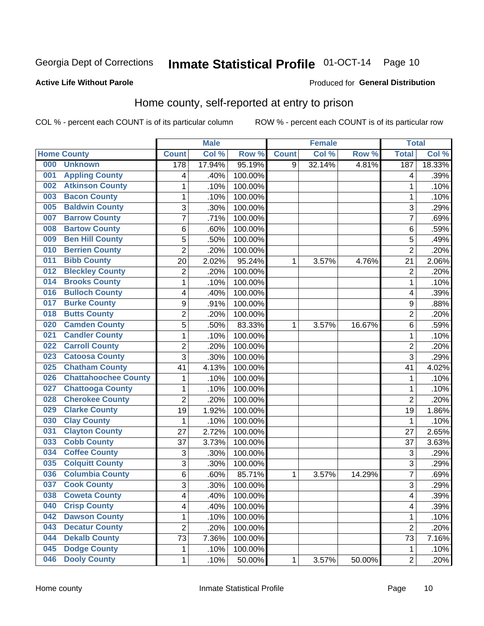# Inmate Statistical Profile 01-OCT-14 Page 10

#### **Active Life Without Parole**

#### Produced for General Distribution

### Home county, self-reported at entry to prison

COL % - percent each COUNT is of its particular column

|     |                             |                         | <b>Male</b> |         |              | <b>Female</b> |        | <b>Total</b>   |        |
|-----|-----------------------------|-------------------------|-------------|---------|--------------|---------------|--------|----------------|--------|
|     | <b>Home County</b>          | <b>Count</b>            | Col %       | Row %   | <b>Count</b> | Col %         | Row %  | <b>Total</b>   | Col %  |
| 000 | <b>Unknown</b>              | 178                     | 17.94%      | 95.19%  | 9            | 32.14%        | 4.81%  | 187            | 18.33% |
| 001 | <b>Appling County</b>       | 4                       | .40%        | 100.00% |              |               |        | 4              | .39%   |
| 002 | <b>Atkinson County</b>      | $\mathbf 1$             | .10%        | 100.00% |              |               |        | 1              | .10%   |
| 003 | <b>Bacon County</b>         | $\mathbf{1}$            | .10%        | 100.00% |              |               |        | 1              | .10%   |
| 005 | <b>Baldwin County</b>       | 3                       | .30%        | 100.00% |              |               |        | 3              | .29%   |
| 007 | <b>Barrow County</b>        | $\overline{7}$          | .71%        | 100.00% |              |               |        | 7              | .69%   |
| 008 | <b>Bartow County</b>        | 6                       | .60%        | 100.00% |              |               |        | 6              | .59%   |
| 009 | <b>Ben Hill County</b>      | 5                       | .50%        | 100.00% |              |               |        | 5              | .49%   |
| 010 | <b>Berrien County</b>       | $\overline{2}$          | .20%        | 100.00% |              |               |        | $\overline{2}$ | .20%   |
| 011 | <b>Bibb County</b>          | 20                      | 2.02%       | 95.24%  | 1            | 3.57%         | 4.76%  | 21             | 2.06%  |
| 012 | <b>Bleckley County</b>      | $\overline{c}$          | .20%        | 100.00% |              |               |        | $\overline{2}$ | .20%   |
| 014 | <b>Brooks County</b>        | $\mathbf{1}$            | .10%        | 100.00% |              |               |        | 1              | .10%   |
| 016 | <b>Bulloch County</b>       | 4                       | .40%        | 100.00% |              |               |        | 4              | .39%   |
| 017 | <b>Burke County</b>         | 9                       | .91%        | 100.00% |              |               |        | 9              | .88%   |
| 018 | <b>Butts County</b>         | $\overline{2}$          | .20%        | 100.00% |              |               |        | $\overline{2}$ | .20%   |
| 020 | <b>Camden County</b>        | 5                       | .50%        | 83.33%  | 1            | 3.57%         | 16.67% | 6              | .59%   |
| 021 | <b>Candler County</b>       | $\mathbf 1$             | .10%        | 100.00% |              |               |        | 1              | .10%   |
| 022 | <b>Carroll County</b>       | $\overline{c}$          | .20%        | 100.00% |              |               |        | $\overline{2}$ | .20%   |
| 023 | <b>Catoosa County</b>       | 3                       | .30%        | 100.00% |              |               |        | 3              | .29%   |
| 025 | <b>Chatham County</b>       | 41                      | 4.13%       | 100.00% |              |               |        | 41             | 4.02%  |
| 026 | <b>Chattahoochee County</b> | $\mathbf 1$             | .10%        | 100.00% |              |               |        | $\mathbf 1$    | .10%   |
| 027 | <b>Chattooga County</b>     | $\mathbf{1}$            | .10%        | 100.00% |              |               |        | 1              | .10%   |
| 028 | <b>Cherokee County</b>      | $\overline{2}$          | .20%        | 100.00% |              |               |        | $\overline{2}$ | .20%   |
| 029 | <b>Clarke County</b>        | 19                      | 1.92%       | 100.00% |              |               |        | 19             | 1.86%  |
| 030 | <b>Clay County</b>          | 1                       | .10%        | 100.00% |              |               |        | $\mathbf 1$    | .10%   |
| 031 | <b>Clayton County</b>       | 27                      | 2.72%       | 100.00% |              |               |        | 27             | 2.65%  |
| 033 | <b>Cobb County</b>          | 37                      | 3.73%       | 100.00% |              |               |        | 37             | 3.63%  |
| 034 | <b>Coffee County</b>        | 3                       | .30%        | 100.00% |              |               |        | 3              | .29%   |
| 035 | <b>Colquitt County</b>      | 3                       | .30%        | 100.00% |              |               |        | 3              | .29%   |
| 036 | <b>Columbia County</b>      | 6                       | .60%        | 85.71%  | 1            | 3.57%         | 14.29% | $\overline{7}$ | .69%   |
| 037 | <b>Cook County</b>          | $\overline{3}$          | .30%        | 100.00% |              |               |        | 3              | .29%   |
| 038 | <b>Coweta County</b>        | 4                       | .40%        | 100.00% |              |               |        | 4              | .39%   |
| 040 | <b>Crisp County</b>         | $\overline{\mathbf{4}}$ | .40%        | 100.00% |              |               |        | 4              | .39%   |
| 042 | <b>Dawson County</b>        | $\mathbf{1}$            | .10%        | 100.00% |              |               |        | 1              | .10%   |
| 043 | <b>Decatur County</b>       | $\overline{c}$          | .20%        | 100.00% |              |               |        | $\overline{2}$ | .20%   |
| 044 | <b>Dekalb County</b>        | 73                      | 7.36%       | 100.00% |              |               |        | 73             | 7.16%  |
| 045 | <b>Dodge County</b>         | $\mathbf{1}$            | .10%        | 100.00% |              |               |        | 1              | .10%   |
| 046 | <b>Dooly County</b>         | $\mathbf{1}$            | .10%        | 50.00%  | $\mathbf 1$  | 3.57%         | 50.00% | $\overline{2}$ | .20%   |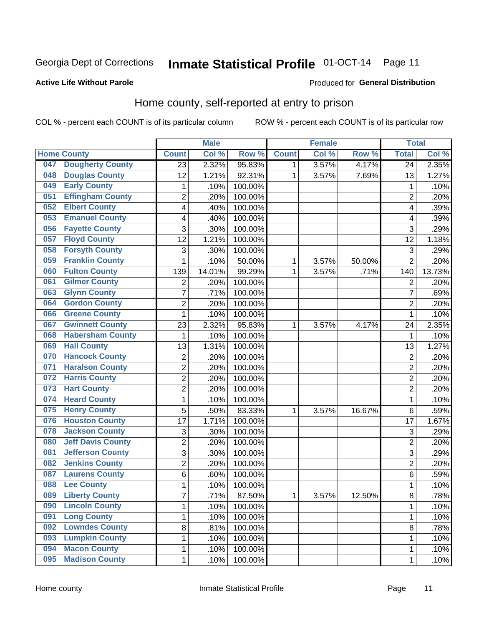# Inmate Statistical Profile 01-OCT-14 Page 11

#### **Active Life Without Parole**

#### Produced for General Distribution

### Home county, self-reported at entry to prison

COL % - percent each COUNT is of its particular column

|     |                          |                           | <b>Male</b> |         |              | <b>Female</b> |        | <b>Total</b>   |        |
|-----|--------------------------|---------------------------|-------------|---------|--------------|---------------|--------|----------------|--------|
|     | <b>Home County</b>       | <b>Count</b>              | Col %       | Row %   | <b>Count</b> | Col %         | Row %  | <b>Total</b>   | Col %  |
| 047 | <b>Dougherty County</b>  | 23                        | 2.32%       | 95.83%  | $\mathbf{1}$ | 3.57%         | 4.17%  | 24             | 2.35%  |
| 048 | <b>Douglas County</b>    | 12                        | 1.21%       | 92.31%  | 1            | 3.57%         | 7.69%  | 13             | 1.27%  |
| 049 | <b>Early County</b>      | 1                         | .10%        | 100.00% |              |               |        | 1              | .10%   |
| 051 | <b>Effingham County</b>  | $\overline{c}$            | .20%        | 100.00% |              |               |        | $\overline{2}$ | .20%   |
| 052 | <b>Elbert County</b>     | 4                         | .40%        | 100.00% |              |               |        | $\overline{4}$ | .39%   |
| 053 | <b>Emanuel County</b>    | 4                         | .40%        | 100.00% |              |               |        | 4              | .39%   |
| 056 | <b>Fayette County</b>    | 3                         | .30%        | 100.00% |              |               |        | 3              | .29%   |
| 057 | <b>Floyd County</b>      | 12                        | 1.21%       | 100.00% |              |               |        | 12             | 1.18%  |
| 058 | <b>Forsyth County</b>    | 3                         | .30%        | 100.00% |              |               |        | 3              | .29%   |
| 059 | <b>Franklin County</b>   | $\mathbf 1$               | .10%        | 50.00%  | 1            | 3.57%         | 50.00% | $\overline{2}$ | .20%   |
| 060 | <b>Fulton County</b>     | 139                       | 14.01%      | 99.29%  | 1            | 3.57%         | .71%   | 140            | 13.73% |
| 061 | <b>Gilmer County</b>     | $\overline{c}$            | .20%        | 100.00% |              |               |        | $\overline{2}$ | .20%   |
| 063 | <b>Glynn County</b>      | 7                         | .71%        | 100.00% |              |               |        | $\overline{7}$ | .69%   |
| 064 | <b>Gordon County</b>     | $\overline{2}$            | .20%        | 100.00% |              |               |        | $\overline{2}$ | .20%   |
| 066 | <b>Greene County</b>     | $\mathbf 1$               | .10%        | 100.00% |              |               |        | 1              | .10%   |
| 067 | <b>Gwinnett County</b>   | 23                        | 2.32%       | 95.83%  | 1            | 3.57%         | 4.17%  | 24             | 2.35%  |
| 068 | <b>Habersham County</b>  | 1                         | .10%        | 100.00% |              |               |        | 1              | .10%   |
| 069 | <b>Hall County</b>       | 13                        | 1.31%       | 100.00% |              |               |        | 13             | 1.27%  |
| 070 | <b>Hancock County</b>    | $\mathbf 2$               | .20%        | 100.00% |              |               |        | $\overline{2}$ | .20%   |
| 071 | <b>Haralson County</b>   | $\overline{2}$            | .20%        | 100.00% |              |               |        | $\overline{2}$ | .20%   |
| 072 | <b>Harris County</b>     | $\overline{2}$            | .20%        | 100.00% |              |               |        | $\overline{2}$ | .20%   |
| 073 | <b>Hart County</b>       | $\overline{2}$            | .20%        | 100.00% |              |               |        | $\overline{2}$ | .20%   |
| 074 | <b>Heard County</b>      | $\mathbf{1}$              | .10%        | 100.00% |              |               |        | 1              | .10%   |
| 075 | <b>Henry County</b>      | 5                         | .50%        | 83.33%  | 1            | 3.57%         | 16.67% | 6              | .59%   |
| 076 | <b>Houston County</b>    | 17                        | 1.71%       | 100.00% |              |               |        | 17             | 1.67%  |
| 078 | <b>Jackson County</b>    | $\ensuremath{\mathsf{3}}$ | .30%        | 100.00% |              |               |        | 3              | .29%   |
| 080 | <b>Jeff Davis County</b> | $\overline{2}$            | .20%        | 100.00% |              |               |        | $\overline{2}$ | .20%   |
| 081 | <b>Jefferson County</b>  | 3                         | .30%        | 100.00% |              |               |        | 3              | .29%   |
| 082 | <b>Jenkins County</b>    | $\overline{c}$            | .20%        | 100.00% |              |               |        | $\overline{2}$ | .20%   |
| 087 | <b>Laurens County</b>    | 6                         | .60%        | 100.00% |              |               |        | 6              | .59%   |
| 088 | <b>Lee County</b>        | 1                         | .10%        | 100.00% |              |               |        | 1              | .10%   |
| 089 | <b>Liberty County</b>    | $\overline{7}$            | .71%        | 87.50%  | 1            | 3.57%         | 12.50% | 8              | .78%   |
| 090 | <b>Lincoln County</b>    | 1                         | .10%        | 100.00% |              |               |        | 1              | .10%   |
| 091 | <b>Long County</b>       | $\mathbf 1$               | .10%        | 100.00% |              |               |        | 1              | .10%   |
| 092 | <b>Lowndes County</b>    | 8                         | .81%        | 100.00% |              |               |        | 8              | .78%   |
| 093 | <b>Lumpkin County</b>    | $\mathbf 1$               | .10%        | 100.00% |              |               |        | 1              | .10%   |
| 094 | <b>Macon County</b>      | $\mathbf{1}$              | .10%        | 100.00% |              |               |        | 1              | .10%   |
| 095 | <b>Madison County</b>    | $\mathbf{1}$              | .10%        | 100.00% |              |               |        | 1              | .10%   |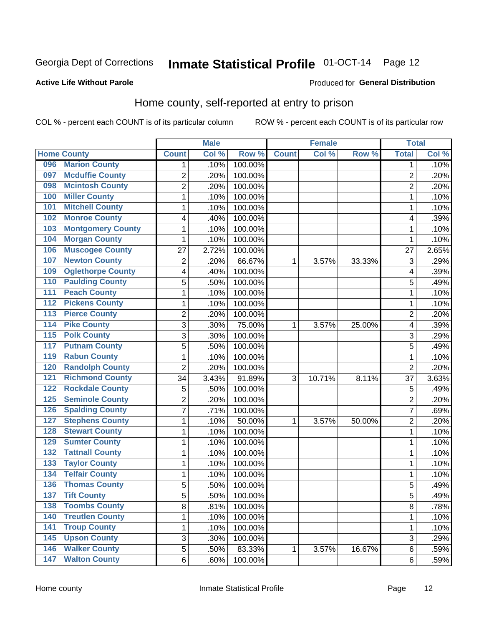# Inmate Statistical Profile 01-OCT-14 Page 12

#### **Active Life Without Parole**

#### Produced for General Distribution

### Home county, self-reported at entry to prison

COL % - percent each COUNT is of its particular column

|                  |                          |                | <b>Male</b> |         |              | <b>Female</b> |        | <b>Total</b>            |       |
|------------------|--------------------------|----------------|-------------|---------|--------------|---------------|--------|-------------------------|-------|
|                  | <b>Home County</b>       | <b>Count</b>   | Col %       | Row %   | <b>Count</b> | Col %         | Row %  | <b>Total</b>            | Col % |
| 096              | <b>Marion County</b>     | 1              | .10%        | 100.00% |              |               |        | 1                       | .10%  |
| 097              | <b>Mcduffie County</b>   | $\overline{2}$ | .20%        | 100.00% |              |               |        | $\overline{2}$          | .20%  |
| 098              | <b>Mcintosh County</b>   | $\overline{c}$ | .20%        | 100.00% |              |               |        | $\overline{c}$          | .20%  |
| 100              | <b>Miller County</b>     | $\mathbf 1$    | .10%        | 100.00% |              |               |        | 1                       | .10%  |
| 101              | <b>Mitchell County</b>   | $\mathbf 1$    | .10%        | 100.00% |              |               |        | 1                       | .10%  |
| 102              | <b>Monroe County</b>     | 4              | .40%        | 100.00% |              |               |        | $\overline{\mathbf{4}}$ | .39%  |
| 103              | <b>Montgomery County</b> | $\mathbf 1$    | .10%        | 100.00% |              |               |        | 1                       | .10%  |
| 104              | <b>Morgan County</b>     | $\mathbf 1$    | .10%        | 100.00% |              |               |        | 1                       | .10%  |
| 106              | <b>Muscogee County</b>   | 27             | 2.72%       | 100.00% |              |               |        | 27                      | 2.65% |
| 107              | <b>Newton County</b>     | $\overline{c}$ | .20%        | 66.67%  | 1            | 3.57%         | 33.33% | 3                       | .29%  |
| 109              | <b>Oglethorpe County</b> | 4              | .40%        | 100.00% |              |               |        | 4                       | .39%  |
| 110              | <b>Paulding County</b>   | 5              | .50%        | 100.00% |              |               |        | 5                       | .49%  |
| 111              | <b>Peach County</b>      | $\mathbf 1$    | .10%        | 100.00% |              |               |        | 1                       | .10%  |
| $\overline{112}$ | <b>Pickens County</b>    | $\mathbf 1$    | .10%        | 100.00% |              |               |        | 1                       | .10%  |
| 113              | <b>Pierce County</b>     | $\overline{c}$ | .20%        | 100.00% |              |               |        | $\overline{2}$          | .20%  |
| 114              | <b>Pike County</b>       | 3              | .30%        | 75.00%  | 1            | 3.57%         | 25.00% | 4                       | .39%  |
| $\overline{115}$ | <b>Polk County</b>       | 3              | .30%        | 100.00% |              |               |        | 3                       | .29%  |
| 117              | <b>Putnam County</b>     | 5              | .50%        | 100.00% |              |               |        | 5                       | .49%  |
| 119              | <b>Rabun County</b>      | $\mathbf 1$    | .10%        | 100.00% |              |               |        | 1                       | .10%  |
| 120              | <b>Randolph County</b>   | $\overline{c}$ | .20%        | 100.00% |              |               |        | $\overline{2}$          | .20%  |
| 121              | <b>Richmond County</b>   | 34             | 3.43%       | 91.89%  | 3            | 10.71%        | 8.11%  | 37                      | 3.63% |
| 122              | <b>Rockdale County</b>   | 5              | .50%        | 100.00% |              |               |        | 5                       | .49%  |
| 125              | <b>Seminole County</b>   | $\overline{2}$ | .20%        | 100.00% |              |               |        | $\overline{2}$          | .20%  |
| 126              | <b>Spalding County</b>   | $\overline{7}$ | .71%        | 100.00% |              |               |        | 7                       | .69%  |
| 127              | <b>Stephens County</b>   | $\mathbf 1$    | .10%        | 50.00%  | 1            | 3.57%         | 50.00% | $\overline{2}$          | .20%  |
| 128              | <b>Stewart County</b>    | $\mathbf 1$    | .10%        | 100.00% |              |               |        | 1                       | .10%  |
| 129              | <b>Sumter County</b>     | $\mathbf 1$    | .10%        | 100.00% |              |               |        | 1                       | .10%  |
| 132              | <b>Tattnall County</b>   | $\mathbf 1$    | .10%        | 100.00% |              |               |        | 1                       | .10%  |
| 133              | <b>Taylor County</b>     | $\mathbf 1$    | .10%        | 100.00% |              |               |        | 1                       | .10%  |
| 134              | <b>Telfair County</b>    | $\mathbf 1$    | .10%        | 100.00% |              |               |        | 1                       | .10%  |
| 136              | <b>Thomas County</b>     | 5              | .50%        | 100.00% |              |               |        | 5                       | .49%  |
| 137              | <b>Tift County</b>       | 5              | .50%        | 100.00% |              |               |        | 5                       | .49%  |
| 138              | <b>Toombs County</b>     | 8              | .81%        | 100.00% |              |               |        | 8                       | .78%  |
| 140              | <b>Treutlen County</b>   | $\mathbf{1}$   | .10%        | 100.00% |              |               |        | 1                       | .10%  |
| $\overline{141}$ | <b>Troup County</b>      | $\mathbf 1$    | .10%        | 100.00% |              |               |        | 1                       | .10%  |
| 145              | <b>Upson County</b>      | 3              | .30%        | 100.00% |              |               |        | $\sqrt{3}$              | .29%  |
| 146              | <b>Walker County</b>     | 5              | .50%        | 83.33%  | 1            | 3.57%         | 16.67% | 6                       | .59%  |
| 147              | <b>Walton County</b>     | 6              | .60%        | 100.00% |              |               |        | $\,6$                   | .59%  |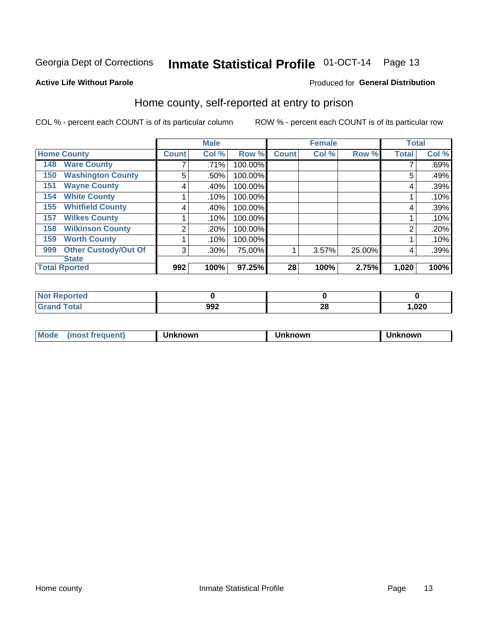# Inmate Statistical Profile 01-OCT-14 Page 13

#### **Active Life Without Parole**

#### Produced for General Distribution

### Home county, self-reported at entry to prison

COL % - percent each COUNT is of its particular column

|                                    |              | <b>Male</b> |         |              | <b>Female</b> |        | <b>Total</b>   |       |
|------------------------------------|--------------|-------------|---------|--------------|---------------|--------|----------------|-------|
| <b>Home County</b>                 | <b>Count</b> | Col %       | Row %   | <b>Count</b> | Col %         | Row %  | <b>Total</b>   | Col % |
| <b>Ware County</b><br>148          |              | .71%        | 100.00% |              |               |        |                | .69%  |
| <b>Washington County</b><br>150    | 5            | .50%        | 100.00% |              |               |        | 5              | .49%  |
| <b>Wayne County</b><br>151         | 4            | .40%        | 100.00% |              |               |        | 4              | .39%  |
| <b>White County</b><br>154         |              | .10%        | 100.00% |              |               |        |                | .10%  |
| <b>Whitfield County</b><br>155     | 4            | .40%        | 100.00% |              |               |        | 4              | .39%  |
| <b>Wilkes County</b><br>157        |              | .10%        | 100.00% |              |               |        |                | .10%  |
| <b>Wilkinson County</b><br>158     | 2            | .20%        | 100.00% |              |               |        | $\overline{2}$ | .20%  |
| <b>Worth County</b><br>159         |              | .10%        | 100.00% |              |               |        |                | .10%  |
| <b>Other Custody/Out Of</b><br>999 | 3            | .30%        | 75.00%  |              | 3.57%         | 25.00% | 4              | .39%  |
| <b>State</b>                       |              |             |         |              |               |        |                |       |
| <b>Total Rported</b>               | 992          | 100%        | 97.25%  | 28           | 100%          | 2.75%  | 1,020          | 100%  |

| rtea |             |           |      |
|------|-------------|-----------|------|
|      | nnn<br>JJ 6 | <u>ru</u> | ,020 |

| Mode<br><b>Tequent)</b><br>ns | nown | mown | เทown |
|-------------------------------|------|------|-------|
|                               |      |      |       |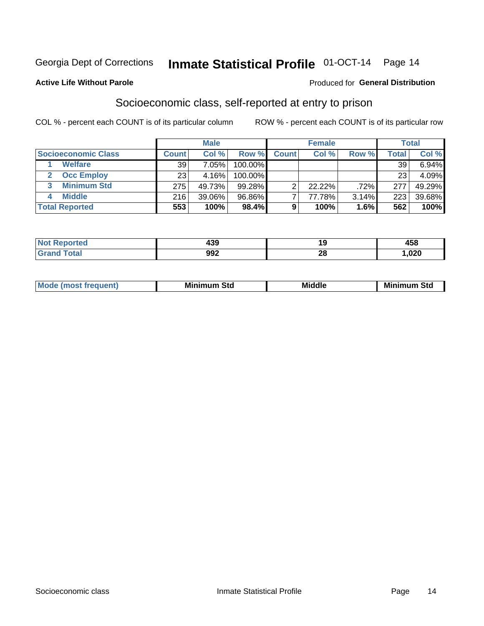## Inmate Statistical Profile 01-OCT-14 Page 14

#### **Active Life Without Parole**

### **Produced for General Distribution**

### Socioeconomic class, self-reported at entry to prison

COL % - percent each COUNT is of its particular column

|                       |        | <b>Male</b> |         |              | <b>Female</b> |       |        | <b>Total</b> |
|-----------------------|--------|-------------|---------|--------------|---------------|-------|--------|--------------|
| Socioeconomic Class   | Count⊺ | Col %       | Row %   | <b>Count</b> | Col %         | Row % | Total, | Col %        |
| <b>Welfare</b>        | 39     | 7.05%       | 100.00% |              |               |       | 39     | 6.94%        |
| <b>Occ Employ</b>     | 23     | 4.16%       | 100.00% |              |               |       | 23     | 4.09%        |
| <b>Minimum Std</b>    | 275    | 49.73%      | 99.28%  | ⌒            | $22.22\%$     | .72%  | 277    | 49.29%       |
| <b>Middle</b>         | 216    | 39.06%      | 96.86%  |              | 77.78%        | 3.14% | 223    | 39.68%       |
| <b>Total Reported</b> | 553    | 100%        | 98.4%   |              | 100%          | 1.6%  | 562    | 100%         |

| ττeα<br>NO<br>$\sim$ | הפו<br>700 |               | $1 - 1$<br>ЮCI |
|----------------------|------------|---------------|----------------|
|                      | 992        | ഹ<br><u>r</u> | ,020           |

| ____ |
|------|
|------|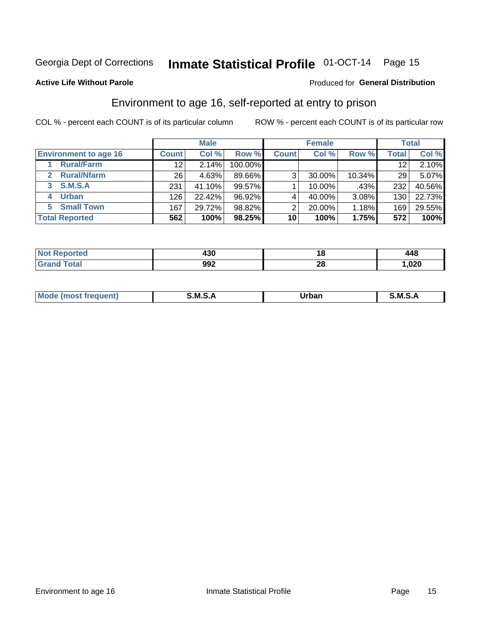# Inmate Statistical Profile 01-OCT-14 Page 15

### **Active Life Without Parole**

### **Produced for General Distribution**

### Environment to age 16, self-reported at entry to prison

COL % - percent each COUNT is of its particular column

|                                    |                 | <b>Male</b> |           |              | <b>Female</b> |          |       | <b>Total</b> |
|------------------------------------|-----------------|-------------|-----------|--------------|---------------|----------|-------|--------------|
| <b>Environment to age 16</b>       | <b>Count</b>    | Col %       | Row %     | <b>Count</b> | Col %         | Row %    | Total | Col %        |
| <b>Rural/Farm</b>                  | 12              | 2.14%       | 100.00%   |              |               |          | 12    | 2.10%        |
| <b>Rural/Nfarm</b><br>$\mathbf{2}$ | 26 <sub>1</sub> | 4.63%       | 89.66%    | 3            | 30.00%        | 10.34%   | 29    | 5.07%        |
| <b>S.M.S.A</b><br>3 <sup>1</sup>   | 231             | 41.10%      | $99.57\%$ |              | 10.00%        | .43%     | 232   | 40.56%       |
| <b>Urban</b><br>4                  | 126             | 22.42%      | 96.92%    |              | 40.00%        | 3.08%    | 130   | 22.73%       |
| <b>Small Town</b><br>5.            | 167             | 29.72%      | 98.82%    | 2            | 20.00%        | 1.18%    | 169   | 29.55%       |
| <b>Total Reported</b>              | 562             | 100%        | 98.25%    | 10           | 100%          | $1.75\%$ | 572   | 100%         |

| Reported<br><b>NOT</b> | 430 | 1 O      | 148  |
|------------------------|-----|----------|------|
|                        | 992 | n,<br>ZQ | ,020 |

| $Mc$ | M | <b>Jrhan</b> | M.     |
|------|---|--------------|--------|
|      |   | _____        | ______ |
|      |   |              |        |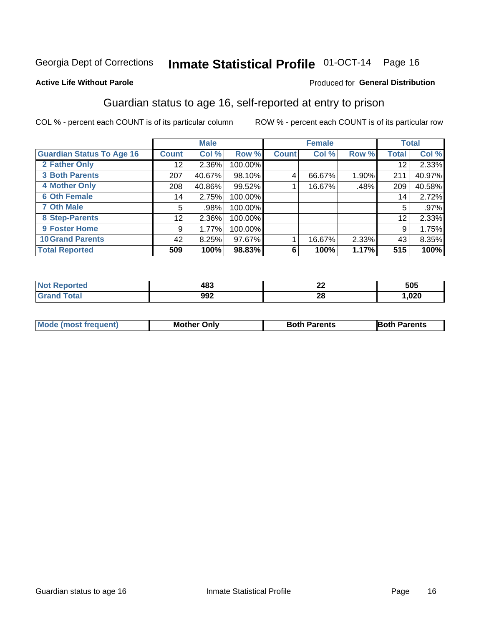# Inmate Statistical Profile 01-OCT-14 Page 16

### **Active Life Without Parole**

#### Produced for General Distribution

### Guardian status to age 16, self-reported at entry to prison

COL % - percent each COUNT is of its particular column

|                                  |              | <b>Male</b> |         |              | <b>Female</b> |       |              | <b>Total</b> |
|----------------------------------|--------------|-------------|---------|--------------|---------------|-------|--------------|--------------|
| <b>Guardian Status To Age 16</b> | <b>Count</b> | Col %       | Row %   | <b>Count</b> | Col %         | Row % | <b>Total</b> | Col %        |
| 2 Father Only                    | 12           | 2.36%       | 100.00% |              |               |       | 12           | 2.33%        |
| <b>3 Both Parents</b>            | 207          | 40.67%      | 98.10%  | 4            | 66.67%        | 1.90% | 211          | 40.97%       |
| <b>4 Mother Only</b>             | 208          | 40.86%      | 99.52%  |              | 16.67%        | .48%  | 209          | 40.58%       |
| <b>6 Oth Female</b>              | 14           | 2.75%       | 100.00% |              |               |       | 14           | 2.72%        |
| <b>7 Oth Male</b>                | 5            | .98%        | 100.00% |              |               |       | 5            | $.97\%$      |
| 8 Step-Parents                   | 12           | 2.36%       | 100.00% |              |               |       | 12           | 2.33%        |
| <b>9 Foster Home</b>             | 9            | 1.77%       | 100.00% |              |               |       | 9            | 1.75%        |
| <b>10 Grand Parents</b>          | 42           | 8.25%       | 97.67%  |              | 16.67%        | 2.33% | 43           | 8.35%        |
| <b>Total Reported</b>            | 509          | 100%        | 98.83%  | 6            | 100%          | 1.17% | 515          | 100%         |

| rtea | 483 | $\overline{\phantom{a}}$<br>LL | 505  |
|------|-----|--------------------------------|------|
|      | 992 | 28                             | ,020 |

| <b>Mode (most frequent)</b> | <b>Mother Only</b> | <b>Both Parents</b> | <b>Both Parents</b> |
|-----------------------------|--------------------|---------------------|---------------------|
|                             |                    |                     |                     |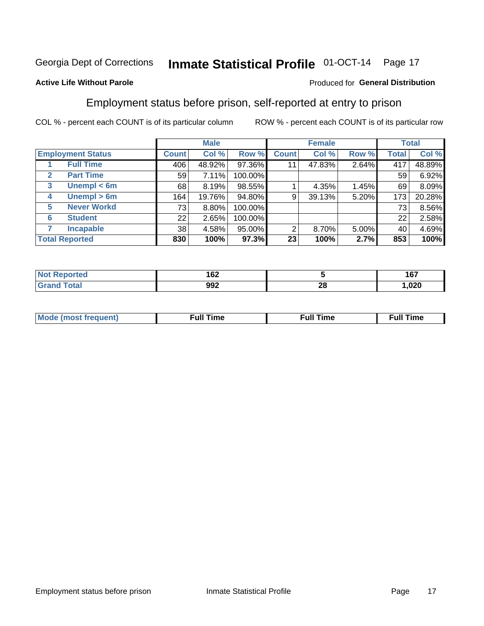## Inmate Statistical Profile 01-OCT-14 Page 17

### **Active Life Without Parole**

### Produced for General Distribution

### Employment status before prison, self-reported at entry to prison

COL % - percent each COUNT is of its particular column

|                                  |         | <b>Male</b> |         |              | <b>Female</b> |       |       | <b>Total</b> |
|----------------------------------|---------|-------------|---------|--------------|---------------|-------|-------|--------------|
| <b>Employment Status</b>         | Count l | Col %       | Row %   | <b>Count</b> | Col %         | Row % | Total | Col %        |
| <b>Full Time</b>                 | 406     | 48.92%      | 97.36%  | 11           | 47.83%        | 2.64% | 417   | 48.89%       |
| <b>Part Time</b><br>$\mathbf{2}$ | 59      | 7.11%       | 100.00% |              |               |       | 59    | 6.92%        |
| Unempl $<$ 6m<br>3               | 68      | 8.19%       | 98.55%  |              | 4.35%         | 1.45% | 69    | 8.09%        |
| Unempl > 6m<br>4                 | 164     | 19.76%      | 94.80%  | 9            | 39.13%        | 5.20% | 173   | 20.28%       |
| <b>Never Workd</b><br>5          | 73      | 8.80%       | 100.00% |              |               |       | 73    | 8.56%        |
| <b>Student</b><br>6              | 22      | 2.65%       | 100.00% |              |               |       | 22    | 2.58%        |
| <b>Incapable</b><br>7            | 38      | 4.58%       | 95.00%  | 2            | $8.70\%$      | 5.00% | 40    | 4.69%        |
| <b>Total Reported</b>            | 830     | 100%        | 97.3%   | 23           | 100%          | 2.7%  | 853   | 100%         |

| 162 |          | 167<br>1 V I |
|-----|----------|--------------|
| 992 | n.<br>ZU | 1,020        |

| Mc | ∴ul! | ----<br>ıme<br>w |
|----|------|------------------|
|    |      |                  |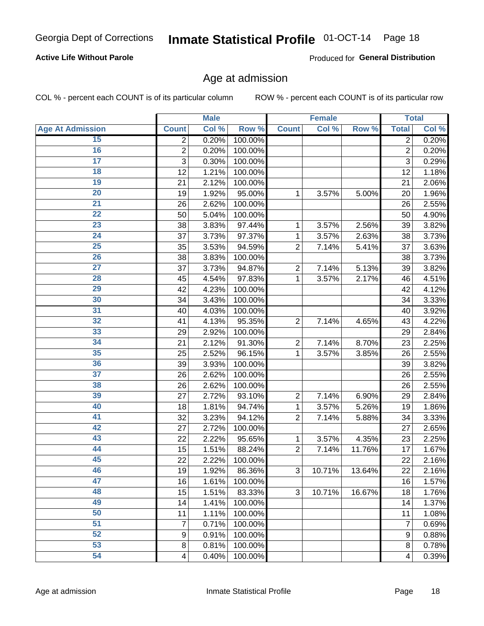# Inmate Statistical Profile 01-OCT-14 Page 18

### **Active Life Without Parole**

Produced for General Distribution

### Age at admission

COL % - percent each COUNT is of its particular column

|                         |                          | <b>Male</b> |         |                | <b>Female</b> |        |                         | <b>Total</b> |
|-------------------------|--------------------------|-------------|---------|----------------|---------------|--------|-------------------------|--------------|
| <b>Age At Admission</b> | <b>Count</b>             | Col %       | Row %   | <b>Count</b>   | Col %         | Row %  | <b>Total</b>            | Col %        |
| 15                      | 2                        | 0.20%       | 100.00% |                |               |        | $\overline{2}$          | 0.20%        |
| 16                      | $\overline{2}$           | 0.20%       | 100.00% |                |               |        | $\overline{2}$          | 0.20%        |
| $\overline{17}$         | 3                        | 0.30%       | 100.00% |                |               |        | 3                       | 0.29%        |
| 18                      | 12                       | 1.21%       | 100.00% |                |               |        | 12                      | 1.18%        |
| 19                      | 21                       | 2.12%       | 100.00% |                |               |        | 21                      | 2.06%        |
| $\overline{20}$         | 19                       | 1.92%       | 95.00%  | 1              | 3.57%         | 5.00%  | 20                      | 1.96%        |
| 21                      | 26                       | 2.62%       | 100.00% |                |               |        | 26                      | 2.55%        |
| 22                      | 50                       | 5.04%       | 100.00% |                |               |        | 50                      | 4.90%        |
| 23                      | 38                       | 3.83%       | 97.44%  | 1              | 3.57%         | 2.56%  | 39                      | 3.82%        |
| 24                      | 37                       | 3.73%       | 97.37%  | 1              | 3.57%         | 2.63%  | 38                      | 3.73%        |
| $\overline{25}$         | 35                       | 3.53%       | 94.59%  | $\overline{2}$ | 7.14%         | 5.41%  | 37                      | 3.63%        |
| 26                      | 38                       | 3.83%       | 100.00% |                |               |        | 38                      | 3.73%        |
| $\overline{27}$         | 37                       | 3.73%       | 94.87%  | $\overline{2}$ | 7.14%         | 5.13%  | 39                      | 3.82%        |
| 28                      | 45                       | 4.54%       | 97.83%  | 1              | 3.57%         | 2.17%  | 46                      | 4.51%        |
| 29                      | 42                       | 4.23%       | 100.00% |                |               |        | 42                      | 4.12%        |
| 30                      | 34                       | 3.43%       | 100.00% |                |               |        | 34                      | 3.33%        |
| 31                      | 40                       | 4.03%       | 100.00% |                |               |        | 40                      | 3.92%        |
| 32                      | 41                       | 4.13%       | 95.35%  | $\overline{2}$ | 7.14%         | 4.65%  | 43                      | 4.22%        |
| 33                      | 29                       | 2.92%       | 100.00% |                |               |        | 29                      | 2.84%        |
| 34                      | 21                       | 2.12%       | 91.30%  | $\overline{2}$ | 7.14%         | 8.70%  | 23                      | 2.25%        |
| 35                      | 25                       | 2.52%       | 96.15%  | 1              | 3.57%         | 3.85%  | 26                      | 2.55%        |
| 36                      | 39                       | 3.93%       | 100.00% |                |               |        | 39                      | 3.82%        |
| $\overline{37}$         | 26                       | 2.62%       | 100.00% |                |               |        | 26                      | 2.55%        |
| 38                      | 26                       | 2.62%       | 100.00% |                |               |        | 26                      | 2.55%        |
| 39                      | 27                       | 2.72%       | 93.10%  | $\overline{2}$ | 7.14%         | 6.90%  | 29                      | 2.84%        |
| 40                      | 18                       | 1.81%       | 94.74%  | 1              | 3.57%         | 5.26%  | 19                      | 1.86%        |
| 41                      | 32                       | 3.23%       | 94.12%  | $\overline{2}$ | 7.14%         | 5.88%  | 34                      | 3.33%        |
| 42                      | 27                       | 2.72%       | 100.00% |                |               |        | 27                      | 2.65%        |
| 43                      | 22                       | 2.22%       | 95.65%  | 1              | 3.57%         | 4.35%  | 23                      | 2.25%        |
| 44                      | 15                       | 1.51%       | 88.24%  | $\overline{2}$ | 7.14%         | 11.76% | 17                      | 1.67%        |
| 45                      | 22                       | 2.22%       | 100.00% |                |               |        | 22                      | 2.16%        |
| 46                      | 19                       | 1.92%       | 86.36%  | 3              | 10.71%        | 13.64% | 22                      | 2.16%        |
| 47                      | 16                       | 1.61%       | 100.00% |                |               |        | 16                      | 1.57%        |
| 48                      | 15                       | 1.51%       | 83.33%  | 3              | 10.71%        | 16.67% | 18                      | 1.76%        |
| 49                      | 14                       | 1.41%       | 100.00% |                |               |        | 14                      | 1.37%        |
| 50                      | 11                       | 1.11%       | 100.00% |                |               |        | 11                      | 1.08%        |
| $\overline{51}$         | 7                        | 0.71%       | 100.00% |                |               |        | 7                       | 0.69%        |
| 52                      | $\boldsymbol{9}$         | 0.91%       | 100.00% |                |               |        | $\boldsymbol{9}$        | 0.88%        |
| 53                      | 8                        | 0.81%       | 100.00% |                |               |        | 8                       | 0.78%        |
| 54                      | $\overline{\mathcal{A}}$ | 0.40%       | 100.00% |                |               |        | $\overline{\mathbf{4}}$ | 0.39%        |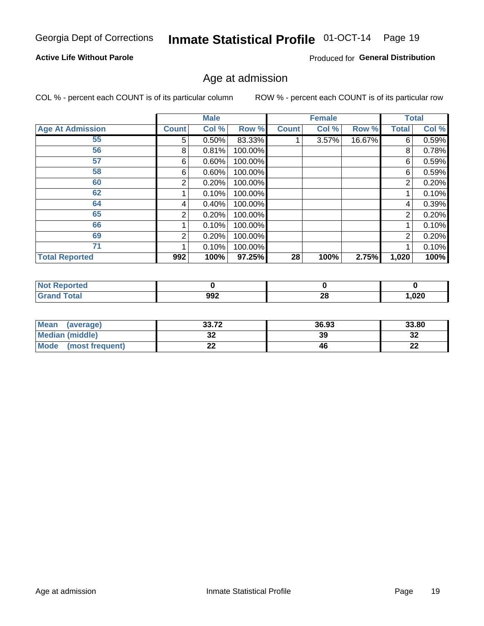# Inmate Statistical Profile 01-OCT-14 Page 19

### **Active Life Without Parole**

Produced for General Distribution

### Age at admission

COL % - percent each COUNT is of its particular column

|                         |              | <b>Male</b> |         |              | <b>Female</b> |        |                | <b>Total</b> |
|-------------------------|--------------|-------------|---------|--------------|---------------|--------|----------------|--------------|
| <b>Age At Admission</b> | <b>Count</b> | Col %       | Row %   | <b>Count</b> | Col %         | Row %  | Total          | Col %        |
| 55                      | 5.           | 0.50%       | 83.33%  |              | 3.57%         | 16.67% | 6              | 0.59%        |
| 56                      | 8            | 0.81%       | 100.00% |              |               |        | 8              | 0.78%        |
| 57                      | 6            | 0.60%       | 100.00% |              |               |        | 6              | 0.59%        |
| 58                      | 6            | 0.60%       | 100.00% |              |               |        | 6              | 0.59%        |
| 60                      | 2            | 0.20%       | 100.00% |              |               |        | 2              | 0.20%        |
| 62                      |              | 0.10%       | 100.00% |              |               |        |                | 0.10%        |
| 64                      | 4            | 0.40%       | 100.00% |              |               |        | 4              | 0.39%        |
| 65                      | 2            | 0.20%       | 100.00% |              |               |        | $\overline{2}$ | 0.20%        |
| 66                      |              | 0.10%       | 100.00% |              |               |        |                | 0.10%        |
| 69                      | 2            | 0.20%       | 100.00% |              |               |        | 2              | 0.20%        |
| 71                      |              | 0.10%       | 100.00% |              |               |        |                | 0.10%        |
| <b>Total Reported</b>   | 992          | 100%        | 97.25%  | 28           | 100%          | 2.75%  | 1,020          | 100%         |

| prteol |     |          |      |
|--------|-----|----------|------|
|        | 992 | n,<br>40 | ,020 |

| <b>Mean</b><br>(average) | <b>22.72</b><br>33.IZ | 36.93 | 33.80    |
|--------------------------|-----------------------|-------|----------|
| Median (middle)          | u                     | 39    | o.<br>∠ت |
| Mode<br>(most frequent)  | $\sim$<br><u>. . </u> | 46    | n.<br>LL |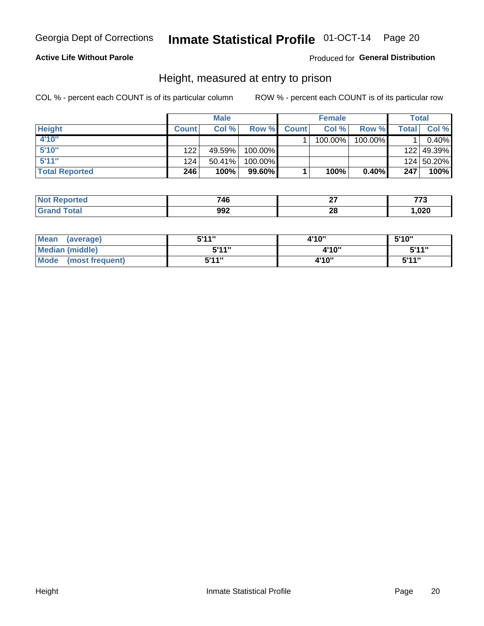# Inmate Statistical Profile 01-OCT-14 Page 20

### **Active Life Without Parole**

### Produced for General Distribution

### Height, measured at entry to prison

COL % - percent each COUNT is of its particular column

|                       |              | <b>Male</b> |           |              | <b>Female</b> |         |       | Total      |
|-----------------------|--------------|-------------|-----------|--------------|---------------|---------|-------|------------|
| <b>Height</b>         | <b>Count</b> | Col %       | Row %     | <b>Count</b> | Col %         | Row %   | Total | Col %      |
| 4'10"                 |              |             |           |              | 100.00%       | 100.00% |       | 0.40%      |
| 5'10''                | 122          | 49.59%      | 100.00%   |              |               |         |       | 122 49.39% |
| 5'11''                | 124          | $50.41\%$   | 100.00%   |              |               |         |       | 124 50.20% |
| <b>Total Reported</b> | 246          | 100%        | $99.60\%$ |              | 100%          | 0.40%   | 247   | 100%       |

| <b>Not</b>             | 746 | ~-      | ---  |
|------------------------|-----|---------|------|
| Reported               |     |         | .    |
| <b>Total</b><br>'Grand | 992 | ഹ<br>20 | ,020 |

| Mean<br>(average)       | 5'11" | 4'10" | 5'10" |
|-------------------------|-------|-------|-------|
| <b>Median (middle)</b>  | 544"  | 4'10" | 5'11" |
| Mode<br>(most frequent) | 5'11" | 4'10" | 5'11" |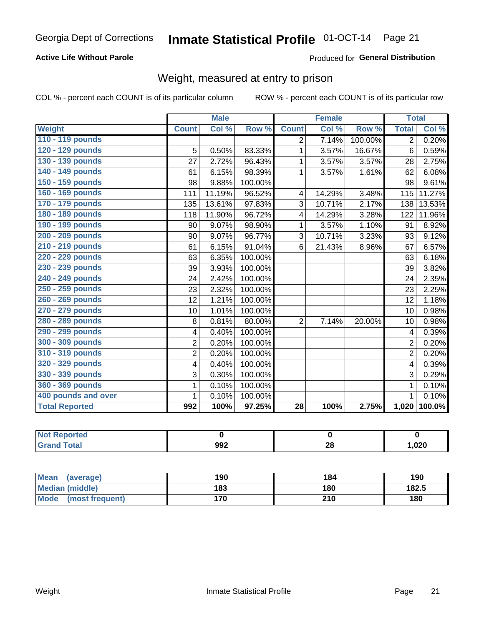# Inmate Statistical Profile 01-OCT-14 Page 21

### **Active Life Without Parole**

### Produced for General Distribution

### Weight, measured at entry to prison

COL % - percent each COUNT is of its particular column

|                       |                | <b>Male</b> |         |                 | <b>Female</b> |         |                | <b>Total</b> |
|-----------------------|----------------|-------------|---------|-----------------|---------------|---------|----------------|--------------|
| Weight                | <b>Count</b>   | Col %       | Row %   | <b>Count</b>    | Col %         | Row %   | <b>Total</b>   | Col %        |
| 110 - 119 pounds      |                |             |         | $\overline{2}$  | 7.14%         | 100.00% | $\overline{2}$ | 0.20%        |
| 120 - 129 pounds      | 5              | 0.50%       | 83.33%  | 1               | 3.57%         | 16.67%  | 6              | 0.59%        |
| 130 - 139 pounds      | 27             | 2.72%       | 96.43%  | 1               | 3.57%         | 3.57%   | 28             | 2.75%        |
| 140 - 149 pounds      | 61             | 6.15%       | 98.39%  | $\mathbf 1$     | 3.57%         | 1.61%   | 62             | 6.08%        |
| 150 - 159 pounds      | 98             | 9.88%       | 100.00% |                 |               |         | 98             | 9.61%        |
| 160 - 169 pounds      | 111            | 11.19%      | 96.52%  | 4               | 14.29%        | 3.48%   | 115            | 11.27%       |
| 170 - 179 pounds      | 135            | 13.61%      | 97.83%  | 3               | 10.71%        | 2.17%   | 138            | 13.53%       |
| 180 - 189 pounds      | 118            | 11.90%      | 96.72%  | 4               | 14.29%        | 3.28%   | 122            | 11.96%       |
| 190 - 199 pounds      | 90             | 9.07%       | 98.90%  | 1               | 3.57%         | 1.10%   | 91             | 8.92%        |
| 200 - 209 pounds      | 90             | 9.07%       | 96.77%  | 3               | 10.71%        | 3.23%   | 93             | 9.12%        |
| 210 - 219 pounds      | 61             | 6.15%       | 91.04%  | 6               | 21.43%        | 8.96%   | 67             | 6.57%        |
| 220 - 229 pounds      | 63             | 6.35%       | 100.00% |                 |               |         | 63             | 6.18%        |
| 230 - 239 pounds      | 39             | 3.93%       | 100.00% |                 |               |         | 39             | 3.82%        |
| 240 - 249 pounds      | 24             | 2.42%       | 100.00% |                 |               |         | 24             | 2.35%        |
| 250 - 259 pounds      | 23             | 2.32%       | 100.00% |                 |               |         | 23             | 2.25%        |
| 260 - 269 pounds      | 12             | 1.21%       | 100.00% |                 |               |         | 12             | 1.18%        |
| 270 - 279 pounds      | 10             | 1.01%       | 100.00% |                 |               |         | 10             | 0.98%        |
| 280 - 289 pounds      | 8              | 0.81%       | 80.00%  | $\overline{2}$  | 7.14%         | 20.00%  | 10             | 0.98%        |
| 290 - 299 pounds      | 4              | 0.40%       | 100.00% |                 |               |         | 4              | 0.39%        |
| 300 - 309 pounds      | $\overline{2}$ | 0.20%       | 100.00% |                 |               |         | $\overline{2}$ | 0.20%        |
| 310 - 319 pounds      | $\overline{2}$ | 0.20%       | 100.00% |                 |               |         | $\overline{2}$ | 0.20%        |
| 320 - 329 pounds      | 4              | 0.40%       | 100.00% |                 |               |         | 4              | 0.39%        |
| 330 - 339 pounds      | 3              | 0.30%       | 100.00% |                 |               |         | 3              | 0.29%        |
| 360 - 369 pounds      | 1              | 0.10%       | 100.00% |                 |               |         | 1              | 0.10%        |
| 400 pounds and over   | 1              | 0.10%       | 100.00% |                 |               |         | 1              | 0.10%        |
| <b>Total Reported</b> | 992            | 100%        | 97.25%  | $\overline{28}$ | 100%          | 2.75%   |                | 1,020 100.0% |

| <b>Not Reported</b> |     |           |      |
|---------------------|-----|-----------|------|
| <b>Total</b>        | 992 | n c<br>Δu | ,020 |

| <b>Mean</b><br>(average)       | 190 | 184 | 190   |
|--------------------------------|-----|-----|-------|
| <b>Median (middle)</b>         | 183 | 180 | 182.5 |
| <b>Mode</b><br>(most frequent) | 170 | 210 | 180   |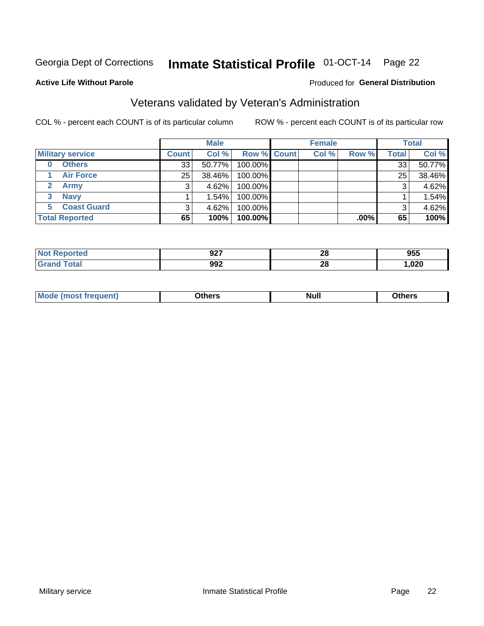# Inmate Statistical Profile 01-OCT-14 Page 22

#### **Active Life Without Parole**

#### Produced for General Distribution

### Veterans validated by Veteran's Administration

COL % - percent each COUNT is of its particular column

|                          |              | <b>Male</b> |                    | <b>Female</b> |         |              | <b>Total</b> |
|--------------------------|--------------|-------------|--------------------|---------------|---------|--------------|--------------|
| <b>Military service</b>  | <b>Count</b> | Col %       | <b>Row % Count</b> | Col %         | Row %   | <b>Total</b> | Col %        |
| <b>Others</b><br>0       | 33           | 50.77%      | 100.00%            |               |         | 33           | 50.77%       |
| <b>Air Force</b>         | 25           | 38.46%      | 100.00%            |               |         | 25           | 38.46%       |
| <b>Army</b>              |              | 4.62%       | 100.00%            |               |         | 3            | 4.62%        |
| <b>Navy</b><br>3         |              | 1.54%       | 100.00%            |               |         |              | 1.54%        |
| <b>Coast Guard</b><br>5. | 3            | 4.62%       | 100.00%            |               |         | 3            | 4.62%        |
| <b>Total Reported</b>    | 65           | 100%        | 100.00%            |               | $.00\%$ | 65           | 100%         |

| ດລອ<br>JZ I | nc<br>40 | 955               |
|-------------|----------|-------------------|
| 992<br>$ -$ | ኅር<br>49 | റാറ<br>JZU<br>. . |

| Mo<br><b>Null</b><br>วthers<br>____<br>____ |
|---------------------------------------------|
|---------------------------------------------|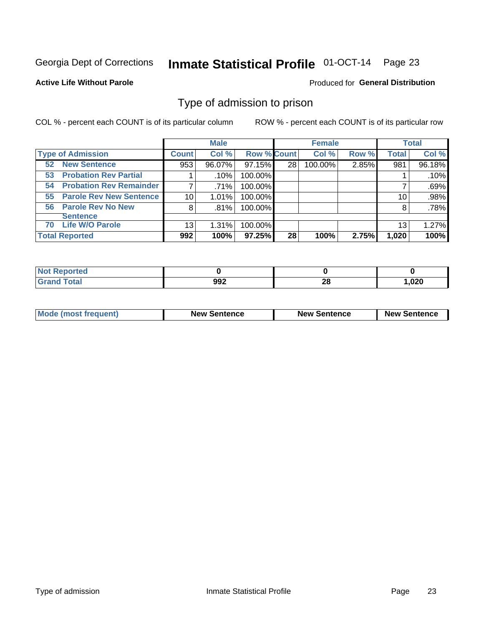# Inmate Statistical Profile 01-OCT-14 Page 23

#### **Active Life Without Parole**

#### Produced for General Distribution

### Type of admission to prison

COL % - percent each COUNT is of its particular column

|                                      |              | <b>Male</b> |                    |    | <b>Female</b> |       |              | <b>Total</b> |
|--------------------------------------|--------------|-------------|--------------------|----|---------------|-------|--------------|--------------|
| <b>Type of Admission</b>             | <b>Count</b> | Col %       | <b>Row % Count</b> |    | Col %         | Row % | <b>Total</b> | Col %        |
| <b>New Sentence</b><br>52            | 953          | 96.07%      | 97.15%             | 28 | 100.00%       | 2.85% | 981          | 96.18%       |
| <b>Probation Rev Partial</b><br>53   |              | .10%        | 100.00%            |    |               |       |              | .10%         |
| <b>Probation Rev Remainder</b><br>54 | 7            | .71%        | 100.00%            |    |               |       |              | .69%         |
| <b>Parole Rev New Sentence</b><br>55 | 10 I         | 1.01%       | 100.00%            |    |               |       | 10           | .98%         |
| <b>Parole Rev No New</b><br>56       | 8            | .81%        | 100.00%            |    |               |       | 8            | .78%         |
| <b>Sentence</b>                      |              |             |                    |    |               |       |              |              |
| <b>Life W/O Parole</b><br>70         | 13           | 1.31%       | 100.00%            |    |               |       | 13           | 1.27%        |
| <b>Total Reported</b>                | 992          | 100%        | $97.25\%$          | 28 | 100%          | 2.75% | 1,020        | 100%         |

| Reported<br>N. |     |          |       |
|----------------|-----|----------|-------|
| <b>Total</b>   | 992 | n.<br>ZC | 1,020 |

| <b>Mode (most frequent)</b> | <b>New Sentence</b> | <b>New Sentence</b> | <b>New Sentence</b> |
|-----------------------------|---------------------|---------------------|---------------------|
|                             |                     |                     |                     |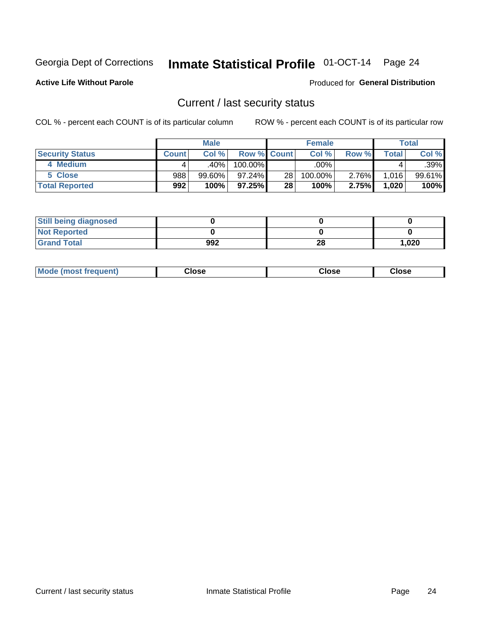# Inmate Statistical Profile 01-OCT-14 Page 24

**Active Life Without Parole** 

Produced for General Distribution

### Current / last security status

COL % - percent each COUNT is of its particular column

|                        |              | <b>Male</b> |                    |                 | <b>Female</b> |          |       | <b>Total</b> |
|------------------------|--------------|-------------|--------------------|-----------------|---------------|----------|-------|--------------|
| <b>Security Status</b> | <b>Count</b> | Col%        | <b>Row % Count</b> |                 | Col %         | Row %    | Total | Col %        |
| 4 Medium               |              | .40%        | 100.00%            |                 | .00%          |          |       | $.39\%$      |
| 5 Close                | 988          | 99.60%      | $97.24\%$          | 28 <sub>1</sub> | 100.00%       | $2.76\%$ | 1.016 | 99.61%       |
| <b>Total Reported</b>  | 992          | 100%        | $97.25\%$          | 28              | 100%          | 2.75%    | 1,020 | 100%         |

| <b>Still being diagnosed</b> |     |    |       |
|------------------------------|-----|----|-------|
| <b>Not Reported</b>          |     |    |       |
| <b>Grand Total</b>           | 992 | 28 | 1,020 |

| <b>AhoM</b><br>rreauent) | <b>Close</b> | Close | Close |
|--------------------------|--------------|-------|-------|
|                          |              |       |       |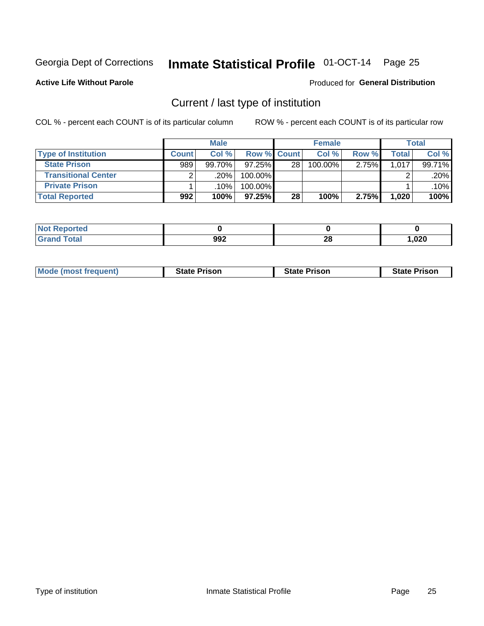# Inmate Statistical Profile 01-OCT-14 Page 25

**Active Life Without Parole** 

#### Produced for General Distribution

### Current / last type of institution

COL % - percent each COUNT is of its particular column

|                            |              | <b>Male</b> |             |                 | <b>Female</b> |       |       | <b>Total</b> |
|----------------------------|--------------|-------------|-------------|-----------------|---------------|-------|-------|--------------|
| <b>Type of Institution</b> | <b>Count</b> | Col %       | Row % Count |                 | Col %         | Row % | Total | Col %        |
| <b>State Prison</b>        | 989          | 99.70%      | 97.25%      | 28 <sub>1</sub> | $100.00\%$    | 2.75% | 1,017 | 99.71%       |
| <b>Transitional Center</b> |              | .20%        | 100.00%     |                 |               |       |       | .20%         |
| <b>Private Prison</b>      |              | .10%        | 100.00%     |                 |               |       |       | $.10\%$      |
| <b>Total Reported</b>      | 992          | 100%        | $97.25\%$   | 28              | 100%          | 2.75% | 1,020 | 100%         |

| oorted      |             |                    |      |
|-------------|-------------|--------------------|------|
| <b>otal</b> | 992<br>$ -$ | ኅር<br>ZO<br>$\sim$ | ,020 |

| <b>Mode (most frequent)</b> | <b>State Prison</b> | <b>State Prison</b> | <b>State Prison</b> |
|-----------------------------|---------------------|---------------------|---------------------|
|                             |                     |                     |                     |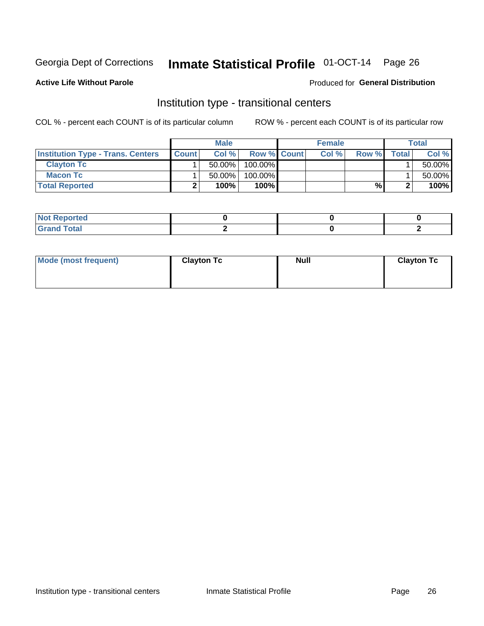# Inmate Statistical Profile 01-OCT-14 Page 26

**Active Life Without Parole** 

#### Produced for General Distribution

### Institution type - transitional centers

COL % - percent each COUNT is of its particular column

|                                          |              | <b>Male</b> |                    | <b>Female</b> |       |              | <b>Total</b> |
|------------------------------------------|--------------|-------------|--------------------|---------------|-------|--------------|--------------|
| <b>Institution Type - Trans. Centers</b> | <b>Count</b> | Col%        | <b>Row % Count</b> | Col %         | Row % | <b>Total</b> | Col %        |
| <b>Clayton Tc</b>                        |              | $50.00\%$   | $100.00\%$         |               |       |              | 50.00%       |
| <b>Macon Tc</b>                          |              | $50.00\%$   | $100.00\%$         |               |       |              | 50.00%       |
| <b>Total Reported</b>                    |              | 100%        | 100%               |               | %     |              | 100%         |

| rtea                               |  |  |
|------------------------------------|--|--|
| $\sim$ $\sim$ $\sim$ $\sim$ $\sim$ |  |  |

| Mode (most frequent) | <b>Clayton Tc</b> | <b>Null</b> | <b>Clayton Tc</b> |
|----------------------|-------------------|-------------|-------------------|
|                      |                   |             |                   |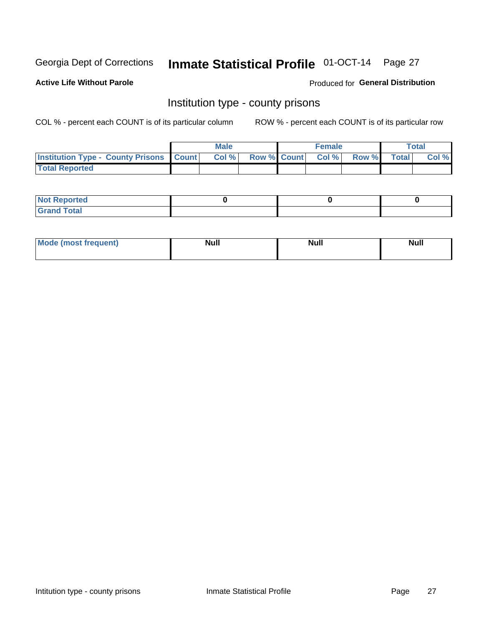# Inmate Statistical Profile 01-OCT-14 Page 27

**Active Life Without Parole** 

**Produced for General Distribution** 

### Institution type - county prisons

COL % - percent each COUNT is of its particular column

|                                                    | <b>Male</b> |       |  | <b>Female</b> |                          |             | <b>Total</b> |       |
|----------------------------------------------------|-------------|-------|--|---------------|--------------------------|-------------|--------------|-------|
| <b>Institution Type - County Prisons   Count  </b> |             | Col % |  |               | <b>Row % Count Col %</b> | Row % Total |              | Col % |
| <b>Total Reported</b>                              |             |       |  |               |                          |             |              |       |

| <b>Not Reported</b>         |  |  |
|-----------------------------|--|--|
| <b>Total</b><br>-<br>______ |  |  |

| <b>Mode</b>      | <b>Null</b> | <b>Null</b> | <b>Null</b> |
|------------------|-------------|-------------|-------------|
| (most freauent). |             |             |             |
|                  |             |             |             |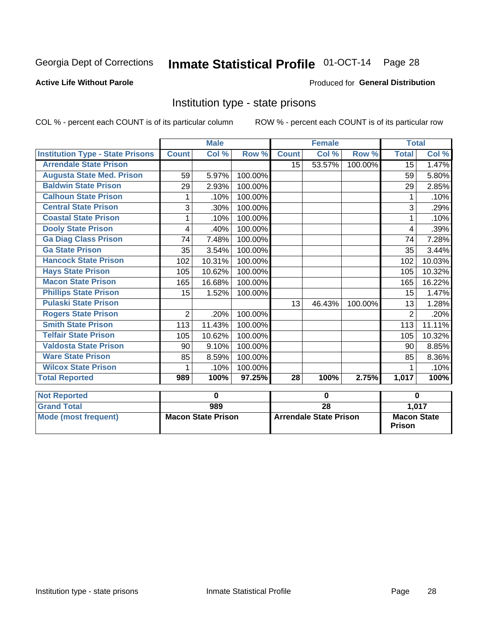#### Inmate Statistical Profile 01-OCT-14 Page 28

#### **Active Life Without Parole**

### Produced for General Distribution

### Institution type - state prisons

COL % - percent each COUNT is of its particular column

ROW % - percent each COUNT is of its particular row

|                                         |                | <b>Male</b>               |         |                               | <b>Female</b>             |         |                    | <b>Total</b> |  |
|-----------------------------------------|----------------|---------------------------|---------|-------------------------------|---------------------------|---------|--------------------|--------------|--|
| <b>Institution Type - State Prisons</b> | <b>Count</b>   | Col %                     | Row %   | <b>Count</b>                  | $\overline{\text{Col}}$ % | Row %   | <b>Total</b>       | Col %        |  |
| <b>Arrendale State Prison</b>           |                |                           |         | 15                            | 53.57%                    | 100.00% | 15                 | 1.47%        |  |
| <b>Augusta State Med. Prison</b>        | 59             | 5.97%                     | 100.00% |                               |                           |         | 59                 | 5.80%        |  |
| <b>Baldwin State Prison</b>             | 29             | 2.93%                     | 100.00% |                               |                           |         | 29                 | 2.85%        |  |
| <b>Calhoun State Prison</b>             | 1              | .10%                      | 100.00% |                               |                           |         | 1                  | .10%         |  |
| <b>Central State Prison</b>             | 3              | .30%                      | 100.00% |                               |                           |         | 3                  | .29%         |  |
| <b>Coastal State Prison</b>             |                | .10%                      | 100.00% |                               |                           |         |                    | .10%         |  |
| <b>Dooly State Prison</b>               | 4              | .40%                      | 100.00% |                               |                           |         | 4                  | .39%         |  |
| <b>Ga Diag Class Prison</b>             | 74             | 7.48%                     | 100.00% |                               |                           |         | 74                 | 7.28%        |  |
| <b>Ga State Prison</b>                  | 35             | 3.54%                     | 100.00% |                               |                           |         | 35                 | 3.44%        |  |
| <b>Hancock State Prison</b>             | 102            | 10.31%                    | 100.00% |                               |                           |         | 102                | 10.03%       |  |
| <b>Hays State Prison</b>                | 105            | 10.62%                    | 100.00% |                               |                           |         | 105                | 10.32%       |  |
| <b>Macon State Prison</b>               | 165            | 16.68%                    | 100.00% |                               |                           |         | 165                | 16.22%       |  |
| <b>Phillips State Prison</b>            | 15             | 1.52%                     | 100.00% |                               |                           |         | 15                 | 1.47%        |  |
| <b>Pulaski State Prison</b>             |                |                           |         | 13                            | 46.43%                    | 100.00% | 13                 | 1.28%        |  |
| <b>Rogers State Prison</b>              | $\overline{2}$ | .20%                      | 100.00% |                               |                           |         | $\overline{2}$     | .20%         |  |
| <b>Smith State Prison</b>               | 113            | 11.43%                    | 100.00% |                               |                           |         | 113                | 11.11%       |  |
| <b>Telfair State Prison</b>             | 105            | 10.62%                    | 100.00% |                               |                           |         | 105                | 10.32%       |  |
| <b>Valdosta State Prison</b>            | 90             | 9.10%                     | 100.00% |                               |                           |         | 90                 | 8.85%        |  |
| <b>Ware State Prison</b>                | 85             | 8.59%                     | 100.00% |                               |                           |         | 85                 | 8.36%        |  |
| <b>Wilcox State Prison</b>              | 1              | .10%                      | 100.00% |                               |                           |         | 1                  | .10%         |  |
| <b>Total Reported</b>                   | 989            | 100%                      | 97.25%  | 28                            | 100%                      | 2.75%   | 1,017              | 100%         |  |
| <b>Not Reported</b>                     |                | 0                         |         | $\bf{0}$                      |                           |         | $\bf{0}$           |              |  |
| <b>Grand Total</b>                      |                | 989                       |         |                               | $\overline{28}$           |         |                    | 1,017        |  |
| <b>Mode (most frequent)</b>             |                | <b>Macon State Prison</b> |         | <b>Arrendale State Prison</b> |                           |         | <b>Macon State</b> |              |  |

**Prison**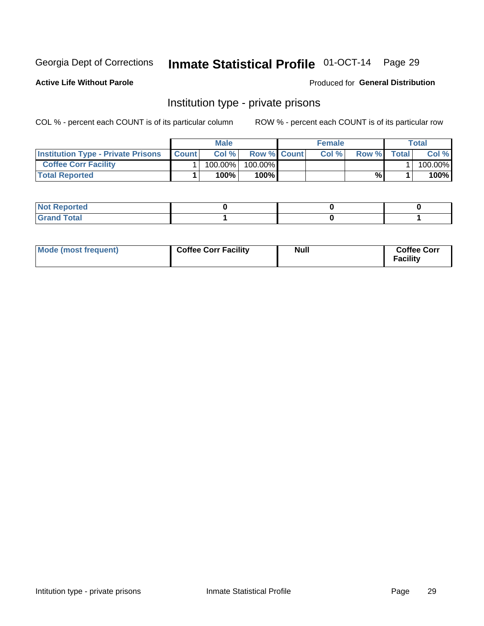# Inmate Statistical Profile 01-OCT-14 Page 29

**Active Life Without Parole** 

Produced for General Distribution

### Institution type - private prisons

COL % - percent each COUNT is of its particular column

|                                           | <b>Male</b>  |            |                    | <b>Female</b> |      |       | Total        |         |
|-------------------------------------------|--------------|------------|--------------------|---------------|------|-------|--------------|---------|
| <b>Institution Type - Private Prisons</b> | <b>Count</b> | Col%       | <b>Row % Count</b> |               | Col% | Row % | <b>Total</b> | Col %   |
| <b>Coffee Corr Facility</b>               |              | $100.00\%$ | 100.00%            |               |      |       |              | 100.00% |
| <b>Total Reported</b>                     |              | $100\%$    | 100%               |               |      | %     |              | 100%    |

| Not Reported |  |  |
|--------------|--|--|
|              |  |  |

| Mode (most frequent) | <b>Coffee Corr Facility</b> | <b>Null</b> | <b>Coffee Corr</b><br>Facility |
|----------------------|-----------------------------|-------------|--------------------------------|
|----------------------|-----------------------------|-------------|--------------------------------|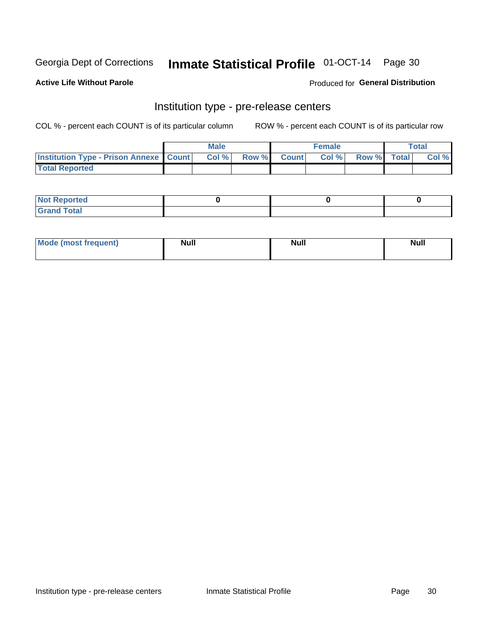# Inmate Statistical Profile 01-OCT-14 Page 30

**Active Life Without Parole** 

Produced for General Distribution

# Institution type - pre-release centers

COL % - percent each COUNT is of its particular column

|                                                   | <b>Male</b> |      |  |             | <b>Female</b> | <b>Total</b> |  |       |
|---------------------------------------------------|-------------|------|--|-------------|---------------|--------------|--|-------|
| <b>Institution Type - Prison Annexe   Count  </b> |             | Col% |  | Row % Count | Col%          | Row % Total  |  | Col % |
| <b>Total Reported</b>                             |             |      |  |             |               |              |  |       |

| <b>Reported</b><br>I NOT |  |  |
|--------------------------|--|--|
| <b>Total</b><br>$C$ ren  |  |  |

| <b>Mo</b><br>frequent)<br>(most | <b>Null</b> | <b>Null</b> | <b>Null</b> |
|---------------------------------|-------------|-------------|-------------|
|                                 |             |             |             |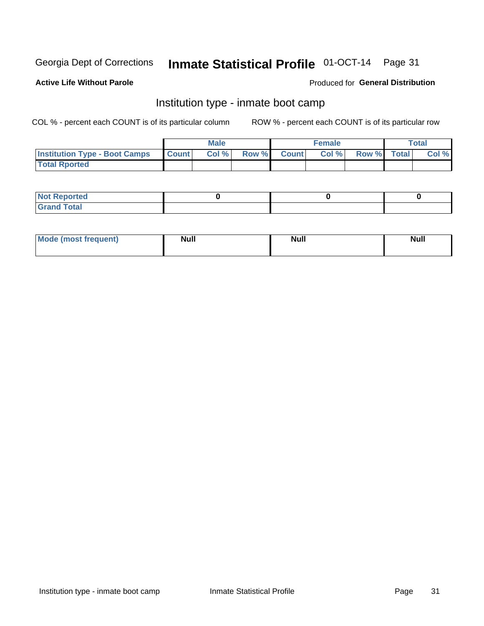# Inmate Statistical Profile 01-OCT-14 Page 31

### **Active Life Without Parole**

### Produced for General Distribution

### Institution type - inmate boot camp

COL % - percent each COUNT is of its particular column

|                                      |              | <b>Male</b> |               |              | <b>Female</b> |             | <b>Total</b> |
|--------------------------------------|--------------|-------------|---------------|--------------|---------------|-------------|--------------|
| <b>Institution Type - Boot Camps</b> | <b>Count</b> | Col %       | <b>Row %I</b> | <b>Count</b> | Col %         | Row % Total | Col %        |
| <b>Total Rported</b>                 |              |             |               |              |               |             |              |

| <b>Not Reported</b> |  |  |
|---------------------|--|--|
| <b>Total</b><br>Cro |  |  |

| <b>AhoM</b>       | <b>Null</b> | <b>Null</b> | Ab d' |
|-------------------|-------------|-------------|-------|
| <b>"requent</b> ) |             |             | _____ |
|                   |             |             |       |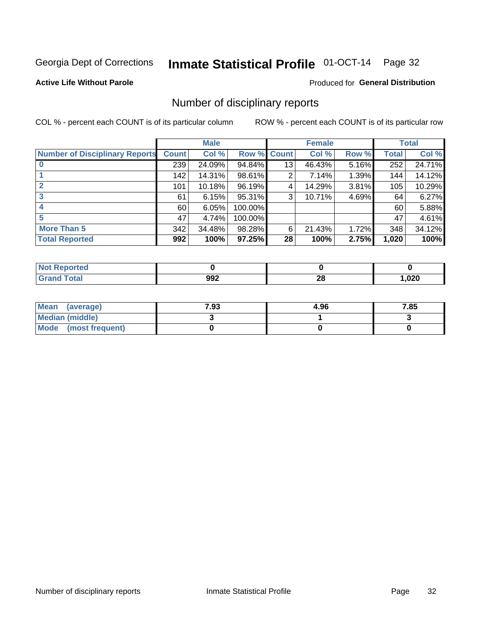# Inmate Statistical Profile 01-OCT-14 Page 32

### **Active Life Without Parole**

### Produced for General Distribution

### Number of disciplinary reports

COL % - percent each COUNT is of its particular column

|                                       | <b>Male</b>  |        | <b>Female</b> |                 |        | <b>Total</b> |              |        |
|---------------------------------------|--------------|--------|---------------|-----------------|--------|--------------|--------------|--------|
| <b>Number of Disciplinary Reports</b> | <b>Count</b> | Col %  | Row % Count   |                 | Col %  | Row %        | <b>Total</b> | Col %  |
|                                       | 239          | 24.09% | 94.84%        | 13              | 46.43% | 5.16%        | 252          | 24.71% |
|                                       | 142          | 14.31% | 98.61%        | 2               | 7.14%  | 1.39%        | 144          | 14.12% |
|                                       | 101          | 10.18% | 96.19%        | 4               | 14.29% | 3.81%        | 105          | 10.29% |
| 3                                     | 61           | 6.15%  | 95.31%        | 3               | 10.71% | 4.69%        | 64           | 6.27%  |
|                                       | 60           | 6.05%  | 100.00%       |                 |        |              | 60           | 5.88%  |
| 5                                     | 47           | 4.74%  | 100.00%       |                 |        |              | 47           | 4.61%  |
| <b>More Than 5</b>                    | 342          | 34.48% | 98.28%        | 6               | 21.43% | 1.72%        | 348          | 34.12% |
| <b>Total Reported</b>                 | 992          | 100%   | 97.25%        | 28 <sup>1</sup> | 100%   | 2.75%        | 1,020        | 100%   |

| <b>Not Reported</b> |     |         |       |
|---------------------|-----|---------|-------|
| <sup>-</sup> otal   | 992 | ഹ<br>40 | 020,، |

| Mean (average)       | 7.93 | 4.96 | 7.85 |
|----------------------|------|------|------|
| Median (middle)      |      |      |      |
| Mode (most frequent) |      |      |      |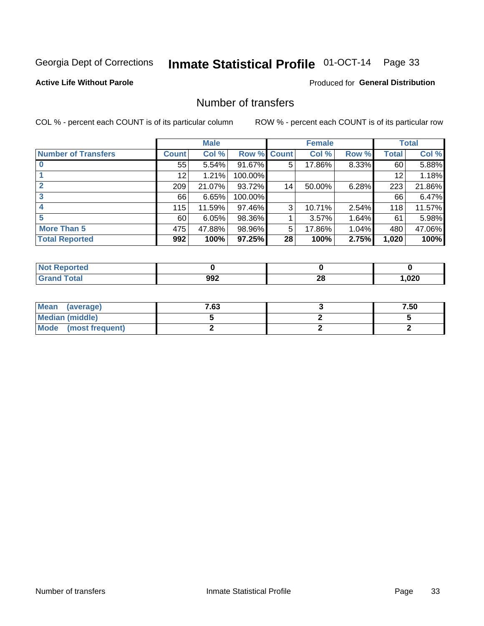# Inmate Statistical Profile 01-OCT-14 Page 33

### **Active Life Without Parole**

### **Produced for General Distribution**

### Number of transfers

COL % - percent each COUNT is of its particular column

|                            | <b>Male</b>  |        | <b>Female</b> |    |        | <b>Total</b> |              |        |
|----------------------------|--------------|--------|---------------|----|--------|--------------|--------------|--------|
| <b>Number of Transfers</b> | <b>Count</b> | Col %  | Row % Count   |    | Col %  | Row %        | <b>Total</b> | Col %  |
|                            | 55           | 5.54%  | 91.67%        | 5  | 17.86% | 8.33%        | 60           | 5.88%  |
|                            | 12           | 1.21%  | 100.00%       |    |        |              | 12           | 1.18%  |
| $\mathbf{2}$               | 209          | 21.07% | 93.72%        | 14 | 50.00% | 6.28%        | 223          | 21.86% |
| 3                          | 66 l         | 6.65%  | 100.00%       |    |        |              | 66           | 6.47%  |
|                            | 115          | 11.59% | 97.46%        | 3  | 10.71% | 2.54%        | 118          | 11.57% |
| 5                          | 60           | 6.05%  | 98.36%        |    | 3.57%  | 1.64%        | 61           | 5.98%  |
| <b>More Than 5</b>         | 475          | 47.88% | 98.96%        | 5  | 17.86% | 1.04%        | 480          | 47.06% |
| <b>Total Reported</b>      | 992          | 100%   | 97.25%        | 28 | 100%   | 2.75%        | 1,020        | 100%   |

| <b>Not Reported</b> |     |         |       |
|---------------------|-----|---------|-------|
| <sup>-</sup> otal   | 992 | ഹ<br>40 | 020,، |

| Mean (average)       | 7.63 | 7.50 |
|----------------------|------|------|
| Median (middle)      |      |      |
| Mode (most frequent) |      |      |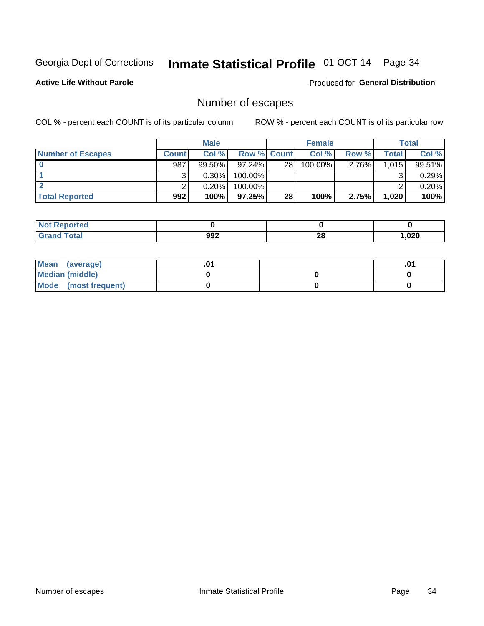# Inmate Statistical Profile 01-OCT-14 Page 34

**Active Life Without Parole** 

**Produced for General Distribution** 

### Number of escapes

COL % - percent each COUNT is of its particular column

|                          |              | <b>Male</b> |                    |                 | <b>Female</b> |       |       | <b>Total</b> |
|--------------------------|--------------|-------------|--------------------|-----------------|---------------|-------|-------|--------------|
| <b>Number of Escapes</b> | <b>Count</b> | Col%        | <b>Row % Count</b> |                 | Col %         | Row % | Total | Col %        |
|                          | 987          | $99.50\%$   | $97.24\%$          | 28 <sub>1</sub> | $100.00\%$    | 2.76% | 1,015 | 99.51%       |
|                          |              | $0.30\%$    | 100.00%            |                 |               |       |       | 0.29%        |
|                          |              | 0.20%       | 100.00%            |                 |               |       |       | 0.20%        |
| <b>Total Reported</b>    | 992          | 100%        | 97.25%             | 28              | 100%          | 2.75% | 1,020 | 100%         |

| <b>Not Reported</b> |     |         |        |
|---------------------|-----|---------|--------|
| <b>Grand Total</b>  | 992 | റ<br>20 | 020, ا |

| Mean (average)       |  | .v |
|----------------------|--|----|
| Median (middle)      |  |    |
| Mode (most frequent) |  |    |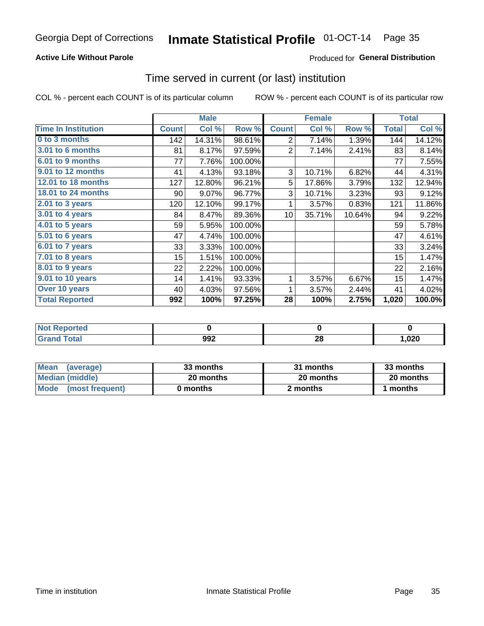# Inmate Statistical Profile 01-OCT-14 Page 35

### **Active Life Without Parole**

### Produced for General Distribution

### Time served in current (or last) institution

COL % - percent each COUNT is of its particular column

|                              |              | <b>Male</b> |         |                 | <b>Female</b> |        |              | <b>Total</b> |
|------------------------------|--------------|-------------|---------|-----------------|---------------|--------|--------------|--------------|
| <b>Time In Institution</b>   | <b>Count</b> | Col %       | Row %   | <b>Count</b>    | Col %         | Row %  | <b>Total</b> | Col %        |
| 0 to 3 months                | 142          | 14.31%      | 98.61%  | 2               | 7.14%         | 1.39%  | 144          | 14.12%       |
| 3.01 to 6 months             | 81           | 8.17%       | 97.59%  | 2               | 7.14%         | 2.41%  | 83           | 8.14%        |
| 6.01 to 9 months             | 77           | 7.76%       | 100.00% |                 |               |        | 77           | 7.55%        |
| 9.01 to 12 months            | 41           | 4.13%       | 93.18%  | 3               | 10.71%        | 6.82%  | 44           | 4.31%        |
| 12.01 to 18 months           | 127          | 12.80%      | 96.21%  | 5               | 17.86%        | 3.79%  | 132          | 12.94%       |
| <b>18.01 to 24 months</b>    | 90           | 9.07%       | 96.77%  | 3               | 10.71%        | 3.23%  | 93           | 9.12%        |
| $2.01$ to 3 years            | 120          | 12.10%      | 99.17%  | 1               | 3.57%         | 0.83%  | 121          | 11.86%       |
| $3.01$ to 4 years            | 84           | 8.47%       | 89.36%  | 10 <sup>1</sup> | 35.71%        | 10.64% | 94           | 9.22%        |
| $4.01$ to 5 years            | 59           | 5.95%       | 100.00% |                 |               |        | 59           | 5.78%        |
| $\overline{5.01}$ to 6 years | 47           | 4.74%       | 100.00% |                 |               |        | 47           | 4.61%        |
| 6.01 to 7 years              | 33           | 3.33%       | 100.00% |                 |               |        | 33           | 3.24%        |
| 7.01 to 8 years              | 15           | 1.51%       | 100.00% |                 |               |        | 15           | 1.47%        |
| 8.01 to 9 years              | 22           | 2.22%       | 100.00% |                 |               |        | 22           | 2.16%        |
| 9.01 to 10 years             | 14           | 1.41%       | 93.33%  | 1               | 3.57%         | 6.67%  | 15           | 1.47%        |
| Over 10 years                | 40           | 4.03%       | 97.56%  | 1               | 3.57%         | 2.44%  | 41           | 4.02%        |
| <b>Total Reported</b>        | 992          | 100%        | 97.25%  | 28              | 100%          | 2.75%  | 1,020        | $100.0\%$    |

| Reported<br><b>Not</b> |     |                 |      |
|------------------------|-----|-----------------|------|
| <i>i</i> otal          | 992 | nr.<br>49<br>__ | ,020 |

| <b>Mean</b><br>(average) | 33 months | 31 months | 33 months |
|--------------------------|-----------|-----------|-----------|
| Median (middle)          | 20 months | 20 months | 20 months |
| Mode (most frequent)     | 0 months  | 2 months  | 1 months  |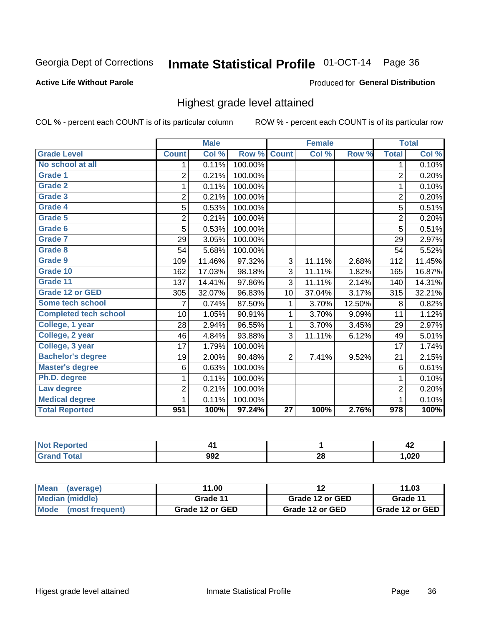#### Inmate Statistical Profile 01-OCT-14 Page 36

#### **Active Life Without Parole**

#### Produced for General Distribution

### Highest grade level attained

COL % - percent each COUNT is of its particular column

|                              |                | <b>Male</b> |         |                 | <b>Female</b> |        |                  | <b>Total</b> |
|------------------------------|----------------|-------------|---------|-----------------|---------------|--------|------------------|--------------|
| <b>Grade Level</b>           | <b>Count</b>   | Col %       | Row %   | <b>Count</b>    | Col%          | Row %  | <b>Total</b>     | Col %        |
| No school at all             | 1              | 0.11%       | 100.00% |                 |               |        | 1                | 0.10%        |
| Grade 1                      | $\overline{2}$ | 0.21%       | 100.00% |                 |               |        | $\overline{c}$   | 0.20%        |
| <b>Grade 2</b>               | 1              | 0.11%       | 100.00% |                 |               |        | 1                | 0.10%        |
| Grade 3                      | $\overline{2}$ | 0.21%       | 100.00% |                 |               |        | 2                | 0.20%        |
| Grade 4                      | 5              | 0.53%       | 100.00% |                 |               |        | $\overline{5}$   | 0.51%        |
| Grade 5                      | $\overline{2}$ | 0.21%       | 100.00% |                 |               |        | $\overline{c}$   | 0.20%        |
| Grade 6                      | 5              | 0.53%       | 100.00% |                 |               |        | $\overline{5}$   | 0.51%        |
| Grade 7                      | 29             | 3.05%       | 100.00% |                 |               |        | 29               | 2.97%        |
| Grade 8                      | 54             | 5.68%       | 100.00% |                 |               |        | 54               | 5.52%        |
| Grade 9                      | 109            | 11.46%      | 97.32%  | $\overline{3}$  | 11.11%        | 2.68%  | 112              | 11.45%       |
| Grade 10                     | 162            | 17.03%      | 98.18%  | 3               | 11.11%        | 1.82%  | 165              | 16.87%       |
| Grade 11                     | 137            | 14.41%      | 97.86%  | $\overline{3}$  | 11.11%        | 2.14%  | 140              | 14.31%       |
| <b>Grade 12 or GED</b>       | 305            | 32.07%      | 96.83%  | 10              | 37.04%        | 3.17%  | 315              | 32.21%       |
| Some tech school             | 7              | 0.74%       | 87.50%  | 1               | 3.70%         | 12.50% | 8                | 0.82%        |
| <b>Completed tech school</b> | 10             | 1.05%       | 90.91%  | 1               | 3.70%         | 9.09%  | 11               | 1.12%        |
| College, 1 year              | 28             | 2.94%       | 96.55%  | 1               | 3.70%         | 3.45%  | 29               | 2.97%        |
| College, 2 year              | 46             | 4.84%       | 93.88%  | 3               | 11.11%        | 6.12%  | 49               | 5.01%        |
| College, 3 year              | 17             | 1.79%       | 100.00% |                 |               |        | 17               | 1.74%        |
| <b>Bachelor's degree</b>     | 19             | 2.00%       | 90.48%  | $\overline{2}$  | 7.41%         | 9.52%  | 21               | 2.15%        |
| <b>Master's degree</b>       | 6              | 0.63%       | 100.00% |                 |               |        | 6                | 0.61%        |
| Ph.D. degree                 | 1              | 0.11%       | 100.00% |                 |               |        | 1                | 0.10%        |
| Law degree                   | $\overline{2}$ | 0.21%       | 100.00% |                 |               |        | $\overline{2}$   | 0.20%        |
| <b>Medical degree</b>        |                | 0.11%       | 100.00% |                 |               |        | 1                | 0.10%        |
| <b>Total Reported</b>        | 951            | 100%        | 97.24%  | $\overline{27}$ | 100%          | 2.76%  | $\overline{978}$ | 100%         |

|                       |     |          | - -<br>- 4 |
|-----------------------|-----|----------|------------|
| <b>TULAI</b><br>_____ | 992 | ኅረ<br>ZO | 020        |

| <b>Mean</b><br>(average)       | 11.00           | 12              | 11.03             |
|--------------------------------|-----------------|-----------------|-------------------|
| Median (middle)                | Grade 11        | Grade 12 or GED | Grade 11          |
| <b>Mode</b><br>(most frequent) | Grade 12 or GED | Grade 12 or GED | I Grade 12 or GED |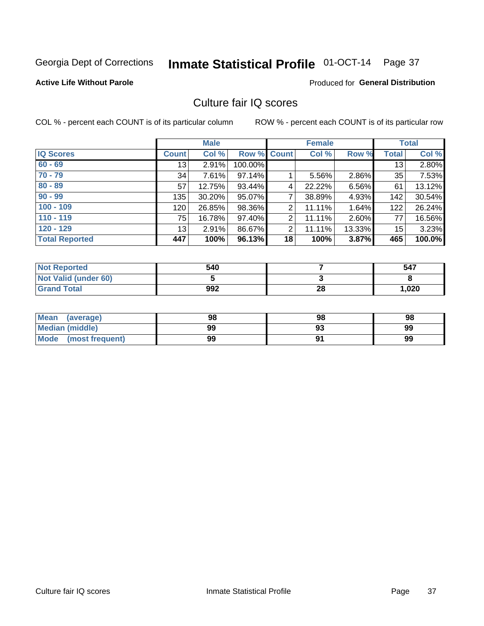# Inmate Statistical Profile 01-OCT-14 Page 37

### **Active Life Without Parole**

### **Produced for General Distribution**

# Culture fair IQ scores

COL % - percent each COUNT is of its particular column

|                       |              | <b>Male</b> |                    |                | <b>Female</b> |        |              | <b>Total</b> |
|-----------------------|--------------|-------------|--------------------|----------------|---------------|--------|--------------|--------------|
| <b>IQ Scores</b>      | <b>Count</b> | Col %       | <b>Row % Count</b> |                | Col %         | Row %  | <b>Total</b> | Col %        |
| $60 - 69$             | 13           | 2.91%       | 100.00%            |                |               |        | 13           | 2.80%        |
| $70 - 79$             | 34           | 7.61%       | 97.14%             |                | 5.56%         | 2.86%  | 35           | 7.53%        |
| $80 - 89$             | 57           | 12.75%      | 93.44%             | 4              | 22.22%        | 6.56%  | 61           | 13.12%       |
| $90 - 99$             | 135          | 30.20%      | 95.07%             | 7              | 38.89%        | 4.93%  | 142          | 30.54%       |
| $100 - 109$           | 120          | 26.85%      | 98.36%             | 2              | 11.11%        | 1.64%  | 122          | 26.24%       |
| $110 - 119$           | 75           | 16.78%      | 97.40%             | $\overline{2}$ | 11.11%        | 2.60%  | 77           | 16.56%       |
| $120 - 129$           | 13           | 2.91%       | 86.67%             | $\overline{2}$ | 11.11%        | 13.33% | 15           | 3.23%        |
| <b>Total Reported</b> | 447          | 100%        | 96.13%             | 18             | 100%          | 3.87%  | 465          | 100.0%       |

| <b>Not Reported</b>         | 540 |    | 547  |
|-----------------------------|-----|----|------|
| <b>Not Valid (under 60)</b> |     |    |      |
| <b>Grand Total</b>          | 992 | 28 | .020 |

| <b>Mean</b><br>(average) | 98 | 98 | 98 |
|--------------------------|----|----|----|
| <b>Median (middle)</b>   | 99 |    | 99 |
| Mode<br>(most frequent)  | 99 |    | 99 |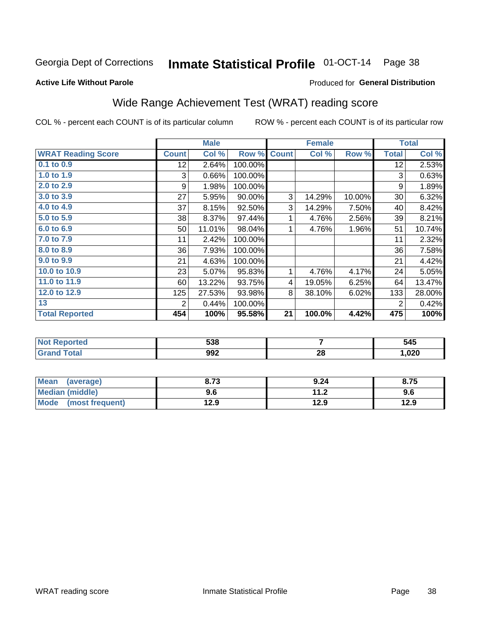# Inmate Statistical Profile 01-OCT-14 Page 38

### **Active Life Without Parole**

### Produced for General Distribution

# Wide Range Achievement Test (WRAT) reading score

COL % - percent each COUNT is of its particular column

| <b>WRAT Reading Score</b><br><b>Count</b><br>0.1 to 0.9<br>12 <sub>2</sub><br>1.0 to 1.9<br>3<br>2.0 to 2.9<br>9<br>3.0 to 3.9<br>27<br>4.0 to 4.9<br>37<br>5.0 to 5.9<br>38<br>6.0 to 6.9<br>50 | Col %<br>2.64%<br>0.66%<br>1.98%<br>5.95%<br>8.15%<br>8.37%<br>11.01% | Row %<br>100.00%<br>100.00%<br>100.00%<br>90.00%<br>92.50%<br>97.44% | <b>Count</b><br>3<br>3<br>1 | Col %<br>14.29%<br>14.29%<br>4.76% | Row %<br>10.00%<br>7.50%<br>2.56% | <b>Total</b><br>12<br>3<br>9<br>30<br>40 | Col %<br>2.53%<br>0.63%<br>1.89%<br>6.32%<br>8.42% |
|--------------------------------------------------------------------------------------------------------------------------------------------------------------------------------------------------|-----------------------------------------------------------------------|----------------------------------------------------------------------|-----------------------------|------------------------------------|-----------------------------------|------------------------------------------|----------------------------------------------------|
|                                                                                                                                                                                                  |                                                                       |                                                                      |                             |                                    |                                   |                                          |                                                    |
|                                                                                                                                                                                                  |                                                                       |                                                                      |                             |                                    |                                   |                                          |                                                    |
|                                                                                                                                                                                                  |                                                                       |                                                                      |                             |                                    |                                   |                                          |                                                    |
|                                                                                                                                                                                                  |                                                                       |                                                                      |                             |                                    |                                   |                                          |                                                    |
|                                                                                                                                                                                                  |                                                                       |                                                                      |                             |                                    |                                   |                                          |                                                    |
|                                                                                                                                                                                                  |                                                                       |                                                                      |                             |                                    |                                   |                                          |                                                    |
|                                                                                                                                                                                                  |                                                                       |                                                                      |                             |                                    |                                   | 39                                       | 8.21%                                              |
|                                                                                                                                                                                                  |                                                                       | 98.04%                                                               | 1                           | 4.76%                              | 1.96%                             | 51                                       | 10.74%                                             |
| 7.0 to 7.9<br>11                                                                                                                                                                                 | 2.42%                                                                 | 100.00%                                                              |                             |                                    |                                   | 11                                       | 2.32%                                              |
| 8.0 to 8.9<br>36                                                                                                                                                                                 | 7.93%                                                                 | 100.00%                                                              |                             |                                    |                                   | 36                                       | 7.58%                                              |
| 9.0 to 9.9<br>21                                                                                                                                                                                 | 4.63%                                                                 | 100.00%                                                              |                             |                                    |                                   | 21                                       | 4.42%                                              |
| 10.0 to 10.9<br>23                                                                                                                                                                               | 5.07%                                                                 | 95.83%                                                               | 1                           | 4.76%                              | 4.17%                             | 24                                       | 5.05%                                              |
| 11.0 to 11.9<br>60                                                                                                                                                                               | 13.22%                                                                | 93.75%                                                               | 4                           | 19.05%                             | 6.25%                             | 64                                       | 13.47%                                             |
| 12.0 to 12.9<br>125                                                                                                                                                                              | 27.53%                                                                | 93.98%                                                               | 8                           | 38.10%                             | 6.02%                             | 133                                      | 28.00%                                             |
| 13<br>2                                                                                                                                                                                          | 0.44%                                                                 | 100.00%                                                              |                             |                                    |                                   | $\overline{2}$                           | 0.42%                                              |
| <b>Total Reported</b><br>454                                                                                                                                                                     | 100%                                                                  | 95.58%                                                               | 21                          | 100.0%                             | 4.42%                             | 475                                      | 100%                                               |

| <b>Not Reported</b>   | 538 |          | 545    |
|-----------------------|-----|----------|--------|
| <b>Total</b><br>Grand | 992 | ኅር<br>ZO | 020, ا |

| Mean (average)         | 8.73 | 9.24 | 8.75 |
|------------------------|------|------|------|
| <b>Median (middle)</b> | 9.6  | 11.2 | 9.6  |
| Mode (most frequent)   | 12.9 | 12.9 | 12.9 |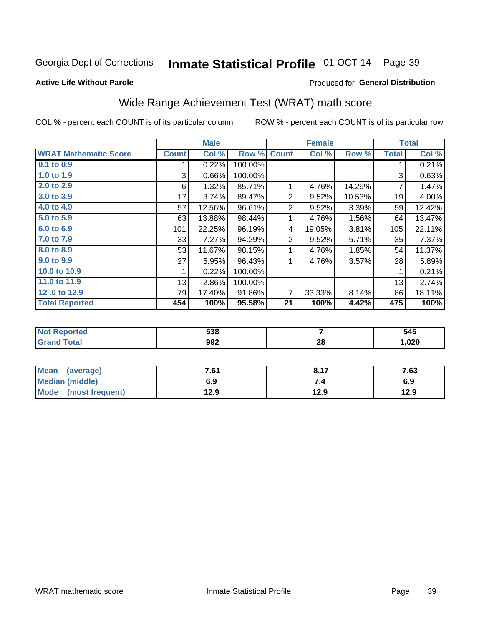#### Inmate Statistical Profile 01-OCT-14 Page 39

### **Active Life Without Parole**

### Produced for General Distribution

# Wide Range Achievement Test (WRAT) math score

COL % - percent each COUNT is of its particular column

|                              |              | <b>Male</b> |         |                | <b>Female</b> |        |              | <b>Total</b> |
|------------------------------|--------------|-------------|---------|----------------|---------------|--------|--------------|--------------|
| <b>WRAT Mathematic Score</b> | <b>Count</b> | Col %       | Row %   | <b>Count</b>   | Col %         | Row %  | <b>Total</b> | Col %        |
| $0.1$ to $0.9$               |              | 0.22%       | 100.00% |                |               |        |              | 0.21%        |
| 1.0 to 1.9                   | 3            | 0.66%       | 100.00% |                |               |        | 3            | 0.63%        |
| 2.0 to 2.9                   | 6            | 1.32%       | 85.71%  |                | 4.76%         | 14.29% | 7            | 1.47%        |
| 3.0 to 3.9                   | 17           | 3.74%       | 89.47%  | 2              | 9.52%         | 10.53% | 19           | 4.00%        |
| 4.0 to 4.9                   | 57           | 12.56%      | 96.61%  | $\overline{2}$ | 9.52%         | 3.39%  | 59           | 12.42%       |
| 5.0 to 5.9                   | 63           | 13.88%      | 98.44%  |                | 4.76%         | 1.56%  | 64           | 13.47%       |
| 6.0 to 6.9                   | 101          | 22.25%      | 96.19%  | 4              | 19.05%        | 3.81%  | 105          | 22.11%       |
| 7.0 to 7.9                   | 331          | 7.27%       | 94.29%  | $\overline{2}$ | 9.52%         | 5.71%  | 35           | 7.37%        |
| 8.0 to 8.9                   | 53           | 11.67%      | 98.15%  |                | 4.76%         | 1.85%  | 54           | 11.37%       |
| 9.0 to 9.9                   | 27           | 5.95%       | 96.43%  | 1              | 4.76%         | 3.57%  | 28           | 5.89%        |
| 10.0 to 10.9                 |              | 0.22%       | 100.00% |                |               |        | 1            | 0.21%        |
| 11.0 to $11.9$               | 13           | 2.86%       | 100.00% |                |               |        | 13           | 2.74%        |
| 12.0 to 12.9                 | 79           | 17.40%      | 91.86%  | 7              | 33.33%        | 8.14%  | 86           | 18.11%       |
| <b>Total Reported</b>        | 454          | 100%        | 95.58%  | 21             | 100%          | 4.42%  | 475          | 100%         |

| 538 |    | 545  |
|-----|----|------|
| 992 | 28 | ,020 |

| <b>Mean</b><br>(average) | 7.61 | <b>017</b><br>O. I . | 7.63 |
|--------------------------|------|----------------------|------|
| <b>Median (middle)</b>   | 6.9  |                      | 6.9  |
| Mode (most frequent)     | 12.9 | 12.9                 | 12.9 |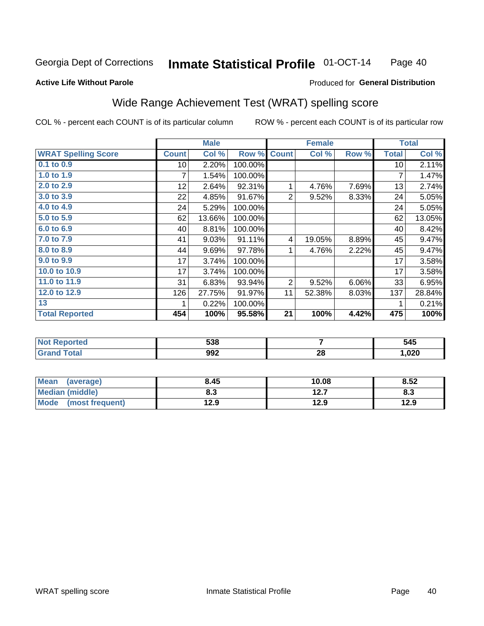#### **Inmate Statistical Profile 01-OCT-14** Page 40

### **Active Life Without Parole**

### Produced for General Distribution

# Wide Range Achievement Test (WRAT) spelling score

COL % - percent each COUNT is of its particular column

|                            |                 | <b>Male</b> |         |                | <b>Female</b> |       |              | <b>Total</b> |
|----------------------------|-----------------|-------------|---------|----------------|---------------|-------|--------------|--------------|
| <b>WRAT Spelling Score</b> | <b>Count</b>    | Col %       | Row %   | <b>Count</b>   | Col %         | Row % | <b>Total</b> | Col %        |
| $0.1$ to $0.9$             | 10 <sup>1</sup> | 2.20%       | 100.00% |                |               |       | 10           | 2.11%        |
| 1.0 to 1.9                 | 7               | 1.54%       | 100.00% |                |               |       | 7            | 1.47%        |
| 2.0 to 2.9                 | 12              | 2.64%       | 92.31%  | 1              | 4.76%         | 7.69% | 13           | 2.74%        |
| 3.0 to 3.9                 | 22              | 4.85%       | 91.67%  | $\overline{2}$ | 9.52%         | 8.33% | 24           | 5.05%        |
| 4.0 to 4.9                 | 24              | 5.29%       | 100.00% |                |               |       | 24           | 5.05%        |
| 5.0 to 5.9                 | 62              | 13.66%      | 100.00% |                |               |       | 62           | 13.05%       |
| 6.0 to 6.9                 | 40              | 8.81%       | 100.00% |                |               |       | 40           | 8.42%        |
| 7.0 to 7.9                 | 41              | 9.03%       | 91.11%  | 4              | 19.05%        | 8.89% | 45           | 9.47%        |
| 8.0 to 8.9                 | 44              | 9.69%       | 97.78%  | 1              | 4.76%         | 2.22% | 45           | 9.47%        |
| 9.0 to 9.9                 | 17              | 3.74%       | 100.00% |                |               |       | 17           | 3.58%        |
| 10.0 to 10.9               | 17              | 3.74%       | 100.00% |                |               |       | 17           | 3.58%        |
| 11.0 to 11.9               | 31              | 6.83%       | 93.94%  | 2              | 9.52%         | 6.06% | 33           | 6.95%        |
| 12.0 to 12.9               | 126             | 27.75%      | 91.97%  | 11             | 52.38%        | 8.03% | 137          | 28.84%       |
| 13                         |                 | 0.22%       | 100.00% |                |               |       | 1            | 0.21%        |
| <b>Total Reported</b>      | 454             | 100%        | 95.58%  | 21             | 100%          | 4.42% | 475          | 100%         |
|                            |                 |             |         |                |               |       |              |              |

| <b>Not Reported</b> | 538 |         | 545    |
|---------------------|-----|---------|--------|
| Total<br>'Grand     | 992 | റ<br>20 | 020, ا |

| Mean (average)         | 8.45 | 10.08 | 8.52 |
|------------------------|------|-------|------|
| <b>Median (middle)</b> | 8.3  | 12.7  | ი.ა  |
| Mode (most frequent)   | 12.9 | 12.9  | 12.9 |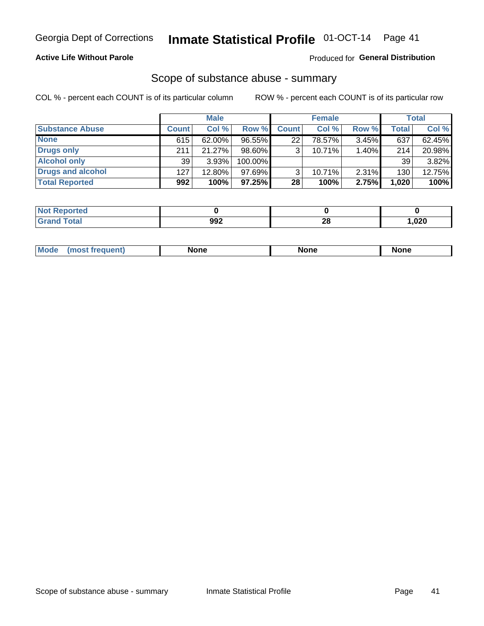### **Active Life Without Parole**

### **Produced for General Distribution**

### Scope of substance abuse - summary

COL % - percent each COUNT is of its particular column

|                        |              | <b>Male</b> |           |                 | <b>Female</b> |          |              | Total  |
|------------------------|--------------|-------------|-----------|-----------------|---------------|----------|--------------|--------|
| <b>Substance Abuse</b> | <b>Count</b> | Col %       | Row %     | <b>Count</b>    | Col %         | Row %    | <b>Total</b> | Col %  |
| <b>None</b>            | 615          | 62.00%      | 96.55%    | 22 <sub>1</sub> | 78.57%        | 3.45%    | 637          | 62.45% |
| <b>Drugs only</b>      | 211          | 21.27%      | 98.60%    |                 | 10.71%        | 1.40%    | 214          | 20.98% |
| <b>Alcohol only</b>    | 39           | $3.93\%$    | 100.00%   |                 |               |          | 39           | 3.82%  |
| Drugs and alcohol      | 127          | 12.80%      | $97.69\%$ |                 | $10.71\%$     | $2.31\%$ | 130          | 12.75% |
| <b>Total Reported</b>  | 992          | 100%        | 97.25%    | 28              | 100%          | 2.75%    | 1,020        | 100%   |

| Reported      |     |         |      |
|---------------|-----|---------|------|
| <b>c</b> otal | 992 | ഹ<br>ZQ | .020 |

| Mode<br>None<br>None<br>None<br>quenu |
|---------------------------------------|
|---------------------------------------|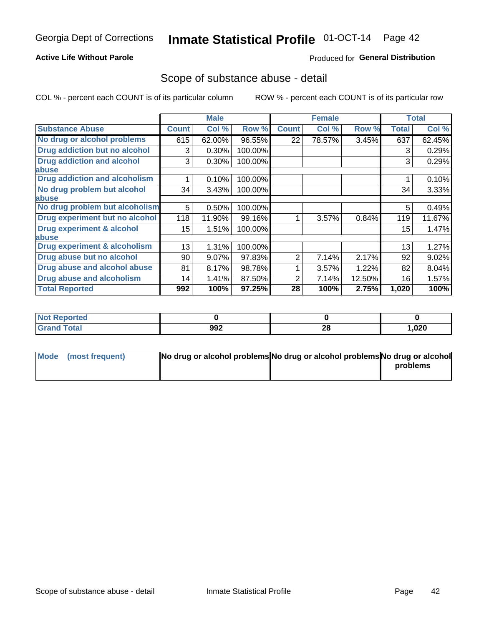### **Active Life Without Parole**

### **Produced for General Distribution**

### Scope of substance abuse - detail

COL % - percent each COUNT is of its particular column

|                                      |                 | <b>Male</b> |         |              | <b>Female</b> |        |              | <b>Total</b> |
|--------------------------------------|-----------------|-------------|---------|--------------|---------------|--------|--------------|--------------|
| <b>Substance Abuse</b>               | <b>Count</b>    | Col %       | Row %   | <b>Count</b> | Col %         | Row %  | <b>Total</b> | Col %        |
| No drug or alcohol problems          | 615             | 62.00%      | 96.55%  | 22           | 78.57%        | 3.45%  | 637          | 62.45%       |
| Drug addiction but no alcohol        | 3               | 0.30%       | 100.00% |              |               |        | 3            | 0.29%        |
| <b>Drug addiction and alcohol</b>    | 3               | 0.30%       | 100.00% |              |               |        | 3            | 0.29%        |
| <b>labuse</b>                        |                 |             |         |              |               |        |              |              |
| <b>Drug addiction and alcoholism</b> |                 | 0.10%       | 100.00% |              |               |        |              | 0.10%        |
| No drug problem but alcohol          | 34              | 3.43%       | 100.00% |              |               |        | 34           | 3.33%        |
| abuse                                |                 |             |         |              |               |        |              |              |
| No drug problem but alcoholism       | 5               | 0.50%       | 100.00% |              |               |        | 5            | 0.49%        |
| Drug experiment but no alcohol       | 118             | 11.90%      | 99.16%  |              | 3.57%         | 0.84%  | 119          | 11.67%       |
| <b>Drug experiment &amp; alcohol</b> | 15 <sub>2</sub> | 1.51%       | 100.00% |              |               |        | 15           | 1.47%        |
| abuse                                |                 |             |         |              |               |        |              |              |
| Drug experiment & alcoholism         | 13              | 1.31%       | 100.00% |              |               |        | 13           | 1.27%        |
| Drug abuse but no alcohol            | 90              | 9.07%       | 97.83%  | 2            | 7.14%         | 2.17%  | 92           | 9.02%        |
| Drug abuse and alcohol abuse         | 81              | 8.17%       | 98.78%  |              | 3.57%         | 1.22%  | 82           | 8.04%        |
| <b>Drug abuse and alcoholism</b>     | 14              | 1.41%       | 87.50%  | 2            | 7.14%         | 12.50% | 16           | 1.57%        |
| <b>Total Reported</b>                | 992             | 100%        | 97.25%  | 28           | 100%          | 2.75%  | 1,020        | 100%         |

| <b>NOT</b><br>portea |     |    |      |
|----------------------|-----|----|------|
| $\sim$               | 992 | 28 | ,020 |

| Mode (most frequent) | No drug or alcohol problems No drug or alcohol problems No drug or alcohol |          |
|----------------------|----------------------------------------------------------------------------|----------|
|                      |                                                                            | problems |
|                      |                                                                            |          |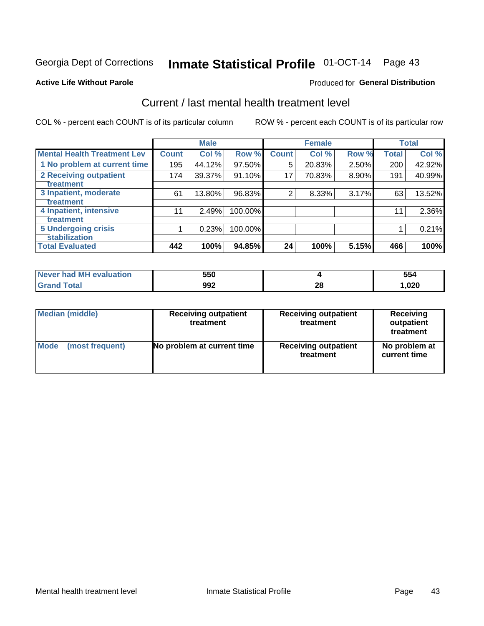# Inmate Statistical Profile 01-OCT-14 Page 43

### **Active Life Without Parole**

### Produced for General Distribution

# Current / last mental health treatment level

COL % - percent each COUNT is of its particular column

|                                                    |                    | <b>Male</b> |         |              | <b>Female</b> |          |              | <b>Total</b> |
|----------------------------------------------------|--------------------|-------------|---------|--------------|---------------|----------|--------------|--------------|
| <b>Mental Health Treatment Lev</b>                 | Count <sup>1</sup> | Col %       | Row %   | <b>Count</b> | Col %         | Row %    | <b>Total</b> | Col %        |
| 1 No problem at current time                       | 195                | 44.12%      | 97.50%  | 5            | 20.83%        | 2.50%    | 200          | 42.92%       |
| <b>2 Receiving outpatient</b><br><b>Treatment</b>  | 174                | 39.37%      | 91.10%  | 17           | 70.83%        | $8.90\%$ | 191          | 40.99%       |
| 3 Inpatient, moderate<br>Treatment                 | 61                 | 13.80%      | 96.83%  | 2            | 8.33%         | 3.17%    | 63           | 13.52%       |
| 4 Inpatient, intensive<br><b>Treatment</b>         | 11                 | 2.49%       | 100.00% |              |               |          | 11           | 2.36%        |
| <b>5 Undergoing crisis</b><br><b>stabilization</b> |                    | 0.23%       | 100.00% |              |               |          |              | 0.21%        |
| <b>Total Evaluated</b>                             | 442                | 100%        | 94.85%  | 24           | 100%          | 5.15%    | 466          | 100%         |

| had MH<br>uation<br>AVAL<br>Never I | 550 |                    | 554  |
|-------------------------------------|-----|--------------------|------|
|                                     | 992 | ኅር<br>ZO<br>$\sim$ | ,020 |

| Median (middle) | <b>Receiving outpatient</b><br>treatment | <b>Receiving outpatient</b><br>treatment | <b>Receiving</b><br>outpatient<br>treatment |  |  |
|-----------------|------------------------------------------|------------------------------------------|---------------------------------------------|--|--|
| Mode            | No problem at current time               | <b>Receiving outpatient</b>              | No problem at                               |  |  |
| (most frequent) |                                          | treatment                                | current time                                |  |  |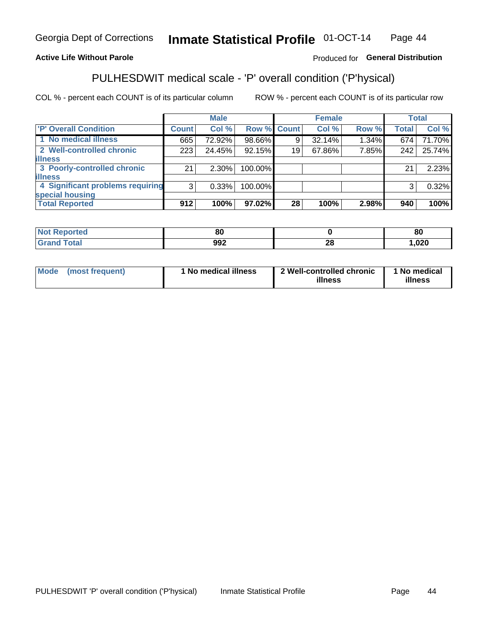#### Inmate Statistical Profile 01-OCT-14 Page 44

### **Active Life Without Parole**

### Produced for General Distribution

# PULHESDWIT medical scale - 'P' overall condition ('P'hysical)

COL % - percent each COUNT is of its particular column

|                                  |                | <b>Male</b> |             |    | <b>Female</b> |          |              | <b>Total</b> |
|----------------------------------|----------------|-------------|-------------|----|---------------|----------|--------------|--------------|
| 'P' Overall Condition            | Count l        | Col %       | Row % Count |    | Col %         | Row %    | <b>Total</b> | Col %        |
| 1 No medical illness             | 665            | 72.92%      | 98.66%      | 9  | 32.14%        | $1.34\%$ | 674          | 71.70%       |
| 2 Well-controlled chronic        | 223            | 24.45%      | 92.15%      | 19 | 67.86%        | 7.85%    | 242          | 25.74%       |
| <b>illness</b>                   |                |             |             |    |               |          |              |              |
| 3 Poorly-controlled chronic      | 21             | $2.30\%$    | 100.00%     |    |               |          | 21           | 2.23%        |
| <b>illness</b>                   |                |             |             |    |               |          |              |              |
| 4 Significant problems requiring | 3 <sup>1</sup> | 0.33%       | 100.00%     |    |               |          | 3            | 0.32%        |
| special housing                  |                |             |             |    |               |          |              |              |
| <b>Total Reported</b>            | 912            | 100%        | 97.02%      | 28 | 100%          | 2.98%    | 940          | 100%         |

| 80   |          | $\mathbf{a}$<br>or |
|------|----------|--------------------|
| nn o | n.<br>Z, | non.<br>ט∡ט,       |

| <b>Mode</b> | (most frequent) | 1 No medical illness | 2 Well-controlled chronic<br>illness | 1 No medical<br>illness |
|-------------|-----------------|----------------------|--------------------------------------|-------------------------|
|-------------|-----------------|----------------------|--------------------------------------|-------------------------|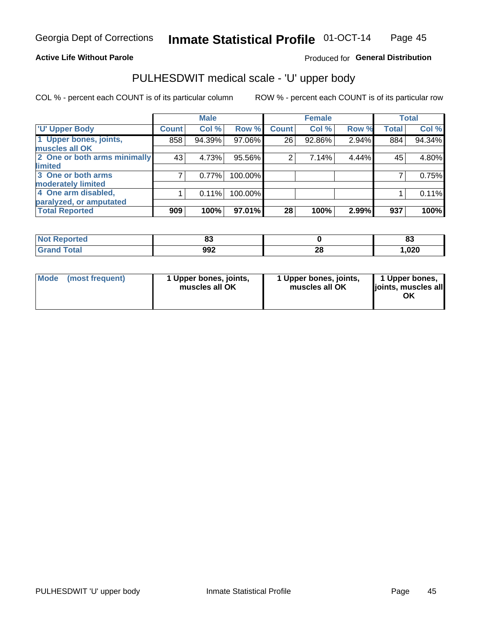### **Active Life Without Parole**

### Produced for General Distribution

# PULHESDWIT medical scale - 'U' upper body

COL % - percent each COUNT is of its particular column

|                              |               | <b>Male</b> |         |              | <b>Female</b> |       |              | <b>Total</b> |
|------------------------------|---------------|-------------|---------|--------------|---------------|-------|--------------|--------------|
| <b>U' Upper Body</b>         | <b>Count!</b> | Col %       | Row %   | <b>Count</b> | Col %         | Row % | <b>Total</b> | Col %        |
| 1 Upper bones, joints,       | 858           | 94.39%      | 97.06%  | 26           | 92.86%        | 2.94% | 884          | 94.34%       |
| muscles all OK               |               |             |         |              |               |       |              |              |
| 2 One or both arms minimally | 43            | 4.73%       | 95.56%  | 2            | 7.14%         | 4.44% | 45           | 4.80%        |
| limited                      |               |             |         |              |               |       |              |              |
| 3 One or both arms           | 7             | 0.77%       | 100.00% |              |               |       |              | 0.75%        |
| <b>moderately limited</b>    |               |             |         |              |               |       |              |              |
| 4 One arm disabled,          |               | 0.11%       | 100.00% |              |               |       |              | 0.11%        |
| paralyzed, or amputated      |               |             |         |              |               |       |              |              |
| <b>Total Reported</b>        | 909           | 100%        | 97.01%  | 28           | 100%          | 2.99% | 937          | 100%         |

| <b>Not Reported</b> | uu  |         | o.<br>o. |
|---------------------|-----|---------|----------|
| <b>Total</b>        | 992 | ጣ<br>40 | .020     |

| Mode | (most frequent) | 1 Upper bones, joints,<br>muscles all OK | 1 Upper bones, joints,<br>muscles all OK | 1 Upper bones,<br>ljoints, muscles all<br>OK |
|------|-----------------|------------------------------------------|------------------------------------------|----------------------------------------------|
|------|-----------------|------------------------------------------|------------------------------------------|----------------------------------------------|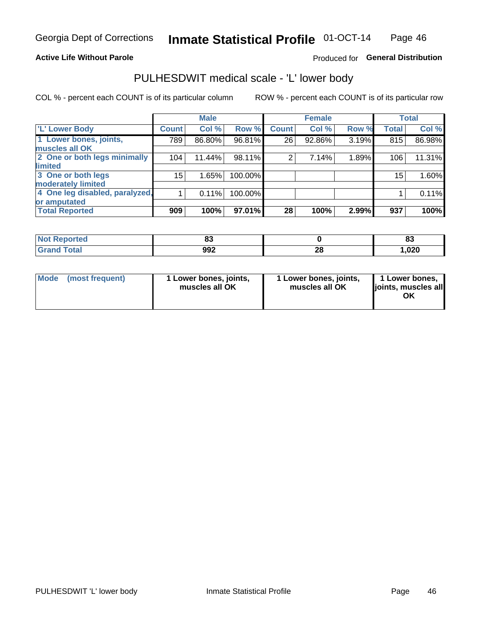### **Active Life Without Parole**

### Produced for General Distribution

# PULHESDWIT medical scale - 'L' lower body

COL % - percent each COUNT is of its particular column

|                                |              | <b>Male</b> |         |                | <b>Female</b> |       |              | <b>Total</b> |
|--------------------------------|--------------|-------------|---------|----------------|---------------|-------|--------------|--------------|
| 'L' Lower Body                 | <b>Count</b> | Col %       | Row %   | <b>Count</b>   | Col %         | Row % | <b>Total</b> | Col %        |
| 1 Lower bones, joints,         | 789          | 86.80%      | 96.81%  | 26             | 92.86%        | 3.19% | 815          | 86.98%       |
| muscles all OK                 |              |             |         |                |               |       |              |              |
| 2 One or both legs minimally   | 104          | 11.44%      | 98.11%  | $\overline{2}$ | 7.14%         | 1.89% | 106          | 11.31%       |
| limited                        |              |             |         |                |               |       |              |              |
| 3 One or both legs             | 15           | 1.65%       | 100.00% |                |               |       | 15           | 1.60%        |
| moderately limited             |              |             |         |                |               |       |              |              |
| 4 One leg disabled, paralyzed, |              | 0.11%       | 100.00% |                |               |       |              | 0.11%        |
| or amputated                   |              |             |         |                |               |       |              |              |
| <b>Total Reported</b>          | 909          | 100%        | 97.01%  | 28             | 100%          | 2.99% | 937          | 100%         |

| <b>Not Reported</b> | uu  |         | o.<br>o. |
|---------------------|-----|---------|----------|
| <b>Grand Total</b>  | 992 | ጣ<br>ZO | 020, ا   |

| Mode | (most frequent) | 1 Lower bones, joints,<br>muscles all OK | 1 Lower bones, joints,<br>muscles all OK | 1 Lower bones,<br>ljoints, muscles all<br>ΟK |
|------|-----------------|------------------------------------------|------------------------------------------|----------------------------------------------|
|------|-----------------|------------------------------------------|------------------------------------------|----------------------------------------------|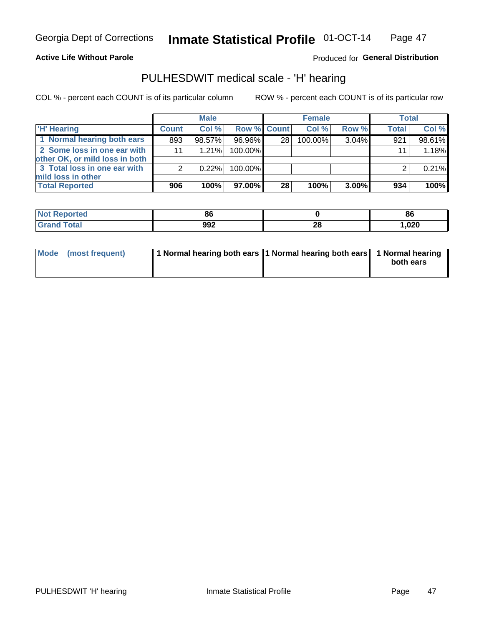### **Active Life Without Parole**

### Produced for General Distribution

## PULHESDWIT medical scale - 'H' hearing

COL % - percent each COUNT is of its particular column

|                                                               |              | <b>Male</b> |             |    | <b>Female</b> |          | <b>Total</b> |        |
|---------------------------------------------------------------|--------------|-------------|-------------|----|---------------|----------|--------------|--------|
| <b>'H' Hearing</b>                                            | <b>Count</b> | Col%        | Row % Count |    | Col%          | Row %    | <b>Total</b> | Col %  |
| 1 Normal hearing both ears                                    | 893          | 98.57%      | 96.96%      | 28 | 100.00%       | 3.04%    | 921          | 98.61% |
| 2 Some loss in one ear with<br>other OK, or mild loss in both | 11           | 1.21%       | 100.00%     |    |               |          | 11           | 1.18%  |
| 3 Total loss in one ear with<br>mild loss in other            | 2            | 0.22%       | 100.00%     |    |               |          |              | 0.21%  |
| <b>Total Reported</b>                                         | 906          | 100%        | 97.00%      | 28 | 100%          | $3.00\%$ | 934          | 100%   |

| <b>rted</b><br>N. | oc        |           | 86   |
|-------------------|-----------|-----------|------|
| <b>otal</b>       | രാ<br>ງງ∠ | ne.<br>ZС | ,020 |

| Mode (most frequent) | 1 Normal hearing both ears 1 Normal hearing both ears 1 Normal hearing | both ears |
|----------------------|------------------------------------------------------------------------|-----------|
|----------------------|------------------------------------------------------------------------|-----------|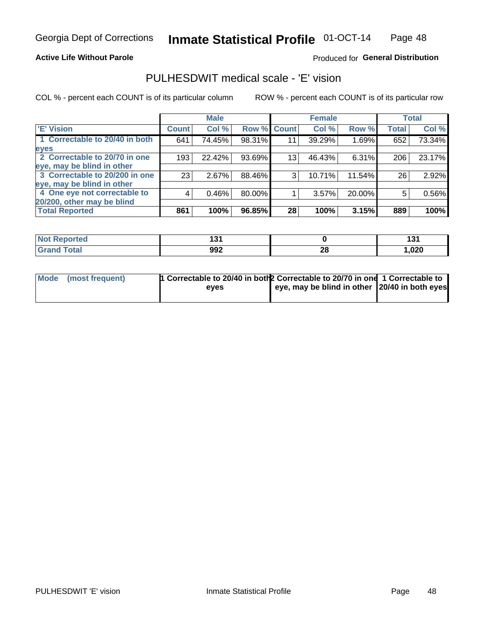### **Active Life Without Parole**

### Produced for General Distribution

## PULHESDWIT medical scale - 'E' vision

COL % - percent each COUNT is of its particular column

|                                |              | <b>Male</b> |             |                 | <b>Female</b> |        |              | <b>Total</b> |
|--------------------------------|--------------|-------------|-------------|-----------------|---------------|--------|--------------|--------------|
| <b>E' Vision</b>               | <b>Count</b> | Col %       | Row % Count |                 | Col %         | Row %  | <b>Total</b> | Col %        |
| 1 Correctable to 20/40 in both | 641          | 74.45%      | 98.31%      | 11              | 39.29%        | 1.69%  | 652          | 73.34%       |
| eyes                           |              |             |             |                 |               |        |              |              |
| 2 Correctable to 20/70 in one  | 193          | 22.42%      | 93.69%      | 13 <sub>1</sub> | 46.43%        | 6.31%  | 206          | 23.17%       |
| eye, may be blind in other     |              |             |             |                 |               |        |              |              |
| 3 Correctable to 20/200 in one | 23           | 2.67%       | 88.46%      | 3               | 10.71%        | 11.54% | 26           | 2.92%        |
| eye, may be blind in other     |              |             |             |                 |               |        |              |              |
| 4 One eye not correctable to   | 4            | 0.46%       | 80.00%      |                 | 3.57%         | 20.00% | 5            | 0.56%        |
| 20/200, other may be blind     |              |             |             |                 |               |        |              |              |
| <b>Total Reported</b>          | 861          | 100%        | 96.85%      | 28              | 100%          | 3.15%  | 889          | 100%         |

| <b>Not Reported</b>   | 19,<br>ט ו |           | 40<br>w |
|-----------------------|------------|-----------|---------|
| <b>Total</b><br>Grand | 992        | ne.<br>ZС | ,020    |

| Mode (most frequent) | 1 Correctable to 20/40 in both 2 Correctable to 20/70 in one 1 Correctable to<br>eves | eye, may be blind in other 20/40 in both eyes |  |
|----------------------|---------------------------------------------------------------------------------------|-----------------------------------------------|--|
|                      |                                                                                       |                                               |  |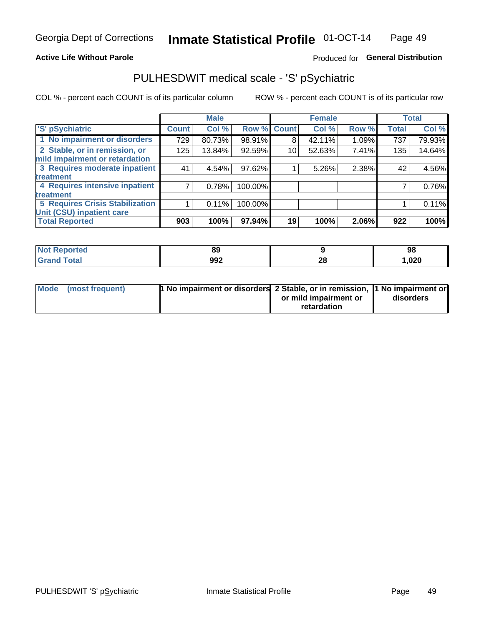### **Active Life Without Parole**

### Produced for General Distribution

# PULHESDWIT medical scale - 'S' pSychiatric

COL % - percent each COUNT is of its particular column

|                                        |              | <b>Male</b> |         |             | <b>Female</b> |       |              | <b>Total</b> |
|----------------------------------------|--------------|-------------|---------|-------------|---------------|-------|--------------|--------------|
| 'S' pSychiatric                        | <b>Count</b> | Col %       |         | Row % Count | Col %         | Row % | <b>Total</b> | Col %        |
| 1 No impairment or disorders           | 729          | 80.73%      | 98.91%  | 8           | 42.11%        | 1.09% | 737          | 79.93%       |
| 2 Stable, or in remission, or          | 125          | 13.84%      | 92.59%  | 10          | 52.63%        | 7.41% | 135          | 14.64%       |
| mild impairment or retardation         |              |             |         |             |               |       |              |              |
| 3 Requires moderate inpatient          | 41           | 4.54%       | 97.62%  |             | 5.26%         | 2.38% | 42           | 4.56%        |
| treatment                              |              |             |         |             |               |       |              |              |
| 4 Requires intensive inpatient         |              | 0.78%       | 100.00% |             |               |       |              | 0.76%        |
| treatment                              |              |             |         |             |               |       |              |              |
| <b>5 Requires Crisis Stabilization</b> |              | 0.11%       | 100.00% |             |               |       |              | 0.11%        |
| Unit (CSU) inpatient care              |              |             |         |             |               |       |              |              |
| <b>Total Reported</b>                  | 903          | 100%        | 97.94%  | 19          | 100%          | 2.06% | 922          | 100%         |

| <b>Not Reported</b> | <b>89</b> |          | 98    |
|---------------------|-----------|----------|-------|
| <b>Total</b>        | 992       | n,<br>ZС | 1,020 |

| Mode (most frequent) | <b>1 No impairment or disorders</b> 2 Stable, or in remission, 11 No impairment or |                       |           |
|----------------------|------------------------------------------------------------------------------------|-----------------------|-----------|
|                      |                                                                                    | or mild impairment or | disorders |
|                      |                                                                                    | retardation           |           |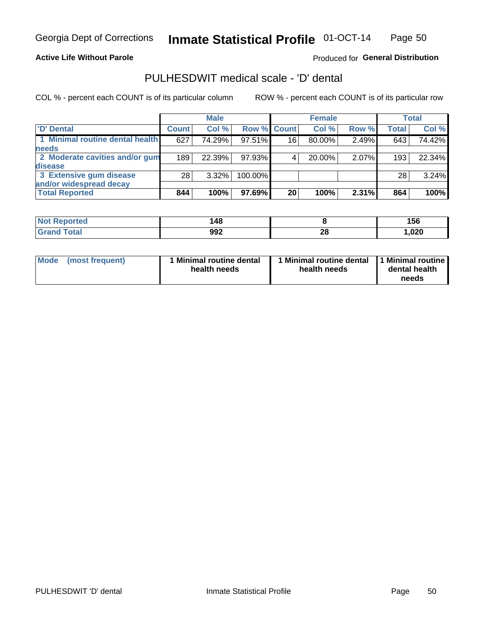### **Active Life Without Parole**

Produced for General Distribution

# PULHESDWIT medical scale - 'D' dental

COL % - percent each COUNT is of its particular column

|                                 |              | <b>Male</b> |                    |    | <b>Female</b> |       |              | Total  |
|---------------------------------|--------------|-------------|--------------------|----|---------------|-------|--------------|--------|
| 'D' Dental                      | <b>Count</b> | Col %       | <b>Row % Count</b> |    | Col %         | Row % | <b>Total</b> | Col %  |
| 1 Minimal routine dental health | 627          | 74.29%      | 97.51%             | 16 | 80.00%        | 2.49% | 643          | 74.42% |
| <b>needs</b>                    |              |             |                    |    |               |       |              |        |
| 2 Moderate cavities and/or gum  | 189          | 22.39%      | 97.93%             |    | 20.00%        | 2.07% | 193          | 22.34% |
| <b>disease</b>                  |              |             |                    |    |               |       |              |        |
| 3 Extensive gum disease         | 28           | $3.32\%$    | 100.00%            |    |               |       | 28           | 3.24%  |
| and/or widespread decay         |              |             |                    |    |               |       |              |        |
| <b>Total Reported</b>           | 844          | 100%        | 97.69%             | 20 | 100%          | 2.31% | 864          | 100%   |

| prtea<br>NOT R<br> | 148 |          | 156    |
|--------------------|-----|----------|--------|
| Tota               | 992 | ጎሮ<br>ZO | 020, ا |

| Mode<br>(most frequent) | Minimal routine dental<br>health needs | <b>Minimal routine dental</b><br>health needs | 1 Minimal routine<br>dental health<br>needs |
|-------------------------|----------------------------------------|-----------------------------------------------|---------------------------------------------|
|-------------------------|----------------------------------------|-----------------------------------------------|---------------------------------------------|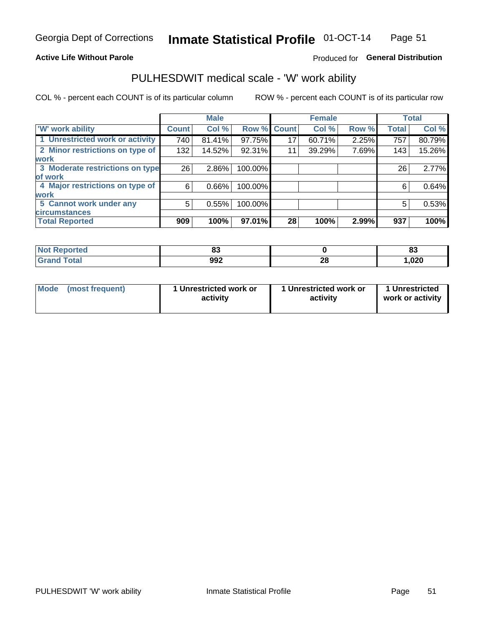### **Active Life Without Parole**

### Produced for General Distribution

# PULHESDWIT medical scale - 'W' work ability

COL % - percent each COUNT is of its particular column

|                                 |              | <b>Male</b> |         |             | <b>Female</b> |       |              | <b>Total</b> |
|---------------------------------|--------------|-------------|---------|-------------|---------------|-------|--------------|--------------|
| <b>W' work ability</b>          | <b>Count</b> | Col %       |         | Row % Count | Col %         | Row % | <b>Total</b> | Col %        |
| 1 Unrestricted work or activity | 740          | 81.41%      | 97.75%  | 17          | 60.71%        | 2.25% | 757          | 80.79%       |
| 2 Minor restrictions on type of | 132          | 14.52%      | 92.31%  | 11          | 39.29%        | 7.69% | 143          | 15.26%       |
| <b>work</b>                     |              |             |         |             |               |       |              |              |
| 3 Moderate restrictions on type | 26           | $2.86\%$    | 100.00% |             |               |       | 26           | 2.77%        |
| lof work                        |              |             |         |             |               |       |              |              |
| 4 Major restrictions on type of | 6            | $0.66\%$    | 100.00% |             |               |       | 6            | 0.64%        |
| <b>work</b>                     |              |             |         |             |               |       |              |              |
| 5 Cannot work under any         | 5            | 0.55%       | 100.00% |             |               |       | 5            | 0.53%        |
| <b>circumstances</b>            |              |             |         |             |               |       |              |              |
| <b>Total Reported</b>           | 909          | 100%        | 97.01%  | 28          | 100%          | 2.99% | 937          | 100%         |

| <b>Not Reported</b>           | $\mathbf{r}$<br>$\mathbf{o}$ |          | e.<br>$\bullet$ |
|-------------------------------|------------------------------|----------|-----------------|
| <b>Total</b><br>Cron<br>oranu | 992                          | ኅር<br>∠∪ | 020، ،          |

| <b>Mode</b> | (most frequent) | 1 Unrestricted work or<br>activity | 1 Unrestricted work or<br>activity | 1 Unrestricted<br>work or activity |
|-------------|-----------------|------------------------------------|------------------------------------|------------------------------------|
|-------------|-----------------|------------------------------------|------------------------------------|------------------------------------|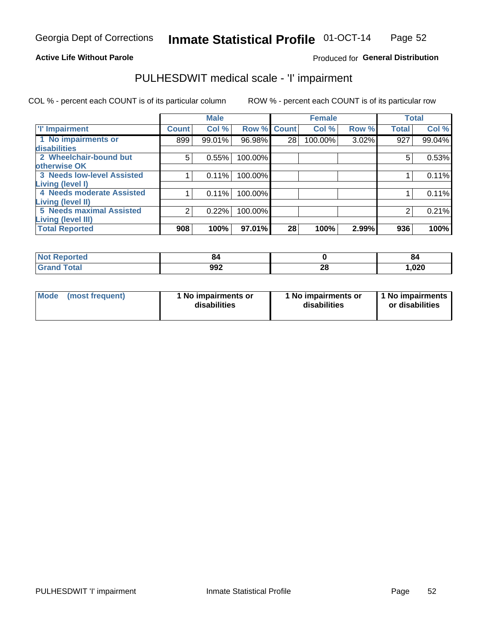### **Active Life Without Parole**

### Produced for General Distribution

# PULHESDWIT medical scale - 'I' impairment

|                                   |              | <b>Male</b> |             |    | <b>Female</b> |       |              | <b>Total</b> |
|-----------------------------------|--------------|-------------|-------------|----|---------------|-------|--------------|--------------|
| <b>T' Impairment</b>              | <b>Count</b> | Col %       | Row % Count |    | Col %         | Row % | <b>Total</b> | Col %        |
| 1 No impairments or               | 899          | 99.01%      | 96.98%      | 28 | 100.00%       | 3.02% | 927          | 99.04%       |
| disabilities                      |              |             |             |    |               |       |              |              |
| 2 Wheelchair-bound but            | 5            | 0.55%       | 100.00%     |    |               |       | 5            | 0.53%        |
| otherwise OK                      |              |             |             |    |               |       |              |              |
| <b>3 Needs low-level Assisted</b> |              | 0.11%       | 100.00%     |    |               |       |              | 0.11%        |
| Living (level I)                  |              |             |             |    |               |       |              |              |
| 4 Needs moderate Assisted         |              | 0.11%       | 100.00%     |    |               |       |              | 0.11%        |
| Living (level II)                 |              |             |             |    |               |       |              |              |
| 5 Needs maximal Assisted          | 2            | 0.22%       | 100.00%     |    |               |       | 2            | 0.21%        |
| <b>Living (level III)</b>         |              |             |             |    |               |       |              |              |
| <b>Total Reported</b>             | 908          | 100%        | 97.01%      | 28 | 100%          | 2.99% | 936          | 100%         |

| Reported     | 84  |                 | 84    |
|--------------|-----|-----------------|-------|
| <b>Total</b> | 992 | $\ddotsc$<br>ZÇ | 1,020 |

| Mode | (most frequent) | 1 No impairments or<br>disabilities | 1 No impairments or<br>disabilities | 1 No impairments<br>or disabilities |
|------|-----------------|-------------------------------------|-------------------------------------|-------------------------------------|
|------|-----------------|-------------------------------------|-------------------------------------|-------------------------------------|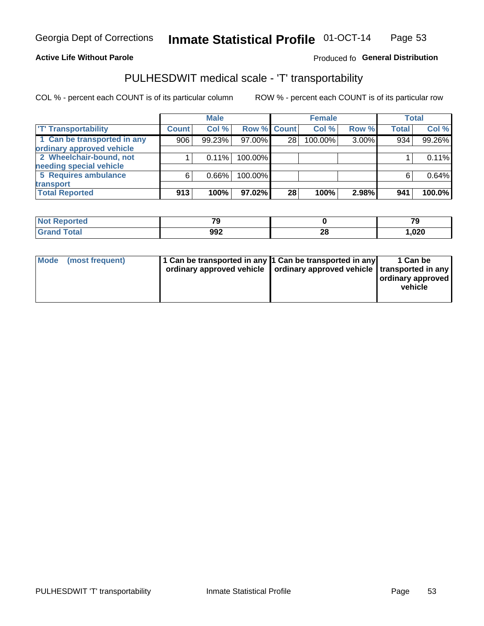### **Active Life Without Parole**

### Produced fo General Distribution

# PULHESDWIT medical scale - 'T' transportability

COL % - percent each COUNT is of its particular column

|                             |              | <b>Male</b> |             |    | <b>Female</b> |       |              | <b>Total</b> |
|-----------------------------|--------------|-------------|-------------|----|---------------|-------|--------------|--------------|
| <b>T' Transportability</b>  | <b>Count</b> | Col%        | Row % Count |    | Col %         | Row % | <b>Total</b> | Col %        |
| 1 Can be transported in any | 906          | 99.23%      | 97.00%      | 28 | 100.00%       | 3.00% | 934          | 99.26%       |
| ordinary approved vehicle   |              |             |             |    |               |       |              |              |
| 2 Wheelchair-bound, not     |              | 0.11%       | 100.00%     |    |               |       |              | 0.11%        |
| needing special vehicle     |              |             |             |    |               |       |              |              |
| 5 Requires ambulance        | 6            | 0.66%       | 100.00%     |    |               |       |              | 0.64%        |
| transport                   |              |             |             |    |               |       |              |              |
| <b>Total Reported</b>       | 913          | 100%        | 97.02%      | 28 | 100%          | 2.98% | 941          | 100.0%       |

| Reported     | 70<br>- 11 |                | 70<br>ت ، |
|--------------|------------|----------------|-----------|
| <b>Total</b> | 992        | ኅር<br>40<br>__ | 020, ا    |

| Mode (most frequent) | 1 Can be transported in any 1 Can be transported in any | ordinary approved vehicle   ordinary approved vehicle   transported in any | 1 Can be<br>  ordinary approved<br>vehicle |
|----------------------|---------------------------------------------------------|----------------------------------------------------------------------------|--------------------------------------------|
|----------------------|---------------------------------------------------------|----------------------------------------------------------------------------|--------------------------------------------|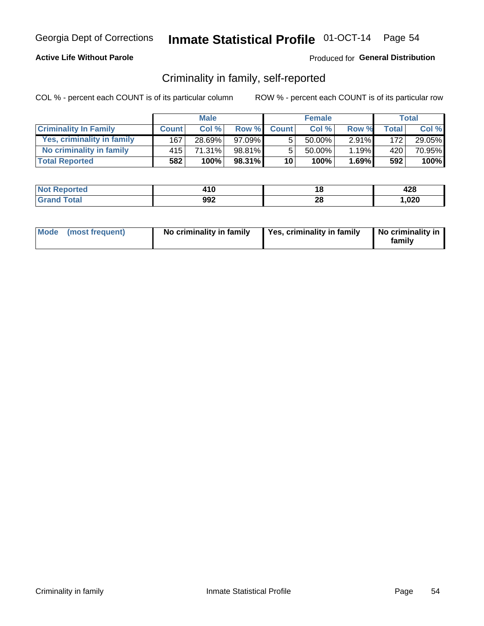### **Active Life Without Parole**

### Produced for General Distribution

## Criminality in family, self-reported

COL % - percent each COUNT is of its particular column

|                              |                  | <b>Male</b> |           |                 | <b>Female</b> |          |       | Total  |
|------------------------------|------------------|-------------|-----------|-----------------|---------------|----------|-------|--------|
| <b>Criminality In Family</b> | <b>Count</b>     | Col %       | Row %     | <b>Count</b>    | Col %         | Row %    | Total | Col %  |
| Yes, criminality in family   | 167              | 28.69%      | $97.09\%$ | 5               | 50.00%        | $2.91\%$ | 172   | 29.05% |
| No criminality in family     | 415 <sup>1</sup> | 71.31%      | 98.81%    | 5               | $50.00\%$     | 1.19%    | 420   | 70.95% |
| <b>Total Reported</b>        | 582              | 100%        | 98.31%    | 10 <sup>1</sup> | 100%          | 1.69%    | 592   | 100%   |

| <b>Not Reported</b> | 2 I V |           | 0 0 4<br>44O |
|---------------------|-------|-----------|--------------|
| <b>Total</b>        | 992   | - 0<br>20 | ,020         |

|  | Mode (most frequent) | No criminality in family | Yes, criminality in family | No criminality in<br>family |
|--|----------------------|--------------------------|----------------------------|-----------------------------|
|--|----------------------|--------------------------|----------------------------|-----------------------------|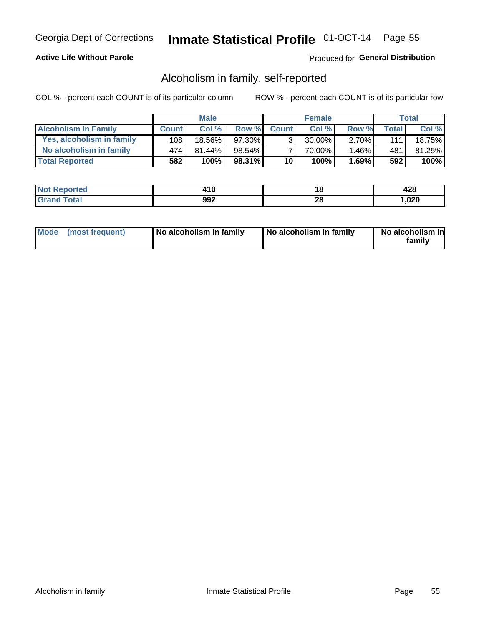### **Active Life Without Parole**

### Produced for General Distribution

## Alcoholism in family, self-reported

COL % - percent each COUNT is of its particular column

|                             |              | <b>Male</b> |           |                 | <b>Female</b> |          |       | Total   |
|-----------------------------|--------------|-------------|-----------|-----------------|---------------|----------|-------|---------|
| <b>Alcoholism In Family</b> | <b>Count</b> | Col%        | Row %     | <b>Count</b>    | Col%          | Row %    | Total | Col %   |
| Yes, alcoholism in family   | 108          | 18.56%      | 97.30%    | 3 <sub>1</sub>  | $30.00\%$     | $2.70\%$ | 111   | 18.75%  |
| No alcoholism in family     | 474          | $81.44\%$   | $98.54\%$ |                 | 70.00%        | 1.46%    | 481   | 81.25%  |
| <b>Total Reported</b>       | 582          | 100%        | 98.31%    | 10 <sup>1</sup> | 100%          | 1.69%    | 592   | $100\%$ |

| <b>Not Reported</b> | 14 A<br>. . u | ιu | 00<br>440 |
|---------------------|---------------|----|-----------|
| Total<br>Gran       | 992           | ΔU | ,020      |

|  | Mode (most frequent) | No alcoholism in family | No alcoholism in family | No alcoholism in<br>family |
|--|----------------------|-------------------------|-------------------------|----------------------------|
|--|----------------------|-------------------------|-------------------------|----------------------------|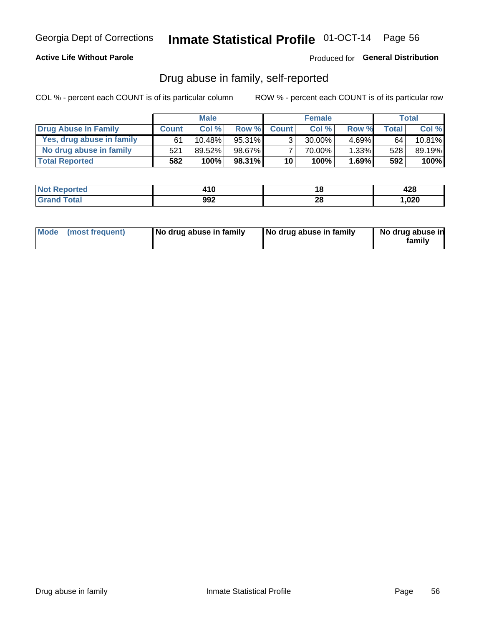### **Active Life Without Parole**

Produced for General Distribution

## Drug abuse in family, self-reported

COL % - percent each COUNT is of its particular column

|                           |              | <b>Male</b> |           |                 | <b>Female</b> |          |              | Total   |
|---------------------------|--------------|-------------|-----------|-----------------|---------------|----------|--------------|---------|
| Drug Abuse In Family      | <b>Count</b> | Col%        | Row %     | <b>Count</b>    | Col%          | Row %    | <b>Total</b> | Col %   |
| Yes, drug abuse in family | 61           | 10.48%      | 95.31%    | 3 <sub>1</sub>  | $30.00\%$     | $4.69\%$ | 64           | 10.81%  |
| No drug abuse in family   | 521          | 89.52%      | 98.67%    |                 | 70.00%        | $1.33\%$ | 528          | 89.19%  |
| <b>Total Reported</b>     | 582          | 100%        | $98.31\%$ | 10 <sub>1</sub> | 100%          | 1.69%    | 592          | $100\%$ |

| Reported<br><b>NOT</b> | 2 I V |                | າດ<br>44O |
|------------------------|-------|----------------|-----------|
| <b>otal</b>            | 992   | ົ<br>40<br>___ | ,020      |

|  | Mode (most frequent) | No drug abuse in family | No drug abuse in family | No drug abuse in<br>family |
|--|----------------------|-------------------------|-------------------------|----------------------------|
|--|----------------------|-------------------------|-------------------------|----------------------------|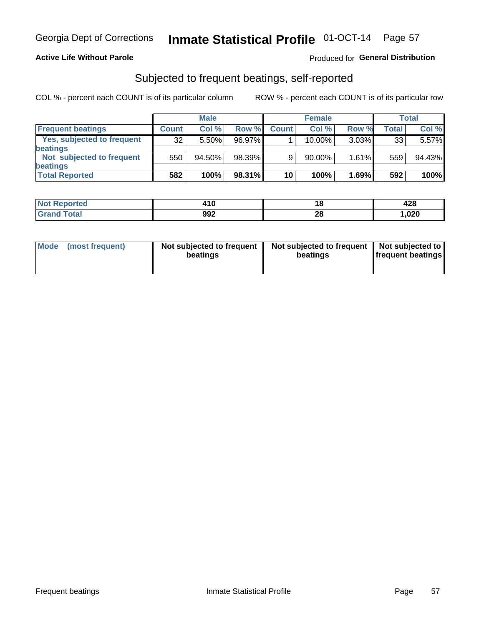### **Active Life Without Parole**

### **Produced for General Distribution**

## Subjected to frequent beatings, self-reported

COL % - percent each COUNT is of its particular column

|                                   |              | <b>Male</b> |        |              | <b>Female</b> |          |       | Total  |
|-----------------------------------|--------------|-------------|--------|--------------|---------------|----------|-------|--------|
| <b>Frequent beatings</b>          | <b>Count</b> | Col %       | Row %  | <b>Count</b> | Col %         | Row %    | Total | Col %  |
| <b>Yes, subjected to frequent</b> | 32           | 5.50%       | 96.97% |              | 10.00%        | $3.03\%$ | 33    | 5.57%  |
| <b>beatings</b>                   |              |             |        |              |               |          |       |        |
| Not subjected to frequent         | 550          | 94.50%      | 98.39% | 9            | 90.00%        | 1.61%    | 559   | 94.43% |
| <b>beatings</b>                   |              |             |        |              |               |          |       |        |
| <b>Total Reported</b>             | 582          | 100%        | 98.31% | 10           | 100%          | 1.69%    | 592   | 100%   |

| <b>Not Reported</b> | 11 L | 10. | 428    |
|---------------------|------|-----|--------|
| <b>Grand Total</b>  | 992  | 28  | 020, ا |

| Mode (most frequent) | Not subjected to frequent<br>beatings | Not subjected to frequent<br>beatings | Not subjected to<br><b>frequent beatings</b> |
|----------------------|---------------------------------------|---------------------------------------|----------------------------------------------|
|                      |                                       |                                       |                                              |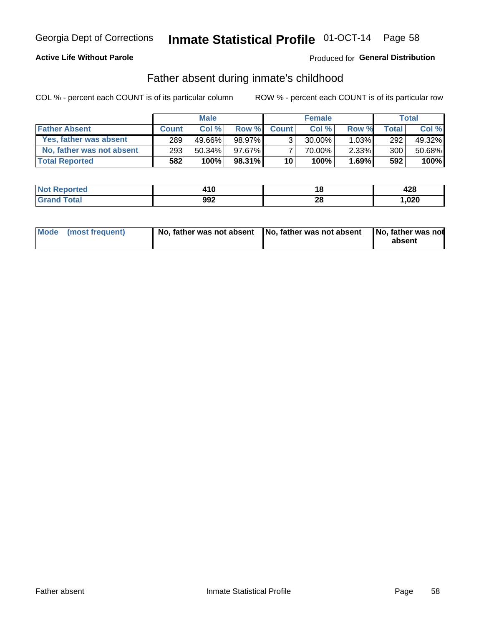### **Active Life Without Parole**

### **Produced for General Distribution**

## Father absent during inmate's childhood

COL % - percent each COUNT is of its particular column

|                           |              | <b>Male</b> |        |                 | <b>Female</b> |          |       | Total   |
|---------------------------|--------------|-------------|--------|-----------------|---------------|----------|-------|---------|
| <b>Father Absent</b>      | <b>Count</b> | Col%        | Row %  | <b>Count</b>    | Col %         | Row %    | Total | Col %   |
| Yes, father was absent    | 289          | 49.66%      | 98.97% | $\mathcal{R}$   | $30.00\%$     | $1.03\%$ | 292   | 49.32%  |
| No, father was not absent | 293          | $50.34\%$   | 97.67% |                 | 70.00%        | 2.33%    | 300   | 50.68%  |
| <b>Total Reported</b>     | 582          | 100%        | 98.31% | 10 <sup>1</sup> | 100%          | 1.69%    | 592   | $100\%$ |

| <b>Not Reported</b>     | 2 I V | . .             | ៱៱៰<br>440 |
|-------------------------|-------|-----------------|------------|
| <b>Total</b><br>' Grand | 992   | no.<br>ZС<br>__ | .020       |

| Mode (most frequent) |  | No, father was not absent No, father was not absent No, father was not | absent |
|----------------------|--|------------------------------------------------------------------------|--------|
|----------------------|--|------------------------------------------------------------------------|--------|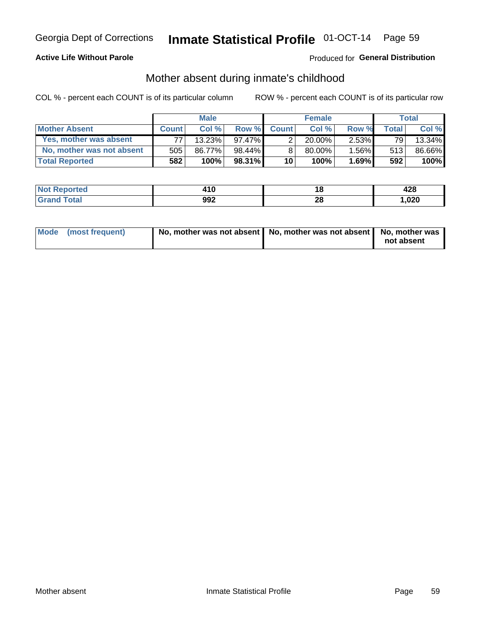### **Active Life Without Parole**

### **Produced for General Distribution**

## Mother absent during inmate's childhood

COL % - percent each COUNT is of its particular column

|                           |              | <b>Male</b> |           |              | <b>Female</b> |          |                | <b>Total</b> |
|---------------------------|--------------|-------------|-----------|--------------|---------------|----------|----------------|--------------|
| <b>Mother Absent</b>      | <b>Count</b> | Col%        | Row %     | <b>Count</b> | Col%          | Row %    | <b>Total</b> I | Col %        |
| Yes, mother was absent    | 77           | 13.23%      | 97.47%    | ◠            | $20.00\%$     | $2.53\%$ | 79             | 13.34%       |
| No, mother was not absent | 505          | 86.77%      | 98.44%    |              | $80.00\%$     | $1.56\%$ | 513            | 86.66%       |
| <b>Total Reported</b>     | 582          | 100%        | $98.31\%$ | 10           | 100%          | $1.69\%$ | 592            | 100%         |

| <b>Not Reported</b>     | 2 I V | . .             | ៱៱៰<br>440 |
|-------------------------|-------|-----------------|------------|
| <b>Total</b><br>' Grand | 992   | no.<br>ZС<br>__ | .020       |

| Mode (most frequent) | No, mother was not absent   No, mother was not absent   No, mother was | not absent |
|----------------------|------------------------------------------------------------------------|------------|
|                      |                                                                        |            |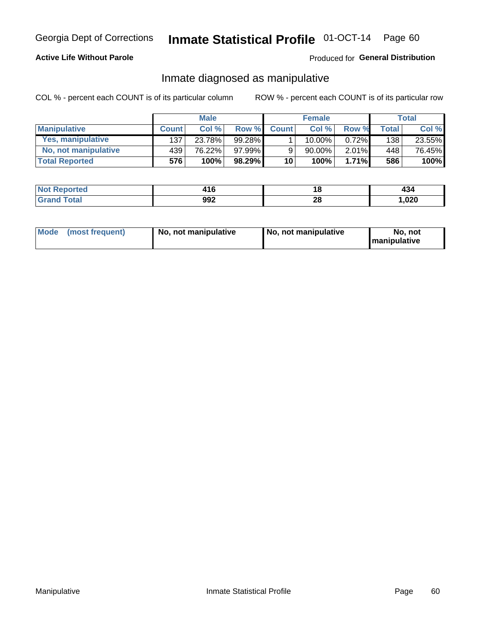### **Active Life Without Parole**

### Produced for General Distribution

## Inmate diagnosed as manipulative

COL % - percent each COUNT is of its particular column

|                          |              | <b>Male</b> |           |                 | <b>Female</b> |       |              | Total  |
|--------------------------|--------------|-------------|-----------|-----------------|---------------|-------|--------------|--------|
| <b>Manipulative</b>      | <b>Count</b> | Col %       | Row %     | <b>Count</b>    | Col %         | Row % | <b>Total</b> | Col %  |
| <b>Yes, manipulative</b> | 137          | 23.78%      | 99.28%    |                 | $10.00\%$ ,   | 0.72% | 138          | 23.55% |
| No, not manipulative     | 439'         | 76.22%      | 97.99%    | 9               | 90.00%        | 2.01% | 448          | 76.45% |
| <b>Total Reported</b>    | 576          | 100%        | $98.29\%$ | 10 <sup>1</sup> | 100%          | 1.71% | 586          | 100%   |

| <b>Not Reported</b>          | . I V | ı a           | ى ب    |
|------------------------------|-------|---------------|--------|
| <b>Fotal</b><br><b>Grano</b> | 992   | ົ<br>∠∪<br>__ | 020, ا |

|  | Mode (most frequent) | No, not manipulative | No, not manipulative | No. not<br><b>I</b> manipulative |
|--|----------------------|----------------------|----------------------|----------------------------------|
|--|----------------------|----------------------|----------------------|----------------------------------|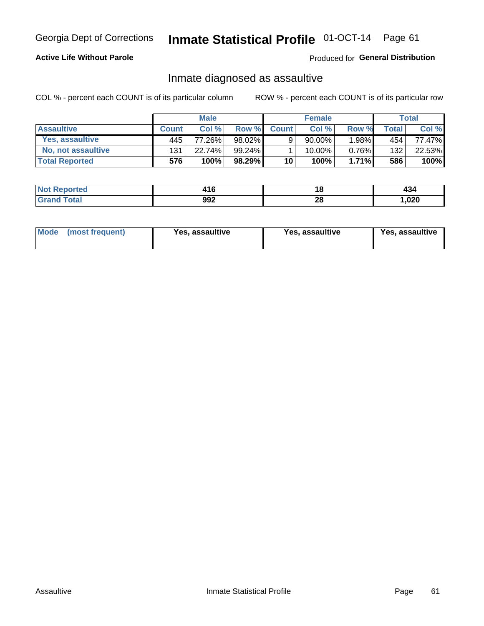# Inmate Statistical Profile 01-OCT-14 Page 61

### **Active Life Without Parole**

Produced for General Distribution

## Inmate diagnosed as assaultive

COL % - percent each COUNT is of its particular column

|                       |              | <b>Male</b> |        |              | <b>Female</b> |          |       | Total  |
|-----------------------|--------------|-------------|--------|--------------|---------------|----------|-------|--------|
| <b>Assaultive</b>     | <b>Count</b> | Col%        | Row %  | <b>Count</b> | Col %         | Row %    | Total | Col %  |
| Yes, assaultive       | 445          | 77.26%      | 98.02% | 9            | $90.00\%$ ,   | $.98\%$  | 454   | 77.47% |
| No, not assaultive    | 131          | 22.74%      | 99.24% |              | 10.00%        | $0.76\%$ | 132   | 22.53% |
| <b>Total Reported</b> | 576          | 100%        | 98.29% | 10           | 100%          | $1.71\%$ | 586   | 100%   |

| <b>Not Reported</b> | .   | 10      | 404    |
|---------------------|-----|---------|--------|
| <b>Total</b>        | 992 | ົ<br>40 | 020, ا |

| <b>Mode</b><br>(most frequent) | <b>Yes, assaultive</b> | Yes, assaultive | <b>Yes, assaultive</b> |
|--------------------------------|------------------------|-----------------|------------------------|
|--------------------------------|------------------------|-----------------|------------------------|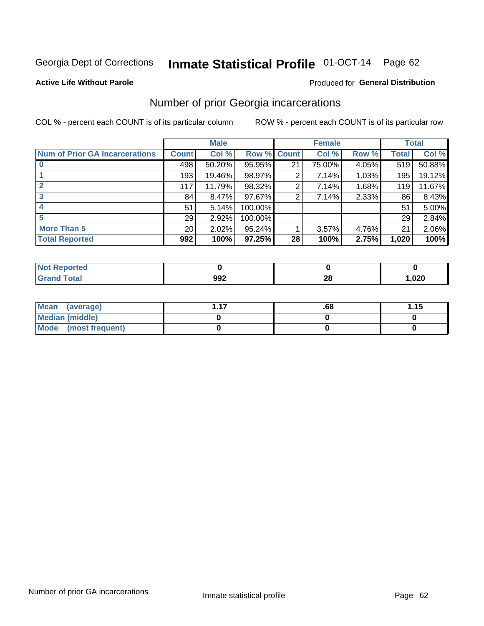# Inmate Statistical Profile 01-OCT-14 Page 62

### **Active Life Without Parole**

### Produced for General Distribution

## Number of prior Georgia incarcerations

COL % - percent each COUNT is of its particular column

|                                       |                 | <b>Male</b> |                    |    | <b>Female</b> |       |       | <b>Total</b> |
|---------------------------------------|-----------------|-------------|--------------------|----|---------------|-------|-------|--------------|
| <b>Num of Prior GA Incarcerations</b> | <b>Count</b>    | Col %       | <b>Row % Count</b> |    | Col %         | Row % | Total | Col %        |
|                                       | 498             | 50.20%      | 95.95%             | 21 | 75.00%        | 4.05% | 519   | 50.88%       |
|                                       | 193             | 19.46%      | 98.97%             | 2  | 7.14%         | 1.03% | 195   | 19.12%       |
|                                       | 117             | 11.79%      | 98.32%             | 2  | 7.14%         | 1.68% | 119   | 11.67%       |
| 3                                     | 84              | 8.47%       | 97.67%             | 2  | 7.14%         | 2.33% | 86    | 8.43%        |
|                                       | 51              | 5.14%       | 100.00%            |    |               |       | 51    | 5.00%        |
| 5                                     | 29              | 2.92%       | 100.00%            |    |               |       | 29    | 2.84%        |
| <b>More Than 5</b>                    | 20 <sub>1</sub> | 2.02%       | 95.24%             |    | 3.57%         | 4.76% | 21    | 2.06%        |
| <b>Total Reported</b>                 | 992             | 100%        | 97.25%             | 28 | 100%          | 2.75% | 1,020 | 100%         |

| rted<br><b>NOT</b> |            |          |      |
|--------------------|------------|----------|------|
| <b>c</b> otal      | nna<br>JJŁ | nr.<br>Æ | ,020 |

| Mean (average)       | .68 | 1.15 |
|----------------------|-----|------|
| Median (middle)      |     |      |
| Mode (most frequent) |     |      |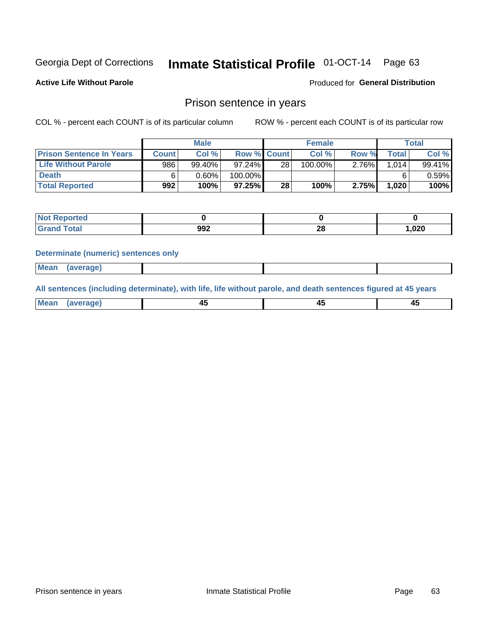# Inmate Statistical Profile 01-OCT-14 Page 63

**Active Life Without Parole** 

Produced for General Distribution

### Prison sentence in years

COL % - percent each COUNT is of its particular column

ROW % - percent each COUNT is of its particular row

|                                 |              | <b>Male</b> |                    |    | <b>Female</b> |          |             | Total  |
|---------------------------------|--------------|-------------|--------------------|----|---------------|----------|-------------|--------|
| <b>Prison Sentence In Years</b> | <b>Count</b> | Col %       | <b>Row % Count</b> |    | Col %         | Row %    | $\tau$ otal | Col %  |
| Life Without Parole             | 986          | 99.40%      | 97.24%             | 28 | 100.00%       | $2.76\%$ | 1.014       | 99.41% |
| <b>Death</b>                    |              | 0.60%       | 100.00%            |    |               |          |             | 0.59%  |
| <b>Total Reported</b>           | 992          | 100%        | 97.25%             | 28 | 100%          | 2.75%    | 1.020       | 100%   |

| ported<br><b>NOT</b> |     |          |      |
|----------------------|-----|----------|------|
| <b>Total</b>         | 992 | ററ<br>20 | ,020 |

### **Determinate (numeric) sentences only**

| ' Mea<br><b>Service</b> A<br>ЯМА. |  |  |  |
|-----------------------------------|--|--|--|
|                                   |  |  |  |

All sentences (including determinate), with life, life without parole, and death sentences figured at 45 years

| l Mea<br>'апе<br>.<br> | ᠇<br>$\sim$ | $\sim$ |  |
|------------------------|-------------|--------|--|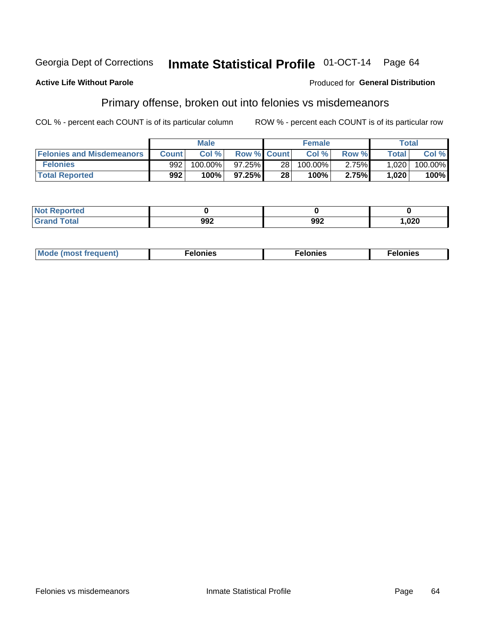### **Active Life Without Parole**

### Produced for General Distribution

## Primary offense, broken out into felonies vs misdemeanors

COL % - percent each COUNT is of its particular column

|                                  |                  | <b>Male</b> |                    |                 | <b>Female</b> |       | Total        |         |
|----------------------------------|------------------|-------------|--------------------|-----------------|---------------|-------|--------------|---------|
| <b>Felonies and Misdemeanors</b> | <b>Count</b>     | Col %       | <b>Row % Count</b> |                 | Col%          | Row % | <b>Total</b> | Col %   |
| <b>Felonies</b>                  | 992 <sub>1</sub> | $100.00\%$  | 97.25%             | 28 <sub>1</sub> | 100.00%       | 2.75% | 1,020        | 100.00% |
| <b>Total Reported</b>            | 992              | $100\%$     | $97.25\%$          | 28              | 100%          | 2.75% | 1,020        | 100%    |

| <b>Not Reported</b>         |            |     |      |
|-----------------------------|------------|-----|------|
| <b>Total</b><br>Gran<br>uuu | രാ<br>99 L | 992 | ,020 |

| $Mc$<br>equent)<br>нез<br>$\sim$<br>. | onies<br>. | <b>onies</b><br>. |
|---------------------------------------|------------|-------------------|
|---------------------------------------|------------|-------------------|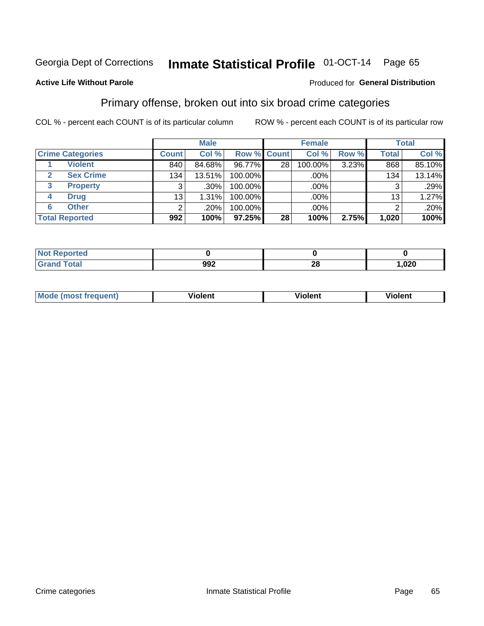#### Inmate Statistical Profile 01-OCT-14 Page 65

### **Active Life Without Parole**

### Produced for General Distribution

## Primary offense, broken out into six broad crime categories

COL % - percent each COUNT is of its particular column

|                         |              | <b>Male</b> |             |                 | <b>Female</b> |       |                 | <b>Total</b> |
|-------------------------|--------------|-------------|-------------|-----------------|---------------|-------|-----------------|--------------|
| <b>Crime Categories</b> | <b>Count</b> | Col %       | Row % Count |                 | Col %         | Row % | <b>Total</b>    | Col %        |
| <b>Violent</b>          | 840          | 84.68%      | 96.77%      | 28 <sub>1</sub> | 100.00%       | 3.23% | 868             | 85.10%       |
| <b>Sex Crime</b>        | 134          | 13.51%      | 100.00%     |                 | $.00\%$ $ $   |       | 134             | 13.14%       |
| <b>Property</b><br>3    | 3            | .30%        | 100.00%     |                 | .00%          |       | 3               | .29%         |
| <b>Drug</b><br>4        | 13           | 1.31%       | 100.00%     |                 | .00%          |       | 13 <sub>1</sub> | 1.27%        |
| <b>Other</b><br>6       | 2            | .20%        | 100.00%     |                 | $.00\%$       |       | າ               | $.20\%$      |
| <b>Total Reported</b>   | 992          | 100%        | 97.25%      | 28              | 100%          | 2.75% | 1,020           | 100%         |

| <b>Not Reported</b> |     |          |        |
|---------------------|-----|----------|--------|
| <b>Total</b>        | 992 | n.<br>40 | 020, ا |

| M | . | 40 O |
|---|---|------|
|   |   |      |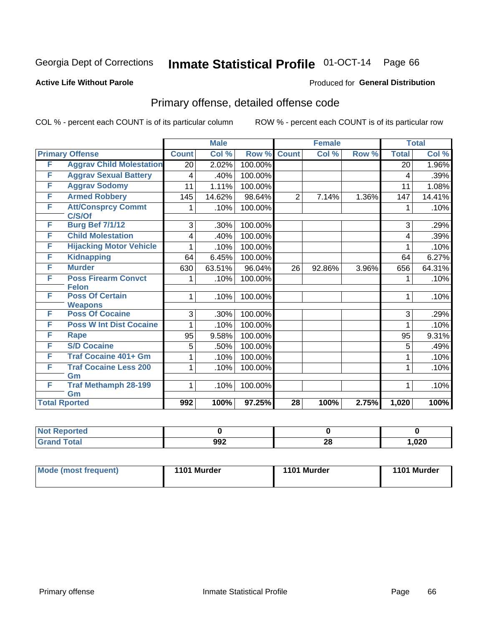# Inmate Statistical Profile 01-OCT-14 Page 66

### **Active Life Without Parole**

### Produced for General Distribution

# Primary offense, detailed offense code

COL % - percent each COUNT is of its particular column

|                      |                                            |              | <b>Male</b> |         |                 | <b>Female</b> |       |              | <b>Total</b> |
|----------------------|--------------------------------------------|--------------|-------------|---------|-----------------|---------------|-------|--------------|--------------|
|                      | <b>Primary Offense</b>                     | <b>Count</b> | Col %       | Row %   | <b>Count</b>    | Col %         | Row % | <b>Total</b> | Col %        |
| F                    | <b>Aggrav Child Molestation</b>            | 20           | 2.02%       | 100.00% |                 |               |       | 20           | 1.96%        |
| F                    | <b>Aggrav Sexual Battery</b>               | 4            | .40%        | 100.00% |                 |               |       | 4            | .39%         |
| F                    | <b>Aggrav Sodomy</b>                       | 11           | 1.11%       | 100.00% |                 |               |       | 11           | 1.08%        |
| F                    | <b>Armed Robbery</b>                       | 145          | 14.62%      | 98.64%  | $\overline{2}$  | 7.14%         | 1.36% | 147          | 14.41%       |
| F                    | <b>Att/Consprcy Commt</b><br>C/S/Of        |              | .10%        | 100.00% |                 |               |       |              | .10%         |
| F                    | <b>Burg Bef 7/1/12</b>                     | 3            | .30%        | 100.00% |                 |               |       | 3            | .29%         |
| F                    | <b>Child Molestation</b>                   | 4            | .40%        | 100.00% |                 |               |       | 4            | .39%         |
| F                    | <b>Hijacking Motor Vehicle</b>             |              | .10%        | 100.00% |                 |               |       |              | .10%         |
| F                    | <b>Kidnapping</b>                          | 64           | 6.45%       | 100.00% |                 |               |       | 64           | 6.27%        |
| F                    | <b>Murder</b>                              | 630          | 63.51%      | 96.04%  | 26              | 92.86%        | 3.96% | 656          | 64.31%       |
| F                    | <b>Poss Firearm Convct</b><br><b>Felon</b> | 1            | .10%        | 100.00% |                 |               |       | 1            | .10%         |
| F                    | <b>Poss Of Certain</b><br><b>Weapons</b>   | 1            | .10%        | 100.00% |                 |               |       | 1            | .10%         |
| F                    | <b>Poss Of Cocaine</b>                     | 3            | .30%        | 100.00% |                 |               |       | 3            | .29%         |
| F                    | <b>Poss W Int Dist Cocaine</b>             |              | .10%        | 100.00% |                 |               |       | 1            | .10%         |
| F                    | Rape                                       | 95           | 9.58%       | 100.00% |                 |               |       | 95           | 9.31%        |
| F                    | <b>S/D Cocaine</b>                         | 5            | .50%        | 100.00% |                 |               |       | 5            | .49%         |
| F                    | <b>Traf Cocaine 401+ Gm</b>                |              | .10%        | 100.00% |                 |               |       | 1            | .10%         |
| F                    | <b>Traf Cocaine Less 200</b>               | 1            | .10%        | 100.00% |                 |               |       | 1            | .10%         |
| F                    | Gm<br><b>Traf Methamph 28-199</b><br>Gm    | $\mathbf{1}$ | .10%        | 100.00% |                 |               |       | 1            | .10%         |
| <b>Total Rported</b> |                                            | 992          | 100%        | 97.25%  | $\overline{28}$ | 100%          | 2.75% | 1,020        | 100%         |

| Reported<br>' NOT |     |           |      |
|-------------------|-----|-----------|------|
| <b>Total</b>      | 992 | no.<br>20 | ,020 |

| Mode (most frequent) | 1101 Murder | 1101 Murder | 1101 Murder |
|----------------------|-------------|-------------|-------------|
|----------------------|-------------|-------------|-------------|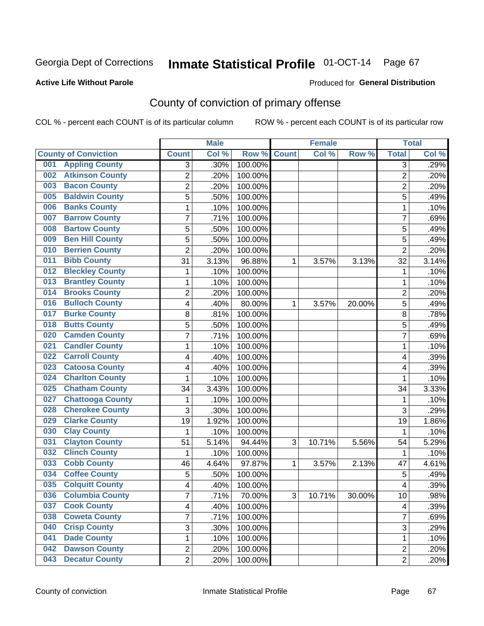### **Active Life Without Parole**

### Produced for **General Distribution**

# County of conviction of primary offense

|                                |                         | <b>Male</b> |         |              | <b>Female</b> |           |                | <b>Total</b> |
|--------------------------------|-------------------------|-------------|---------|--------------|---------------|-----------|----------------|--------------|
| <b>County of Conviction</b>    | <b>Count</b>            | Col %       | Row %   | <b>Count</b> | Col %         | Row %     | <b>Total</b>   | Col %        |
| <b>Appling County</b><br>001   | 3                       | .30%        | 100.00% |              |               |           | 3              | .29%         |
| <b>Atkinson County</b><br>002  | $\overline{2}$          | .20%        | 100.00% |              |               |           | $\overline{2}$ | .20%         |
| <b>Bacon County</b><br>003     | $\overline{c}$          | .20%        | 100.00% |              |               |           | $\overline{2}$ | .20%         |
| <b>Baldwin County</b><br>005   | $\overline{5}$          | .50%        | 100.00% |              |               |           | $\overline{5}$ | .49%         |
| <b>Banks County</b><br>006     | $\mathbf{1}$            | .10%        | 100.00% |              |               |           | $\mathbf{1}$   | .10%         |
| <b>Barrow County</b><br>007    | $\overline{7}$          | .71%        | 100.00% |              |               |           | $\overline{7}$ | .69%         |
| <b>Bartow County</b><br>008    | 5                       | .50%        | 100.00% |              |               |           | 5              | .49%         |
| <b>Ben Hill County</b><br>009  | 5                       | .50%        | 100.00% |              |               |           | 5              | .49%         |
| <b>Berrien County</b><br>010   | $\overline{2}$          | .20%        | 100.00% |              |               |           | $\overline{2}$ | .20%         |
| <b>Bibb County</b><br>011      | 31                      | 3.13%       | 96.88%  | 1            | 3.57%         | 3.13%     | 32             | 3.14%        |
| <b>Bleckley County</b><br>012  | 1                       | .10%        | 100.00% |              |               |           | 1              | .10%         |
| <b>Brantley County</b><br>013  | 1                       | .10%        | 100.00% |              |               |           | 1              | .10%         |
| <b>Brooks County</b><br>014    | $\overline{c}$          | .20%        | 100.00% |              |               |           | $\overline{2}$ | .20%         |
| <b>Bulloch County</b><br>016   | 4                       | .40%        | 80.00%  | 1            | 3.57%         | 20.00%    | 5              | .49%         |
| <b>Burke County</b><br>017     | 8                       | .81%        | 100.00% |              |               |           | 8              | .78%         |
| <b>Butts County</b><br>018     | 5                       | .50%        | 100.00% |              |               |           | 5              | .49%         |
| <b>Camden County</b><br>020    | 7                       | .71%        | 100.00% |              |               |           | $\overline{7}$ | .69%         |
| <b>Candler County</b><br>021   | $\mathbf{1}$            | .10%        | 100.00% |              |               |           | 1              | .10%         |
| <b>Carroll County</b><br>022   | 4                       | .40%        | 100.00% |              |               |           | 4              | .39%         |
| <b>Catoosa County</b><br>023   | 4                       | .40%        | 100.00% |              |               |           | 4              | .39%         |
| <b>Charlton County</b><br>024  | 1                       | .10%        | 100.00% |              |               |           | 1              | .10%         |
| <b>Chatham County</b><br>025   | 34                      | 3.43%       | 100.00% |              |               |           | 34             | 3.33%        |
| <b>Chattooga County</b><br>027 | 1                       | .10%        | 100.00% |              |               |           | 1              | .10%         |
| <b>Cherokee County</b><br>028  | 3                       | .30%        | 100.00% |              |               |           | 3              | .29%         |
| <b>Clarke County</b><br>029    | 19                      | 1.92%       | 100.00% |              |               |           | 19             | 1.86%        |
| <b>Clay County</b><br>030      | $\mathbf{1}$            | .10%        | 100.00% |              |               |           | 1              | .10%         |
| <b>Clayton County</b><br>031   | 51                      | 5.14%       | 94.44%  | 3            | 10.71%        | 5.56%     | 54             | 5.29%        |
| <b>Clinch County</b><br>032    | 1                       | .10%        | 100.00% |              |               |           | 1              | .10%         |
| <b>Cobb County</b><br>033      | 46                      | 4.64%       | 97.87%  | 1            | 3.57%         | 2.13%     | 47             | 4.61%        |
| <b>Coffee County</b><br>034    | 5                       | .50%        | 100.00% |              |               |           | 5              | .49%         |
| <b>Colquitt County</b><br>035  | 4                       | .40%        | 100.00% |              |               |           | 4              | .39%         |
| <b>Columbia County</b><br>036  | 7                       | .71%        | 70.00%  | 3            | 10.71%        | $30.00\%$ | 10             | .98%         |
| 037<br><b>Cook County</b>      | $\overline{\mathbf{4}}$ | .40%        | 100.00% |              |               |           | 4              | .39%         |
| <b>Coweta County</b><br>038    | 7                       | .71%        | 100.00% |              |               |           | $\overline{7}$ | .69%         |
| <b>Crisp County</b><br>040     | 3                       | .30%        | 100.00% |              |               |           | 3              | .29%         |
| <b>Dade County</b><br>041      | 1                       | .10%        | 100.00% |              |               |           | $\mathbf{1}$   | .10%         |
| <b>Dawson County</b><br>042    | $\overline{c}$          | .20%        | 100.00% |              |               |           | $\overline{c}$ | .20%         |
| <b>Decatur County</b><br>043   | $\overline{2}$          | .20%        | 100.00% |              |               |           | $\overline{2}$ | .20%         |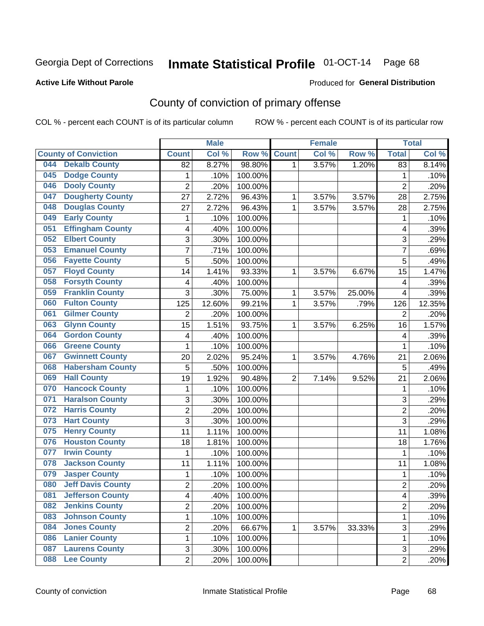### **Active Life Without Parole**

### Produced for **General Distribution**

# County of conviction of primary offense

|     |                             |                         | <b>Male</b> |         |                | <b>Female</b> |        |                | <b>Total</b> |
|-----|-----------------------------|-------------------------|-------------|---------|----------------|---------------|--------|----------------|--------------|
|     | <b>County of Conviction</b> | <b>Count</b>            | Col %       | Row %   | <b>Count</b>   | Col %         | Row %  | <b>Total</b>   | Col %        |
| 044 | <b>Dekalb County</b>        | 82                      | 8.27%       | 98.80%  | 1              | 3.57%         | 1.20%  | 83             | 8.14%        |
| 045 | <b>Dodge County</b>         | $\mathbf{1}$            | .10%        | 100.00% |                |               |        | 1              | .10%         |
| 046 | <b>Dooly County</b>         | $\overline{2}$          | .20%        | 100.00% |                |               |        | $\overline{2}$ | .20%         |
| 047 | <b>Dougherty County</b>     | 27                      | 2.72%       | 96.43%  | 1              | 3.57%         | 3.57%  | 28             | 2.75%        |
| 048 | <b>Douglas County</b>       | 27                      | 2.72%       | 96.43%  | $\mathbf{1}$   | 3.57%         | 3.57%  | 28             | 2.75%        |
| 049 | <b>Early County</b>         | 1                       | .10%        | 100.00% |                |               |        | 1              | .10%         |
| 051 | <b>Effingham County</b>     | 4                       | .40%        | 100.00% |                |               |        | 4              | .39%         |
| 052 | <b>Elbert County</b>        | 3                       | .30%        | 100.00% |                |               |        | 3              | .29%         |
| 053 | <b>Emanuel County</b>       | $\overline{7}$          | .71%        | 100.00% |                |               |        | 7              | .69%         |
| 056 | <b>Fayette County</b>       | 5                       | .50%        | 100.00% |                |               |        | 5              | .49%         |
| 057 | <b>Floyd County</b>         | 14                      | 1.41%       | 93.33%  | 1              | 3.57%         | 6.67%  | 15             | 1.47%        |
| 058 | <b>Forsyth County</b>       | 4                       | .40%        | 100.00% |                |               |        | 4              | .39%         |
| 059 | <b>Franklin County</b>      | 3                       | .30%        | 75.00%  | 1              | 3.57%         | 25.00% | 4              | .39%         |
| 060 | <b>Fulton County</b>        | 125                     | 12.60%      | 99.21%  | 1              | 3.57%         | .79%   | 126            | 12.35%       |
| 061 | <b>Gilmer County</b>        | $\overline{2}$          | .20%        | 100.00% |                |               |        | $\overline{2}$ | .20%         |
| 063 | <b>Glynn County</b>         | 15                      | 1.51%       | 93.75%  | 1              | 3.57%         | 6.25%  | 16             | 1.57%        |
| 064 | <b>Gordon County</b>        | 4                       | .40%        | 100.00% |                |               |        | 4              | .39%         |
| 066 | <b>Greene County</b>        | $\mathbf{1}$            | .10%        | 100.00% |                |               |        | $\mathbf{1}$   | .10%         |
| 067 | <b>Gwinnett County</b>      | 20                      | 2.02%       | 95.24%  | 1              | 3.57%         | 4.76%  | 21             | 2.06%        |
| 068 | <b>Habersham County</b>     | 5                       | .50%        | 100.00% |                |               |        | 5              | .49%         |
| 069 | <b>Hall County</b>          | 19                      | 1.92%       | 90.48%  | $\overline{2}$ | 7.14%         | 9.52%  | 21             | 2.06%        |
| 070 | <b>Hancock County</b>       | 1                       | .10%        | 100.00% |                |               |        | $\mathbf{1}$   | .10%         |
| 071 | <b>Haralson County</b>      | 3                       | .30%        | 100.00% |                |               |        | 3              | .29%         |
| 072 | <b>Harris County</b>        | $\overline{c}$          | .20%        | 100.00% |                |               |        | $\overline{2}$ | .20%         |
| 073 | <b>Hart County</b>          | 3                       | .30%        | 100.00% |                |               |        | 3              | .29%         |
| 075 | <b>Henry County</b>         | 11                      | 1.11%       | 100.00% |                |               |        | 11             | 1.08%        |
| 076 | <b>Houston County</b>       | 18                      | 1.81%       | 100.00% |                |               |        | 18             | 1.76%        |
| 077 | <b>Irwin County</b>         | 1                       | .10%        | 100.00% |                |               |        | 1              | .10%         |
| 078 | <b>Jackson County</b>       | 11                      | 1.11%       | 100.00% |                |               |        | 11             | 1.08%        |
| 079 | <b>Jasper County</b>        | 1                       | .10%        | 100.00% |                |               |        | $\mathbf{1}$   | .10%         |
| 080 | <b>Jeff Davis County</b>    | $\overline{c}$          | .20%        | 100.00% |                |               |        | $\overline{2}$ | .20%         |
| 081 | <b>Jefferson County</b>     | 4                       | .40%        | 100.00% |                |               |        | 4              | .39%         |
| 082 | <b>Jenkins County</b>       | $\overline{2}$          | .20%        | 100.00% |                |               |        | $\overline{2}$ | .20%         |
| 083 | <b>Johnson County</b>       | 1                       | .10%        | 100.00% |                |               |        | $\mathbf{1}$   | .10%         |
| 084 | <b>Jones County</b>         | $\overline{\mathbf{c}}$ | .20%        | 66.67%  | 1              | 3.57%         | 33.33% | $\overline{3}$ | .29%         |
| 086 | <b>Lanier County</b>        | 1                       | .10%        | 100.00% |                |               |        | 1              | .10%         |
| 087 | <b>Laurens County</b>       | 3                       | .30%        | 100.00% |                |               |        | 3              | .29%         |
| 088 | <b>Lee County</b>           | $\overline{2}$          | .20%        | 100.00% |                |               |        | $\overline{2}$ | .20%         |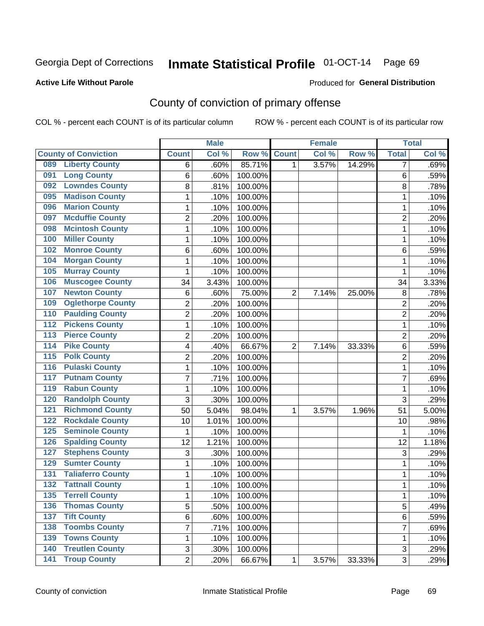### **Active Life Without Parole**

### Produced for **General Distribution**

# County of conviction of primary offense

|                  |                             |                | <b>Male</b> |         |                | <b>Female</b> |        |                | <b>Total</b> |
|------------------|-----------------------------|----------------|-------------|---------|----------------|---------------|--------|----------------|--------------|
|                  | <b>County of Conviction</b> | <b>Count</b>   | Col %       | Row %   | <b>Count</b>   | Col %         | Row %  | <b>Total</b>   | Col %        |
| 089              | <b>Liberty County</b>       | 6              | .60%        | 85.71%  | 1              | 3.57%         | 14.29% | 7              | .69%         |
| 091              | <b>Long County</b>          | 6              | .60%        | 100.00% |                |               |        | 6              | .59%         |
| 092              | <b>Lowndes County</b>       | 8              | .81%        | 100.00% |                |               |        | 8              | .78%         |
| 095              | <b>Madison County</b>       | 1              | .10%        | 100.00% |                |               |        | 1              | .10%         |
| 096              | <b>Marion County</b>        | 1              | .10%        | 100.00% |                |               |        | 1              | .10%         |
| 097              | <b>Mcduffie County</b>      | $\overline{2}$ | .20%        | 100.00% |                |               |        | $\overline{2}$ | .20%         |
| 098              | <b>Mcintosh County</b>      | $\mathbf 1$    | .10%        | 100.00% |                |               |        | 1              | .10%         |
| 100              | <b>Miller County</b>        | $\mathbf{1}$   | .10%        | 100.00% |                |               |        | 1              | .10%         |
| 102              | <b>Monroe County</b>        | 6              | .60%        | 100.00% |                |               |        | 6              | .59%         |
| 104              | <b>Morgan County</b>        | $\mathbf{1}$   | .10%        | 100.00% |                |               |        | $\mathbf{1}$   | .10%         |
| 105              | <b>Murray County</b>        | $\mathbf 1$    | .10%        | 100.00% |                |               |        | 1              | .10%         |
| 106              | <b>Muscogee County</b>      | 34             | 3.43%       | 100.00% |                |               |        | 34             | 3.33%        |
| 107              | <b>Newton County</b>        | 6              | .60%        | 75.00%  | $\overline{2}$ | 7.14%         | 25.00% | 8              | .78%         |
| 109              | <b>Oglethorpe County</b>    | $\overline{2}$ | .20%        | 100.00% |                |               |        | $\overline{2}$ | .20%         |
| 110              | <b>Paulding County</b>      | $\overline{2}$ | .20%        | 100.00% |                |               |        | $\overline{2}$ | .20%         |
| 112              | <b>Pickens County</b>       | $\mathbf{1}$   | .10%        | 100.00% |                |               |        | $\mathbf{1}$   | .10%         |
| 113              | <b>Pierce County</b>        | $\overline{2}$ | .20%        | 100.00% |                |               |        | $\overline{2}$ | .20%         |
| $\overline{114}$ | <b>Pike County</b>          | 4              | .40%        | 66.67%  | $\overline{2}$ | 7.14%         | 33.33% | 6              | .59%         |
| $\overline{115}$ | <b>Polk County</b>          | $\overline{2}$ | .20%        | 100.00% |                |               |        | $\overline{2}$ | .20%         |
| 116              | <b>Pulaski County</b>       | 1              | .10%        | 100.00% |                |               |        | 1              | .10%         |
| 117              | <b>Putnam County</b>        | 7              | .71%        | 100.00% |                |               |        | $\overline{7}$ | .69%         |
| 119              | <b>Rabun County</b>         | $\mathbf{1}$   | .10%        | 100.00% |                |               |        | 1              | .10%         |
| 120              | <b>Randolph County</b>      | 3              | .30%        | 100.00% |                |               |        | 3              | .29%         |
| 121              | <b>Richmond County</b>      | 50             | 5.04%       | 98.04%  | 1              | 3.57%         | 1.96%  | 51             | 5.00%        |
| 122              | <b>Rockdale County</b>      | 10             | 1.01%       | 100.00% |                |               |        | 10             | .98%         |
| 125              | <b>Seminole County</b>      | $\mathbf{1}$   | .10%        | 100.00% |                |               |        | 1              | .10%         |
| 126              | <b>Spalding County</b>      | 12             | 1.21%       | 100.00% |                |               |        | 12             | 1.18%        |
| 127              | <b>Stephens County</b>      | 3              | .30%        | 100.00% |                |               |        | 3              | .29%         |
| 129              | <b>Sumter County</b>        | $\mathbf{1}$   | .10%        | 100.00% |                |               |        | $\mathbf{1}$   | .10%         |
| 131              | <b>Taliaferro County</b>    | $\mathbf{1}$   | .10%        | 100.00% |                |               |        | 1              | .10%         |
| $\overline{132}$ | <b>Tattnall County</b>      | 1              | .10%        | 100.00% |                |               |        | 1              | .10%         |
| 135              | <b>Terrell County</b>       | 1              | .10%        | 100.00% |                |               |        | 1              | .10%         |
| 136              | <b>Thomas County</b>        | 5              | .50%        | 100.00% |                |               |        | 5              | .49%         |
| $137$            | <b>Tift County</b>          | 6              | .60%        | 100.00% |                |               |        | 6              | .59%         |
| 138              | <b>Toombs County</b>        | 7              | .71%        | 100.00% |                |               |        | $\overline{7}$ | .69%         |
| 139              | <b>Towns County</b>         | 1              | .10%        | 100.00% |                |               |        | 1              | .10%         |
| 140              | <b>Treutlen County</b>      | 3              | .30%        | 100.00% |                |               |        | 3              | .29%         |
| 141              | <b>Troup County</b>         | $\overline{2}$ | .20%        | 66.67%  | 1              | 3.57%         | 33.33% | $\overline{3}$ | .29%         |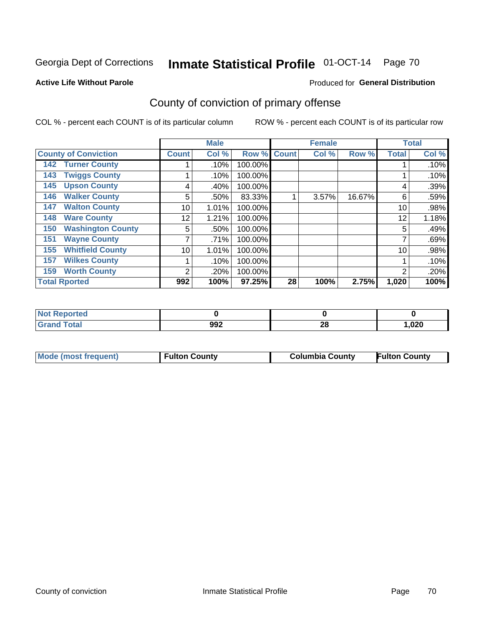### **Active Life Without Parole**

### Produced for **General Distribution**

# County of conviction of primary offense

|                                 |              | <b>Male</b> |         |              | <b>Female</b> |        |              | <b>Total</b> |
|---------------------------------|--------------|-------------|---------|--------------|---------------|--------|--------------|--------------|
| <b>County of Conviction</b>     | <b>Count</b> | Col %       | Row %   | <b>Count</b> | Col %         | Row %  | <b>Total</b> | Col %        |
| <b>Turner County</b><br>142     |              | .10%        | 100.00% |              |               |        |              | .10%         |
| <b>Twiggs County</b><br>143     |              | .10%        | 100.00% |              |               |        |              | .10%         |
| <b>Upson County</b><br>145      | 4            | .40%        | 100.00% |              |               |        | 4            | .39%         |
| <b>Walker County</b><br>146     | 5            | .50%        | 83.33%  |              | 3.57%         | 16.67% | 6            | .59%         |
| <b>Walton County</b><br>147     | 10           | 1.01%       | 100.00% |              |               |        | 10           | .98%         |
| <b>Ware County</b><br>148       | 12           | 1.21%       | 100.00% |              |               |        | 12           | 1.18%        |
| <b>Washington County</b><br>150 | 5            | .50%        | 100.00% |              |               |        | 5            | .49%         |
| <b>Wayne County</b><br>151      |              | .71%        | 100.00% |              |               |        | 7            | .69%         |
| <b>Whitfield County</b><br>155  | 10           | 1.01%       | 100.00% |              |               |        | 10           | .98%         |
| <b>Wilkes County</b><br>157     |              | .10%        | 100.00% |              |               |        |              | .10%         |
| <b>Worth County</b><br>159      | 2            | .20%        | 100.00% |              |               |        | 2            | .20%         |
| <b>Total Rported</b>            | 992          | 100%        | 97.25%  | 28           | 100%          | 2.75%  | 1,020        | 100%         |

| <b>orted</b><br>'N ( |     |          |      |
|----------------------|-----|----------|------|
| <b>cotal</b>         | 992 | 00<br>ZO | ,020 |

|  | Mode (most frequent) | <b>Fulton County</b> | <b>Columbia County</b> | <b>Fulton County</b> |
|--|----------------------|----------------------|------------------------|----------------------|
|--|----------------------|----------------------|------------------------|----------------------|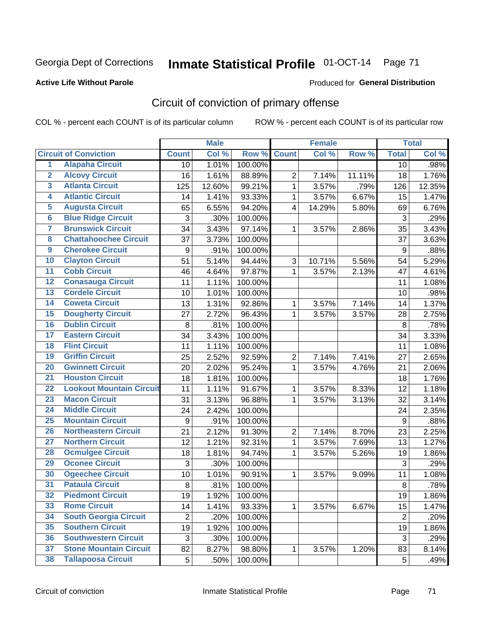### **Active Life Without Parole**

### Produced for **General Distribution**

# Circuit of conviction of primary offense

|                         |                                 |                | <b>Male</b> |         |                         | <b>Female</b> |        |                | <b>Total</b> |
|-------------------------|---------------------------------|----------------|-------------|---------|-------------------------|---------------|--------|----------------|--------------|
|                         | <b>Circuit of Conviction</b>    | <b>Count</b>   | Col %       | Row %   | <b>Count</b>            | Col%          | Row %  | <b>Total</b>   | Col %        |
| 1                       | <b>Alapaha Circuit</b>          | 10             | 1.01%       | 100.00% |                         |               |        | 10             | .98%         |
| $\overline{2}$          | <b>Alcovy Circuit</b>           | 16             | 1.61%       | 88.89%  | $\overline{2}$          | 7.14%         | 11.11% | 18             | 1.76%        |
| $\overline{\mathbf{3}}$ | <b>Atlanta Circuit</b>          | 125            | 12.60%      | 99.21%  | $\mathbf{1}$            | 3.57%         | .79%   | 126            | 12.35%       |
| $\overline{4}$          | <b>Atlantic Circuit</b>         | 14             | 1.41%       | 93.33%  | 1                       | 3.57%         | 6.67%  | 15             | 1.47%        |
| $\overline{5}$          | <b>Augusta Circuit</b>          | 65             | 6.55%       | 94.20%  | $\overline{\mathbf{4}}$ | 14.29%        | 5.80%  | 69             | 6.76%        |
| $\overline{6}$          | <b>Blue Ridge Circuit</b>       | 3              | .30%        | 100.00% |                         |               |        | 3              | .29%         |
| 7                       | <b>Brunswick Circuit</b>        | 34             | 3.43%       | 97.14%  | 1                       | 3.57%         | 2.86%  | 35             | 3.43%        |
| $\overline{\mathbf{8}}$ | <b>Chattahoochee Circuit</b>    | 37             | 3.73%       | 100.00% |                         |               |        | 37             | 3.63%        |
| $\overline{9}$          | <b>Cherokee Circuit</b>         | 9              | .91%        | 100.00% |                         |               |        | 9              | .88%         |
| 10                      | <b>Clayton Circuit</b>          | 51             | 5.14%       | 94.44%  | 3                       | 10.71%        | 5.56%  | 54             | 5.29%        |
| $\overline{11}$         | <b>Cobb Circuit</b>             | 46             | 4.64%       | 97.87%  | $\mathbf{1}$            | 3.57%         | 2.13%  | 47             | 4.61%        |
| $\overline{12}$         | <b>Conasauga Circuit</b>        | 11             | 1.11%       | 100.00% |                         |               |        | 11             | 1.08%        |
| $\overline{13}$         | <b>Cordele Circuit</b>          | 10             | 1.01%       | 100.00% |                         |               |        | 10             | .98%         |
| $\overline{14}$         | <b>Coweta Circuit</b>           | 13             | 1.31%       | 92.86%  | $\mathbf{1}$            | 3.57%         | 7.14%  | 14             | 1.37%        |
| 15                      | <b>Dougherty Circuit</b>        | 27             | 2.72%       | 96.43%  | 1                       | 3.57%         | 3.57%  | 28             | 2.75%        |
| 16                      | <b>Dublin Circuit</b>           | 8              | .81%        | 100.00% |                         |               |        | 8              | .78%         |
| $\overline{17}$         | <b>Eastern Circuit</b>          | 34             | 3.43%       | 100.00% |                         |               |        | 34             | 3.33%        |
| 18                      | <b>Flint Circuit</b>            | 11             | 1.11%       | 100.00% |                         |               |        | 11             | 1.08%        |
| 19                      | <b>Griffin Circuit</b>          | 25             | 2.52%       | 92.59%  | $\overline{2}$          | 7.14%         | 7.41%  | 27             | 2.65%        |
| $\overline{20}$         | <b>Gwinnett Circuit</b>         | 20             | 2.02%       | 95.24%  | 1                       | 3.57%         | 4.76%  | 21             | 2.06%        |
| $\overline{21}$         | <b>Houston Circuit</b>          | 18             | 1.81%       | 100.00% |                         |               |        | 18             | 1.76%        |
| $\overline{22}$         | <b>Lookout Mountain Circuit</b> | 11             | 1.11%       | 91.67%  | 1                       | 3.57%         | 8.33%  | 12             | 1.18%        |
| 23                      | <b>Macon Circuit</b>            | 31             | 3.13%       | 96.88%  | 1                       | 3.57%         | 3.13%  | 32             | 3.14%        |
| $\overline{24}$         | <b>Middle Circuit</b>           | 24             | 2.42%       | 100.00% |                         |               |        | 24             | 2.35%        |
| $\overline{25}$         | <b>Mountain Circuit</b>         | 9              | .91%        | 100.00% |                         |               |        | $9\,$          | .88%         |
| 26                      | <b>Northeastern Circuit</b>     | 21             | 2.12%       | 91.30%  | 2                       | 7.14%         | 8.70%  | 23             | 2.25%        |
| $\overline{27}$         | <b>Northern Circuit</b>         | 12             | 1.21%       | 92.31%  | 1                       | 3.57%         | 7.69%  | 13             | 1.27%        |
| 28                      | <b>Ocmulgee Circuit</b>         | 18             | 1.81%       | 94.74%  | 1                       | 3.57%         | 5.26%  | 19             | 1.86%        |
| 29                      | <b>Oconee Circuit</b>           | 3              | .30%        | 100.00% |                         |               |        | 3              | .29%         |
| 30                      | <b>Ogeechee Circuit</b>         | 10             | 1.01%       | 90.91%  | $\mathbf{1}$            | 3.57%         | 9.09%  | 11             | 1.08%        |
| $\overline{31}$         | <b>Pataula Circuit</b>          | 8              | .81%        | 100.00% |                         |               |        | 8              | .78%         |
| 32                      | <b>Piedmont Circuit</b>         | 19             | 1.92%       | 100.00% |                         |               |        | 19             | 1.86%        |
| 33                      | <b>Rome Circuit</b>             | 14             | 1.41%       | 93.33%  | $\mathbf{1}$            | 3.57%         | 6.67%  | 15             | 1.47%        |
| 34                      | <b>South Georgia Circuit</b>    | $\overline{2}$ | .20%        | 100.00% |                         |               |        | $\overline{2}$ | .20%         |
| 35                      | <b>Southern Circuit</b>         | 19             | 1.92%       | 100.00% |                         |               |        | 19             | 1.86%        |
| 36                      | <b>Southwestern Circuit</b>     | $\mathbf{3}$   | .30%        | 100.00% |                         |               |        | 3              | .29%         |
| 37                      | <b>Stone Mountain Circuit</b>   | 82             | 8.27%       | 98.80%  | 1                       | 3.57%         | 1.20%  | 83             | 8.14%        |
| 38                      | <b>Tallapoosa Circuit</b>       | 5              | .50%        | 100.00% |                         |               |        | 5              | .49%         |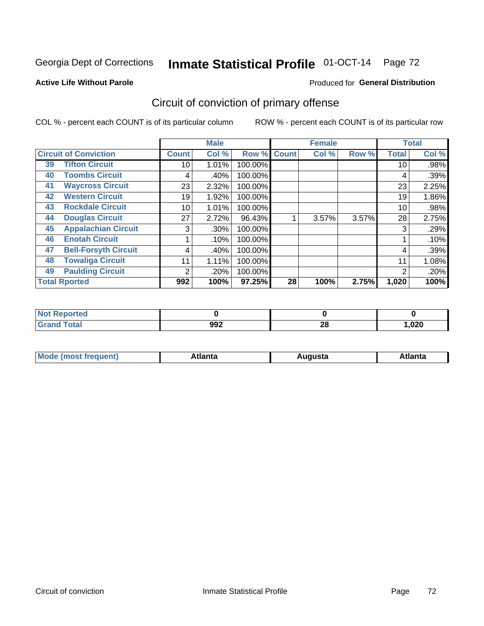### **Active Life Without Parole**

### Produced for **General Distribution**

# Circuit of conviction of primary offense

|    |                              |              | <b>Male</b> |         |              | <b>Female</b> |       |              | <b>Total</b> |
|----|------------------------------|--------------|-------------|---------|--------------|---------------|-------|--------------|--------------|
|    | <b>Circuit of Conviction</b> | <b>Count</b> | Col %       | Row %   | <b>Count</b> | Col %         | Row % | <b>Total</b> | Col %        |
| 39 | <b>Tifton Circuit</b>        | 10           | 1.01%       | 100.00% |              |               |       | 10           | .98%         |
| 40 | <b>Toombs Circuit</b>        | 4            | .40%        | 100.00% |              |               |       | 4            | .39%         |
| 41 | <b>Waycross Circuit</b>      | 23           | 2.32%       | 100.00% |              |               |       | 23           | 2.25%        |
| 42 | <b>Western Circuit</b>       | 19           | 1.92%       | 100.00% |              |               |       | 19           | 1.86%        |
| 43 | <b>Rockdale Circuit</b>      | 10           | 1.01%       | 100.00% |              |               |       | 10           | .98%         |
| 44 | <b>Douglas Circuit</b>       | 27           | 2.72%       | 96.43%  |              | 3.57%         | 3.57% | 28           | 2.75%        |
| 45 | <b>Appalachian Circuit</b>   | 3            | $.30\%$     | 100.00% |              |               |       | 3            | .29%         |
| 46 | <b>Enotah Circuit</b>        |              | .10%        | 100.00% |              |               |       |              | .10%         |
| 47 | <b>Bell-Forsyth Circuit</b>  | 4            | .40%        | 100.00% |              |               |       | 4            | .39%         |
| 48 | <b>Towaliga Circuit</b>      | 11           | 1.11%       | 100.00% |              |               |       | 11           | 1.08%        |
| 49 | <b>Paulding Circuit</b>      | 2            | .20%        | 100.00% |              |               |       | 2            | .20%         |
|    | <b>Total Rported</b>         | 992          | 100%        | 97.25%  | 28           | 100%          | 2.75% | 1,020        | 100%         |

| N <sub>of</sub><br>orted |     |          |        |
|--------------------------|-----|----------|--------|
| <b>otal</b>              | 992 | ററ<br>zo | 020, ا |

| М<br>. Innás<br>.<br>.<br>wanta<br>ााद्व<br>31.<br>$\sim$ $\sim$ $\sim$ |
|-------------------------------------------------------------------------|
|-------------------------------------------------------------------------|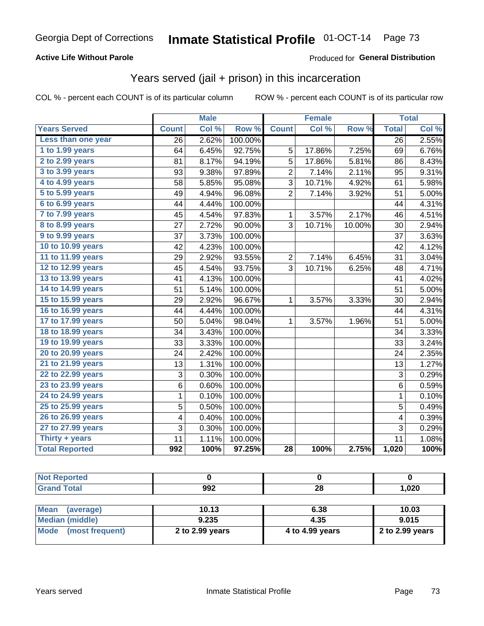### **Active Life Without Parole**

### Produced for **General Distribution**

## Years served (jail + prison) in this incarceration

| <b>Years Served</b><br>Less than one year | <b>Count</b>            | Col % |         |                 |        |        | <b>Total</b>            |       |
|-------------------------------------------|-------------------------|-------|---------|-----------------|--------|--------|-------------------------|-------|
|                                           |                         |       | Row %   | <b>Count</b>    | Col %  | Row %  | <b>Total</b>            | Col % |
|                                           | 26                      | 2.62% | 100.00% |                 |        |        | 26                      | 2.55% |
| 1 to 1.99 years                           | 64                      | 6.45% | 92.75%  | 5               | 17.86% | 7.25%  | 69                      | 6.76% |
| 2 to 2.99 years                           | 81                      | 8.17% | 94.19%  | 5               | 17.86% | 5.81%  | 86                      | 8.43% |
| 3 to 3.99 years                           | 93                      | 9.38% | 97.89%  | $\overline{2}$  | 7.14%  | 2.11%  | 95                      | 9.31% |
| 4 to 4.99 years                           | 58                      | 5.85% | 95.08%  | 3               | 10.71% | 4.92%  | 61                      | 5.98% |
| 5 to 5.99 years                           | 49                      | 4.94% | 96.08%  | $\overline{2}$  | 7.14%  | 3.92%  | 51                      | 5.00% |
| 6 to 6.99 years                           | 44                      | 4.44% | 100.00% |                 |        |        | 44                      | 4.31% |
| 7 to 7.99 years                           | 45                      | 4.54% | 97.83%  | $\mathbf{1}$    | 3.57%  | 2.17%  | 46                      | 4.51% |
| 8 to 8.99 years                           | 27                      | 2.72% | 90.00%  | $\overline{3}$  | 10.71% | 10.00% | 30                      | 2.94% |
| 9 to 9.99 years                           | 37                      | 3.73% | 100.00% |                 |        |        | 37                      | 3.63% |
| 10 to 10.99 years                         | 42                      | 4.23% | 100.00% |                 |        |        | 42                      | 4.12% |
| 11 to 11.99 years                         | 29                      | 2.92% | 93.55%  | $\overline{2}$  | 7.14%  | 6.45%  | 31                      | 3.04% |
| 12 to 12.99 years                         | 45                      | 4.54% | 93.75%  | 3               | 10.71% | 6.25%  | 48                      | 4.71% |
| 13 to 13.99 years                         | 41                      | 4.13% | 100.00% |                 |        |        | 41                      | 4.02% |
| 14 to 14.99 years                         | 51                      | 5.14% | 100.00% |                 |        |        | 51                      | 5.00% |
| 15 to 15.99 years                         | 29                      | 2.92% | 96.67%  | 1               | 3.57%  | 3.33%  | 30                      | 2.94% |
| 16 to 16.99 years                         | 44                      | 4.44% | 100.00% |                 |        |        | 44                      | 4.31% |
| 17 to 17.99 years                         | 50                      | 5.04% | 98.04%  | $\mathbf{1}$    | 3.57%  | 1.96%  | 51                      | 5.00% |
| 18 to 18.99 years                         | 34                      | 3.43% | 100.00% |                 |        |        | 34                      | 3.33% |
| 19 to 19.99 years                         | 33                      | 3.33% | 100.00% |                 |        |        | 33                      | 3.24% |
| 20 to 20.99 years                         | 24                      | 2.42% | 100.00% |                 |        |        | 24                      | 2.35% |
| 21 to 21.99 years                         | 13                      | 1.31% | 100.00% |                 |        |        | 13                      | 1.27% |
| 22 to 22.99 years                         | 3                       | 0.30% | 100.00% |                 |        |        | 3                       | 0.29% |
| 23 to 23.99 years                         | 6                       | 0.60% | 100.00% |                 |        |        | 6                       | 0.59% |
| 24 to 24.99 years                         | $\mathbf 1$             | 0.10% | 100.00% |                 |        |        | $\mathbf 1$             | 0.10% |
| 25 to 25.99 years                         | 5                       | 0.50% | 100.00% |                 |        |        | 5                       | 0.49% |
| 26 to 26.99 years                         | $\overline{\mathbf{4}}$ | 0.40% | 100.00% |                 |        |        | $\overline{\mathbf{4}}$ | 0.39% |
| 27 to 27.99 years                         | 3                       | 0.30% | 100.00% |                 |        |        | 3                       | 0.29% |
| Thirty + years                            | 11                      | 1.11% | 100.00% |                 |        |        | 11                      | 1.08% |
| <b>Total Reported</b>                     | 992                     | 100%  | 97.25%  | $\overline{28}$ | 100%   | 2.75%  | 1,020                   | 100%  |

| <b>Not Reported</b>            |                 |                 |                 |
|--------------------------------|-----------------|-----------------|-----------------|
| <b>Grand Total</b>             | 992             | 28              | 1,020           |
|                                |                 |                 |                 |
| <b>Mean</b><br>(average)       | 10.13           | 6.38            | 10.03           |
| <b>Median (middle)</b>         | 9.235           | 4.35            | 9.015           |
| <b>Mode</b><br>(most frequent) | 2 to 2.99 years | 4 to 4.99 years | 2 to 2.99 years |
|                                |                 |                 |                 |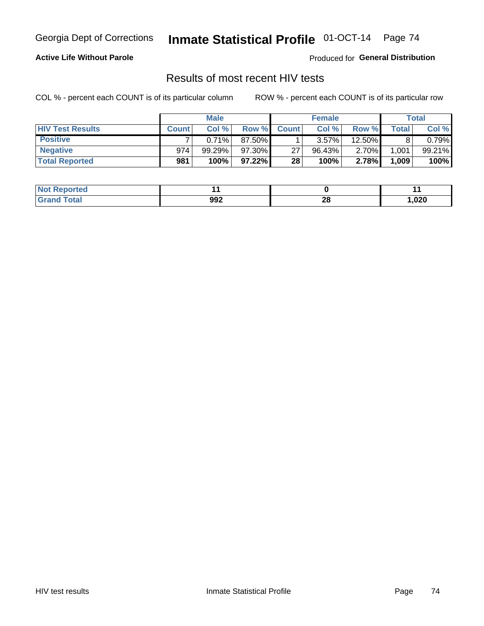### **Active Life Without Parole**

Produced for **General Distribution**

## Results of most recent HIV tests

|                         |              | <b>Male</b> |           |              | <b>Female</b> |          |       | Total  |
|-------------------------|--------------|-------------|-----------|--------------|---------------|----------|-------|--------|
| <b>HIV Test Results</b> | <b>Count</b> | Col%        | Row %     | <b>Count</b> | Col %         | Row %I   | Total | Col %  |
| <b>Positive</b>         |              | 0.71%       | 87.50%    |              | 3.57%         | 12.50%   |       | 0.79%  |
| <b>Negative</b>         | 974          | $99.29\%$   | 97.30%    | 27           | $96.43\%$     | $2.70\%$ | 1,001 | 99.21% |
| <b>Total Reported</b>   | 981          | 100%        | $97.22\%$ | 28           | 100%          | 2.78%    | 1,009 | 100%   |

| <b>Not Reported</b> |     |          |        |
|---------------------|-----|----------|--------|
| <b>Total</b>        | 992 | ኅር<br>zo | 020, ا |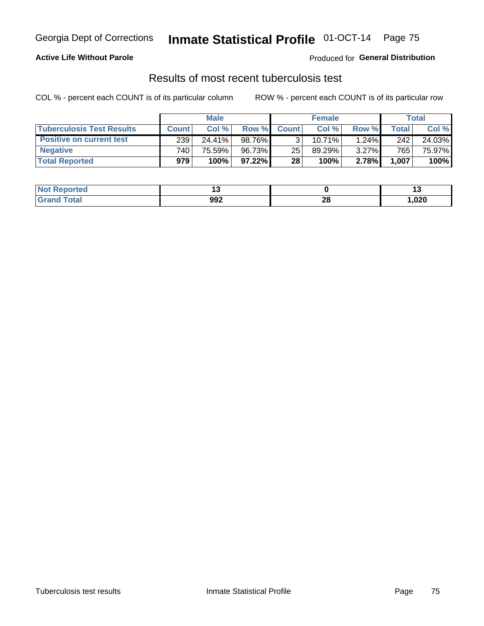### **Active Life Without Parole**

Produced for **General Distribution**

## Results of most recent tuberculosis test

|                                  | <b>Male</b>  |        |           | <b>Female</b> |           |          | Total |        |
|----------------------------------|--------------|--------|-----------|---------------|-----------|----------|-------|--------|
| <b>Tuberculosis Test Results</b> | <b>Count</b> | Col%   | Row %I    | <b>Count</b>  | Col%      | Row %    | Total | Col %  |
| <b>Positive on current test</b>  | 239          | 24.41% | 98.76%    |               | $10.71\%$ | 1.24%    | 242   | 24.03% |
| <b>Negative</b>                  | 740          | 75.59% | 96.73%    | 25            | 89.29%    | $3.27\%$ | 765   | 75.97% |
| <b>Total Reported</b>            | 979          | 100%   | $97.22\%$ | 28            | 100%      | 2.78%    | 1,007 | 100%   |

| Not I<br>Reported     |     |         | 1 v   |
|-----------------------|-----|---------|-------|
| <b>`otal</b><br>Gerer | 992 | റ<br>ZO | 020,، |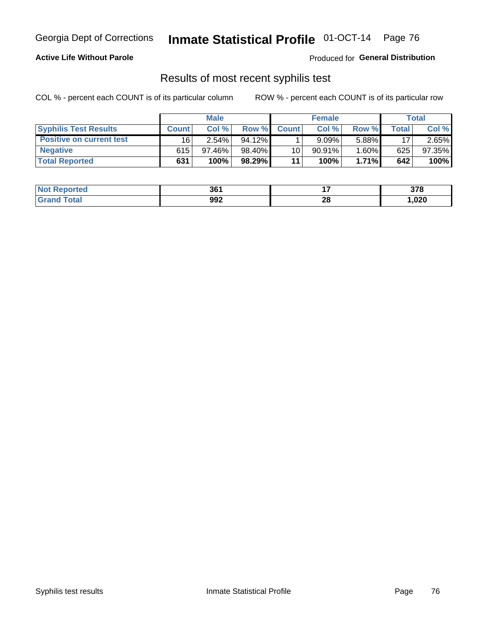### **Active Life Without Parole**

Produced for **General Distribution**

## Results of most recent syphilis test

|                                 | <b>Male</b>  |           |           | <b>Female</b> |           |          | Total   |        |
|---------------------------------|--------------|-----------|-----------|---------------|-----------|----------|---------|--------|
| <b>Syphilis Test Results</b>    | <b>Count</b> | Col%      | Row %     | <b>Count</b>  | Col %     | Row %I   | Total i | Col %  |
| <b>Positive on current test</b> | 16           | $2.54\%$  | $94.12\%$ |               | 9.09%     | 5.88%    | 17      | 2.65%  |
| <b>Negative</b>                 | 615          | $97.46\%$ | 98.40%    | 10            | $90.91\%$ | $1.60\%$ | 625     | 97.35% |
| <b>Total Reported</b>           | 631          | 100%      | 98.29%    | 11            | 100%      | $1.71\%$ | 642     | 100%   |

| <b>Not Reported</b>     | 361 |    | 270<br>J 1 0 |
|-------------------------|-----|----|--------------|
| <b>Total</b><br>' Grand | 992 | 28 | ,020         |